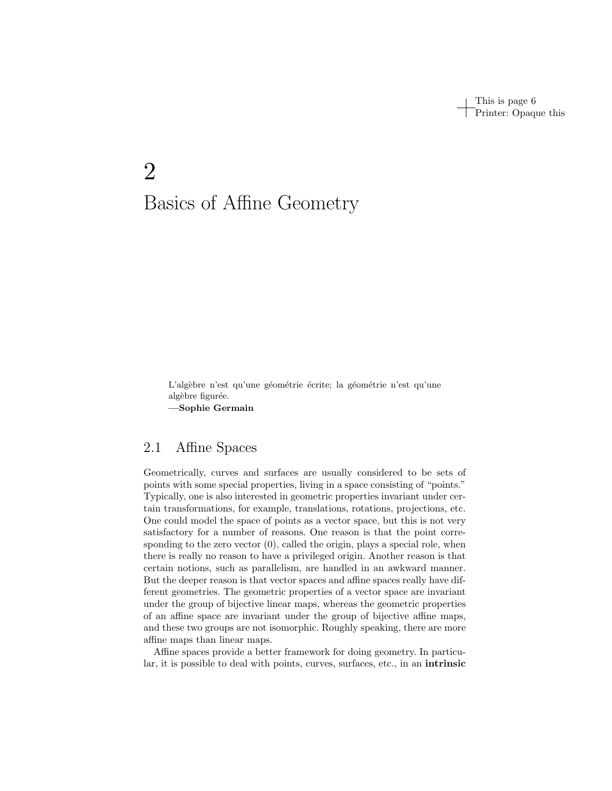This is page 6 Printer: Opaque this

# 2 Basics of Affine Geometry

L'algèbre n'est qu'une géométrie écrite; la géométrie n'est qu'une algèbre figurée. —Sophie Germain

# 2.1 Affine Spaces

Geometrically, curves and surfaces are usually considered to be sets of points with some special properties, living in a space consisting of "points." Typically, one is also interested in geometric properties invariant under certain transformations, for example, translations, rotations, projections, etc. One could model the space of points as a vector space, but this is not very satisfactory for a number of reasons. One reason is that the point corresponding to the zero vector  $(0)$ , called the origin, plays a special role, when there is really no reason to have a privileged origin. Another reason is that certain notions, such as parallelism, are handled in an awkward manner. But the deeper reason is that vector spaces and affine spaces really have different geometries. The geometric properties of a vector space are invariant under the group of bijective linear maps, whereas the geometric properties of an affine space are invariant under the group of bijective affine maps, and these two groups are not isomorphic. Roughly speaking, there are more affine maps than linear maps.

Affine spaces provide a better framework for doing geometry. In particular, it is possible to deal with points, curves, surfaces, etc., in an intrinsic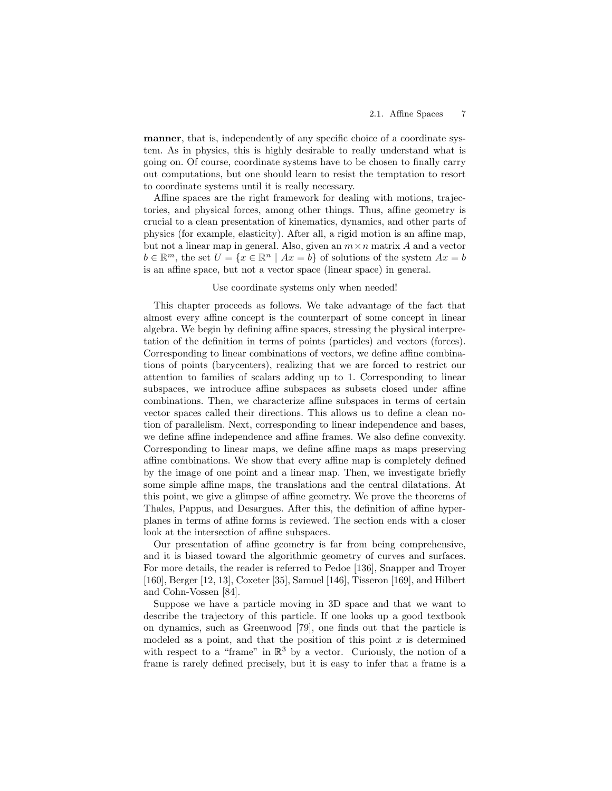manner, that is, independently of any specific choice of a coordinate system. As in physics, this is highly desirable to really understand what is going on. Of course, coordinate systems have to be chosen to finally carry out computations, but one should learn to resist the temptation to resort to coordinate systems until it is really necessary.

Affine spaces are the right framework for dealing with motions, trajectories, and physical forces, among other things. Thus, affine geometry is crucial to a clean presentation of kinematics, dynamics, and other parts of physics (for example, elasticity). After all, a rigid motion is an affine map, but not a linear map in general. Also, given an  $m \times n$  matrix A and a vector  $b \in \mathbb{R}^m$ , the set  $U = \{x \in \mathbb{R}^n \mid Ax = b\}$  of solutions of the system  $Ax = b$ is an affine space, but not a vector space (linear space) in general.

#### Use coordinate systems only when needed!

This chapter proceeds as follows. We take advantage of the fact that almost every affine concept is the counterpart of some concept in linear algebra. We begin by defining affine spaces, stressing the physical interpretation of the definition in terms of points (particles) and vectors (forces). Corresponding to linear combinations of vectors, we define affine combinations of points (barycenters), realizing that we are forced to restrict our attention to families of scalars adding up to 1. Corresponding to linear subspaces, we introduce affine subspaces as subsets closed under affine combinations. Then, we characterize affine subspaces in terms of certain vector spaces called their directions. This allows us to define a clean notion of parallelism. Next, corresponding to linear independence and bases, we define affine independence and affine frames. We also define convexity. Corresponding to linear maps, we define affine maps as maps preserving affine combinations. We show that every affine map is completely defined by the image of one point and a linear map. Then, we investigate briefly some simple affine maps, the translations and the central dilatations. At this point, we give a glimpse of affine geometry. We prove the theorems of Thales, Pappus, and Desargues. After this, the definition of affine hyperplanes in terms of affine forms is reviewed. The section ends with a closer look at the intersection of affine subspaces.

Our presentation of affine geometry is far from being comprehensive, and it is biased toward the algorithmic geometry of curves and surfaces. For more details, the reader is referred to Pedoe [136], Snapper and Troyer [160], Berger [12, 13], Coxeter [35], Samuel [146], Tisseron [169], and Hilbert and Cohn-Vossen [84].

Suppose we have a particle moving in 3D space and that we want to describe the trajectory of this particle. If one looks up a good textbook on dynamics, such as Greenwood [79], one finds out that the particle is modeled as a point, and that the position of this point  $x$  is determined with respect to a "frame" in  $\mathbb{R}^3$  by a vector. Curiously, the notion of a frame is rarely defined precisely, but it is easy to infer that a frame is a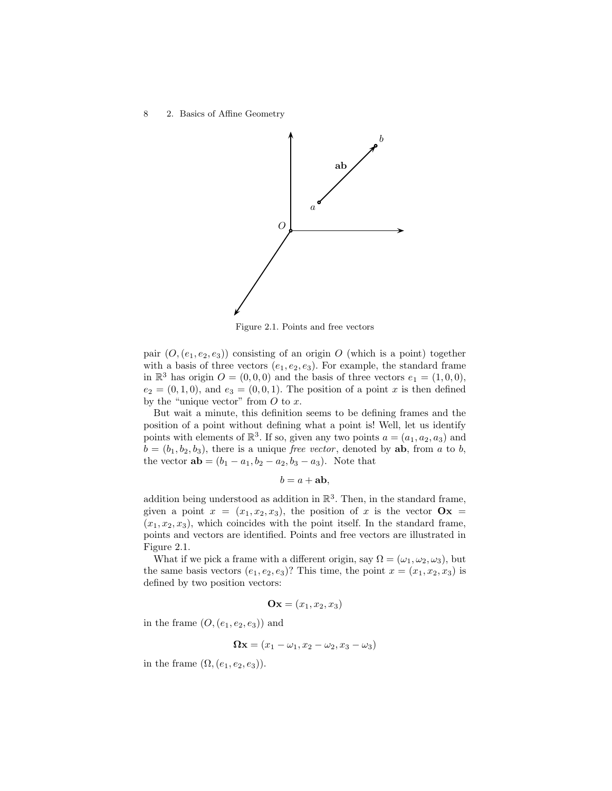

Figure 2.1. Points and free vectors

pair  $(O,(e_1,e_2,e_3))$  consisting of an origin O (which is a point) together with a basis of three vectors  $(e_1, e_2, e_3)$ . For example, the standard frame in  $\mathbb{R}^3$  has origin  $O = (0, 0, 0)$  and the basis of three vectors  $e_1 = (1, 0, 0)$ ,  $e_2 = (0, 1, 0)$ , and  $e_3 = (0, 0, 1)$ . The position of a point x is then defined by the "unique vector" from  $O$  to  $x$ .

But wait a minute, this definition seems to be defining frames and the position of a point without defining what a point is! Well, let us identify points with elements of  $\mathbb{R}^3$ . If so, given any two points  $a = (a_1, a_2, a_3)$  and  $b = (b_1, b_2, b_3)$ , there is a unique free vector, denoted by **ab**, from a to b, the vector  $ab = (b_1 - a_1, b_2 - a_2, b_3 - a_3)$ . Note that

$$
b = a + ab,
$$

addition being understood as addition in  $\mathbb{R}^3$ . Then, in the standard frame, given a point  $x = (x_1, x_2, x_3)$ , the position of x is the vector  $\mathbf{O}x =$  $(x_1, x_2, x_3)$ , which coincides with the point itself. In the standard frame, points and vectors are identified. Points and free vectors are illustrated in Figure 2.1.

What if we pick a frame with a different origin, say  $\Omega = (\omega_1, \omega_2, \omega_3)$ , but the same basis vectors  $(e_1, e_2, e_3)$ ? This time, the point  $x = (x_1, x_2, x_3)$  is defined by two position vectors:

$$
\mathbf{Ox} = (x_1, x_2, x_3)
$$

in the frame  $(O,(e_1,e_2,e_3))$  and

$$
\mathbf{\Omega}\mathbf{x} = (x_1 - \omega_1, x_2 - \omega_2, x_3 - \omega_3)
$$

in the frame  $(\Omega, (e_1, e_2, e_3))$ .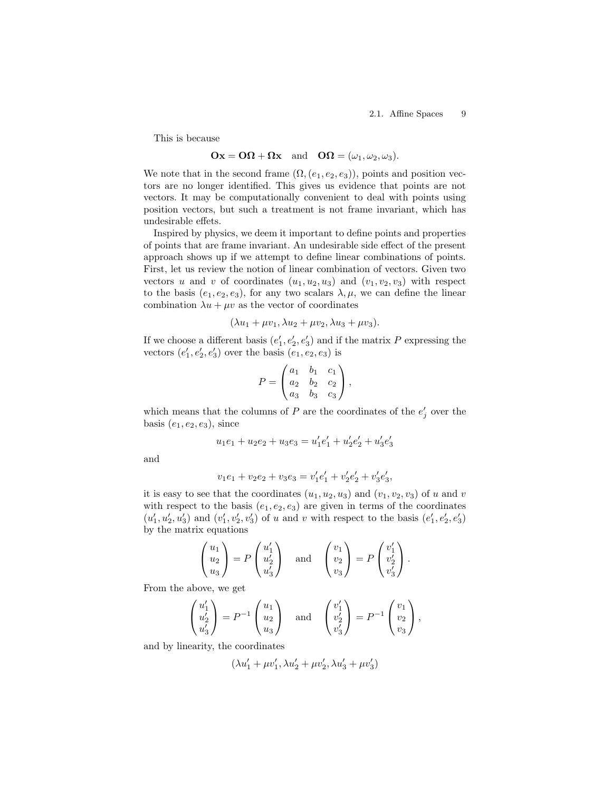This is because

#### $\mathbf{Ox} = \mathbf{O}\mathbf{\Omega} + \mathbf{\Omega}\mathbf{x}$  and  $\mathbf{O}\mathbf{\Omega} = (\omega_1, \omega_2, \omega_3).$

We note that in the second frame  $(\Omega, (e_1, e_2, e_3))$ , points and position vectors are no longer identified. This gives us evidence that points are not vectors. It may be computationally convenient to deal with points using position vectors, but such a treatment is not frame invariant, which has undesirable effets.

Inspired by physics, we deem it important to define points and properties of points that are frame invariant. An undesirable side effect of the present approach shows up if we attempt to define linear combinations of points. First, let us review the notion of linear combination of vectors. Given two vectors u and v of coordinates  $(u_1, u_2, u_3)$  and  $(v_1, v_2, v_3)$  with respect to the basis  $(e_1, e_2, e_3)$ , for any two scalars  $\lambda, \mu$ , we can define the linear combination  $\lambda u + \mu v$  as the vector of coordinates

$$
(\lambda u_1 + \mu v_1, \lambda u_2 + \mu v_2, \lambda u_3 + \mu v_3).
$$

If we choose a different basis  $(e'_1, e'_2, e'_3)$  and if the matrix P expressing the vectors  $(e'_1, e'_2, e'_3)$  over the basis  $(e_1, e_2, e_3)$  is

$$
P = \begin{pmatrix} a_1 & b_1 & c_1 \\ a_2 & b_2 & c_2 \\ a_3 & b_3 & c_3 \end{pmatrix},
$$

which means that the columns of  $P$  are the coordinates of the  $e'_{j}$  over the basis  $(e_1, e_2, e_3)$ , since

$$
u_1e_1 + u_2e_2 + u_3e_3 = u'_1e'_1 + u'_2e'_2 + u'_3e'_3
$$

and

$$
v_1e_1 + v_2e_2 + v_3e_3 = v'_1e'_1 + v'_2e'_2 + v'_3e'_3,
$$

it is easy to see that the coordinates  $(u_1, u_2, u_3)$  and  $(v_1, v_2, v_3)$  of u and v with respect to the basis  $(e_1, e_2, e_3)$  are given in terms of the coordinates  $(u_1',u_2',u_3')$  and  $(v_1',v_2',v_3')$  of u and v with respect to the basis  $(e_1',e_2',e_3')$ by the matrix equations

$$
\begin{pmatrix} u_1 \\ u_2 \\ u_3 \end{pmatrix} = P \begin{pmatrix} u'_1 \\ u'_2 \\ u'_3 \end{pmatrix} \quad \text{and} \quad \begin{pmatrix} v_1 \\ v_2 \\ v_3 \end{pmatrix} = P \begin{pmatrix} v'_1 \\ v'_2 \\ v'_3 \end{pmatrix}.
$$

From the above, we get

$$
\begin{pmatrix} u_1' \\ u_2' \\ u_3' \end{pmatrix} = P^{-1} \begin{pmatrix} u_1 \\ u_2 \\ u_3 \end{pmatrix} \quad \text{and} \quad \begin{pmatrix} v_1' \\ v_2' \\ v_3' \end{pmatrix} = P^{-1} \begin{pmatrix} v_1 \\ v_2 \\ v_3 \end{pmatrix},
$$

and by linearity, the coordinates

$$
(\lambda u'_1 + \mu v'_1, \lambda u'_2 + \mu v'_2, \lambda u'_3 + \mu v'_3)
$$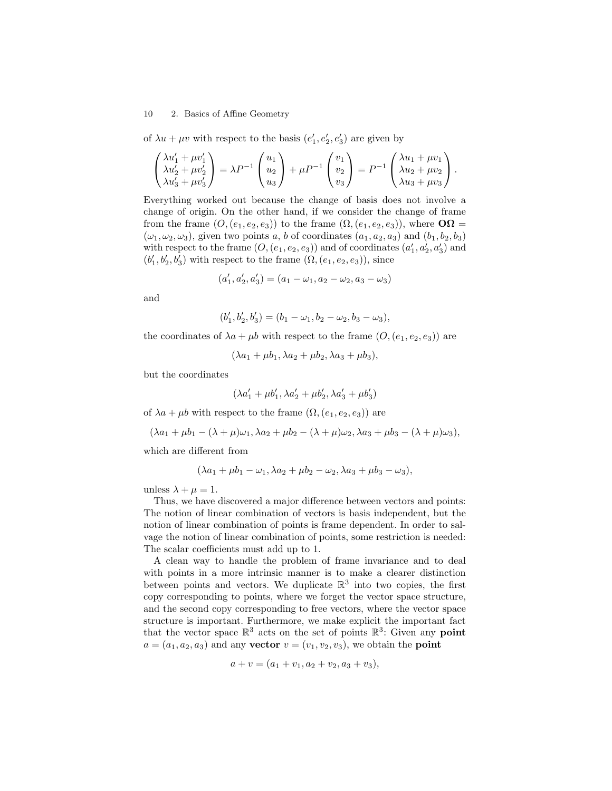of  $\lambda u + \mu v$  with respect to the basis  $(e'_1, e'_2, e'_3)$  are given by

$$
\begin{pmatrix} \lambda u_1' + \mu v_1' \\ \lambda u_2' + \mu v_2' \\ \lambda u_3' + \mu v_3' \end{pmatrix} = \lambda P^{-1} \begin{pmatrix} u_1 \\ u_2 \\ u_3 \end{pmatrix} + \mu P^{-1} \begin{pmatrix} v_1 \\ v_2 \\ v_3 \end{pmatrix} = P^{-1} \begin{pmatrix} \lambda u_1 + \mu v_1 \\ \lambda u_2 + \mu v_2 \\ \lambda u_3 + \mu v_3 \end{pmatrix}.
$$

Everything worked out because the change of basis does not involve a change of origin. On the other hand, if we consider the change of frame from the frame  $(O,(e_1,e_2,e_3))$  to the frame  $(\Omega,(e_1,e_2,e_3))$ , where  $\mathbf{O}\Omega =$  $(\omega_1, \omega_2, \omega_3)$ , given two points a, b of coordinates  $(a_1, a_2, a_3)$  and  $(b_1, b_2, b_3)$ with respect to the frame  $(O, (e_1, e_2, e_3))$  and of coordinates  $(a'_1, a'_2, a'_3)$  and  $(b'_1, b'_2, b'_3)$  with respect to the frame  $(\Omega, (e_1, e_2, e_3))$ , since

$$
(a'_1, a'_2, a'_3) = (a_1 - \omega_1, a_2 - \omega_2, a_3 - \omega_3)
$$

and

$$
(b'_1, b'_2, b'_3) = (b_1 - \omega_1, b_2 - \omega_2, b_3 - \omega_3),
$$

the coordinates of  $\lambda a + \mu b$  with respect to the frame  $(O,(e_1, e_2, e_3))$  are

$$
(\lambda a_1 + \mu b_1, \lambda a_2 + \mu b_2, \lambda a_3 + \mu b_3),
$$

but the coordinates

$$
(\lambda a_1'+\mu b_1',\lambda a_2'+\mu b_2',\lambda a_3'+\mu b_3')
$$

of  $\lambda a + \mu b$  with respect to the frame  $(\Omega, (e_1, e_2, e_3))$  are

$$
(\lambda a_1 + \mu b_1 - (\lambda + \mu)\omega_1, \lambda a_2 + \mu b_2 - (\lambda + \mu)\omega_2, \lambda a_3 + \mu b_3 - (\lambda + \mu)\omega_3),
$$

which are different from

$$
(\lambda a_1 + \mu b_1 - \omega_1, \lambda a_2 + \mu b_2 - \omega_2, \lambda a_3 + \mu b_3 - \omega_3),
$$

unless  $\lambda + \mu = 1$ .

Thus, we have discovered a major difference between vectors and points: The notion of linear combination of vectors is basis independent, but the notion of linear combination of points is frame dependent. In order to salvage the notion of linear combination of points, some restriction is needed: The scalar coefficients must add up to 1.

A clean way to handle the problem of frame invariance and to deal with points in a more intrinsic manner is to make a clearer distinction between points and vectors. We duplicate  $\mathbb{R}^3$  into two copies, the first copy corresponding to points, where we forget the vector space structure, and the second copy corresponding to free vectors, where the vector space structure is important. Furthermore, we make explicit the important fact that the vector space  $\mathbb{R}^3$  acts on the set of points  $\mathbb{R}^3$ : Given any **point**  $a = (a_1, a_2, a_3)$  and any vector  $v = (v_1, v_2, v_3)$ , we obtain the point

$$
a + v = (a_1 + v_1, a_2 + v_2, a_3 + v_3),
$$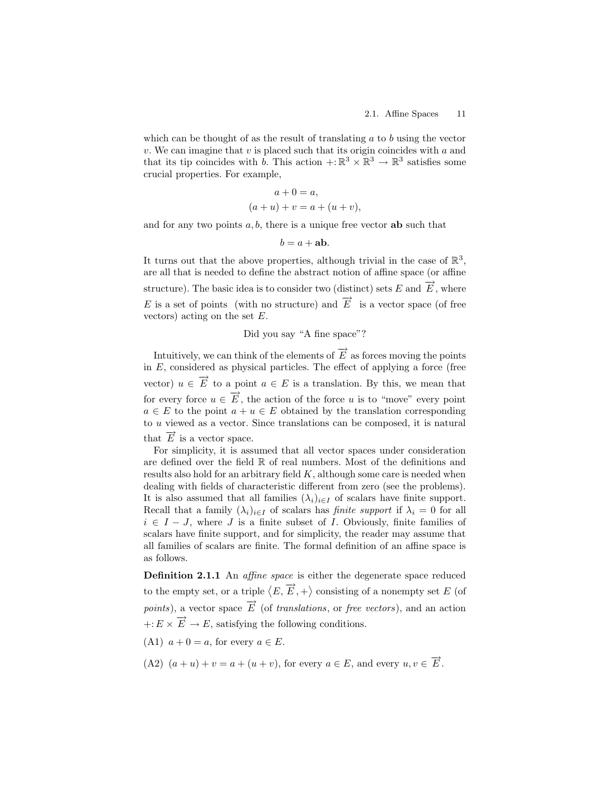which can be thought of as the result of translating  $a$  to  $b$  using the vector v. We can imagine that v is placed such that its origin coincides with a and that its tip coincides with b. This action  $\div \mathbb{R}^3 \times \mathbb{R}^3 \to \mathbb{R}^3$  satisfies some crucial properties. For example,

$$
a + 0 = a,
$$
  

$$
(a + u) + v = a + (u + v),
$$

and for any two points  $a, b$ , there is a unique free vector **ab** such that

$$
b = a + ab.
$$

It turns out that the above properties, although trivial in the case of  $\mathbb{R}^3$ , are all that is needed to define the abstract notion of affine space (or affine structure). The basic idea is to consider two (distinct) sets E and  $\overrightarrow{E}$ , where E is a set of points (with no structure) and  $\overrightarrow{E}$  is a vector space (of free vectors) acting on the set E.

Did you say "A fine space"?

Intuitively, we can think of the elements of  $\overrightarrow{E}$  as forces moving the points in  $E$ , considered as physical particles. The effect of applying a force (free vector)  $u \in \overrightarrow{E}$  to a point  $a \in E$  is a translation. By this, we mean that for every force  $u \in \overrightarrow{E}$ , the action of the force u is to "move" every point  $a \in E$  to the point  $a + u \in E$  obtained by the translation corresponding to u viewed as a vector. Since translations can be composed, it is natural that  $\overrightarrow{E}$  is a vector space.

For simplicity, it is assumed that all vector spaces under consideration are defined over the field R of real numbers. Most of the definitions and results also hold for an arbitrary field  $K$ , although some care is needed when dealing with fields of characteristic different from zero (see the problems). It is also assumed that all families  $(\lambda_i)_{i\in I}$  of scalars have finite support. Recall that a family  $(\lambda_i)_{i\in I}$  of scalars has *finite support* if  $\lambda_i = 0$  for all  $i \in I - J$ , where J is a finite subset of I. Obviously, finite families of scalars have finite support, and for simplicity, the reader may assume that all families of scalars are finite. The formal definition of an affine space is as follows.

Definition 2.1.1 An *affine space* is either the degenerate space reduced to the empty set, or a triple  $\langle E, \overrightarrow{E}, + \rangle$  consisting of a nonempty set E (of *points*), a vector space  $\overrightarrow{E}$  (of *translations*, or *free vectors*), and an action  $+: E \times \overrightarrow{E} \to E$ , satisfying the following conditions.

- (A1)  $a + 0 = a$ , for every  $a \in E$ .
- (A2)  $(a+u)+v=a+(u+v)$ , for every  $a \in E$ , and every  $u, v \in \overrightarrow{E}$ .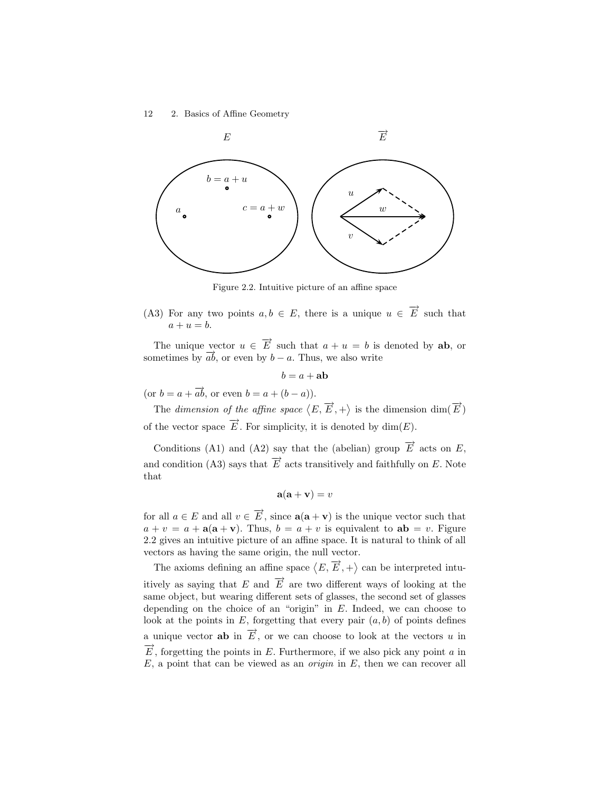

Figure 2.2. Intuitive picture of an affine space

(A3) For any two points  $a, b \in E$ , there is a unique  $u \in \overrightarrow{E}$  such that  $a + u = b$ .

The unique vector  $u \in \overrightarrow{E}$  such that  $a + u = b$  is denoted by **ab**, or sometimes by  $\overrightarrow{ab}$ , or even by  $b - a$ . Thus, we also write

 $b = a + ab$ 

(or  $b = a + \overrightarrow{ab}$ , or even  $b = a + (b - a)$ ).

The dimension of the affine space  $\langle E, \overrightarrow{E}, + \rangle$  is the dimension  $\dim(\overrightarrow{E})$ of the vector space  $\overrightarrow{E}$ . For simplicity, it is denoted by  $\dim(E)$ .

Conditions (A1) and (A2) say that the (abelian) group  $\overrightarrow{E}$  acts on E, and condition (A3) says that  $\overrightarrow{E}$  acts transitively and faithfully on E. Note that

$$
\mathbf{a}(\mathbf{a} + \mathbf{v}) = v
$$

for all  $a \in E$  and all  $v \in \overrightarrow{E}$ , since  $\mathbf{a}(\mathbf{a} + \mathbf{v})$  is the unique vector such that  $a + v = a + a(a + v)$ . Thus,  $b = a + v$  is equivalent to  $ab = v$ . Figure 2.2 gives an intuitive picture of an affine space. It is natural to think of all vectors as having the same origin, the null vector.

The axioms defining an affine space  $\langle E, \overrightarrow{E}, + \rangle$  can be interpreted intuitively as saying that E and  $\vec{E}$  are two different ways of looking at the same object, but wearing different sets of glasses, the second set of glasses depending on the choice of an "origin" in  $E$ . Indeed, we can choose to look at the points in  $E$ , forgetting that every pair  $(a, b)$  of points defines a unique vector **ab** in  $\overrightarrow{E}$ , or we can choose to look at the vectors u in  $\overrightarrow{E}$ , forgetting the points in E. Furthermore, if we also pick any point a in  $E$ , a point that can be viewed as an *origin* in  $E$ , then we can recover all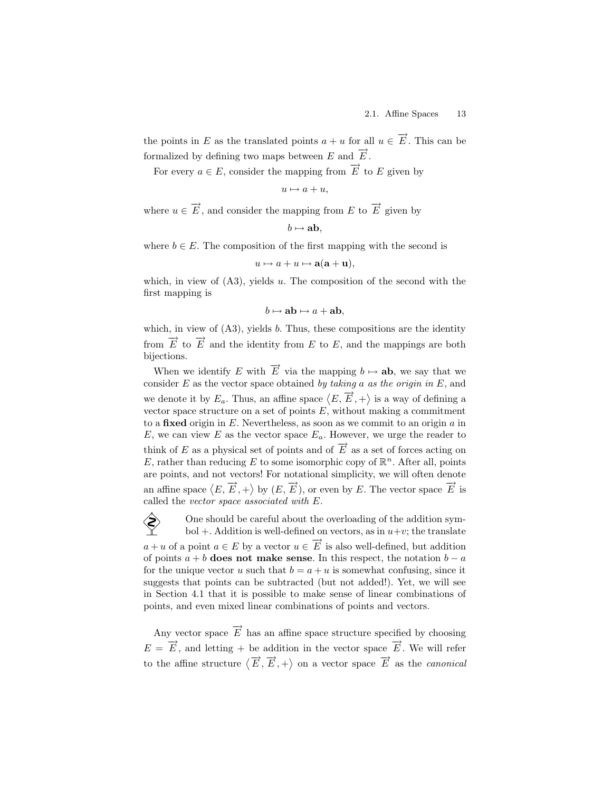the points in E as the translated points  $a + u$  for all  $u \in \overrightarrow{E}$ . This can be formalized by defining two maps between E and  $\vec{E}$ .

For every  $a \in E$ , consider the mapping from  $\overrightarrow{E}$  to E given by

 $u \mapsto a + u$ ,

where  $u \in \overrightarrow{E}$ , and consider the mapping from E to  $\overrightarrow{E}$  given by

$$
b\mapsto \mathbf{ab},
$$

where  $b \in E$ . The composition of the first mapping with the second is

$$
u \mapsto a + u \mapsto \mathbf{a}(\mathbf{a} + \mathbf{u}),
$$

which, in view of  $(A3)$ , yields u. The composition of the second with the first mapping is

$$
b \mapsto \mathbf{ab} \mapsto a + \mathbf{ab},
$$

which, in view of  $(A3)$ , yields b. Thus, these compositions are the identity from  $\overrightarrow{E}$  to  $\overrightarrow{E}$  and the identity from E to E, and the mappings are both bijections.

When we identify E with  $\overrightarrow{E}$  via the mapping  $b \mapsto ab$ , we say that we consider  $E$  as the vector space obtained by taking a as the origin in  $E$ , and we denote it by  $E_a$ . Thus, an affine space  $\langle E, \overrightarrow{E}, + \rangle$  is a way of defining a vector space structure on a set of points  $E$ , without making a commitment to a fixed origin in  $E$ . Nevertheless, as soon as we commit to an origin  $a$  in E, we can view E as the vector space  $E_a$ . However, we urge the reader to think of E as a physical set of points and of  $\overrightarrow{E}$  as a set of forces acting on E, rather than reducing E to some isomorphic copy of  $\mathbb{R}^n$ . After all, points are points, and not vectors! For notational simplicity, we will often denote an affine space  $\langle E, \overrightarrow{E}, + \rangle$  by  $(E, \overrightarrow{E})$ , or even by E. The vector space  $\overrightarrow{E}$  is called the vector space associated with E.

 $\diamondsuit$  One should be careful about the overloading of the addition symbol +. Addition is well-defined on vectors, as in  $u+v$ ; the translate bol +. Addition is well-defined on vectors, as in  $u+v$ ; the translate  $a + u$  of a point  $a \in E$  by a vector  $u \in \overrightarrow{E}$  is also well-defined, but addition of points  $a + b$  does not make sense. In this respect, the notation  $b - a$ for the unique vector u such that  $b = a + u$  is somewhat confusing, since it suggests that points can be subtracted (but not added!). Yet, we will see in Section 4.1 that it is possible to make sense of linear combinations of points, and even mixed linear combinations of points and vectors.

Any vector space  $\overrightarrow{E}$  has an affine space structure specified by choosing  $E = \overrightarrow{E}$ , and letting + be addition in the vector space  $\overrightarrow{E}$ . We will refer to the affine structure  $\langle \vec{E}, \vec{E}, + \rangle$  on a vector space  $\vec{E}$  as the *canonical*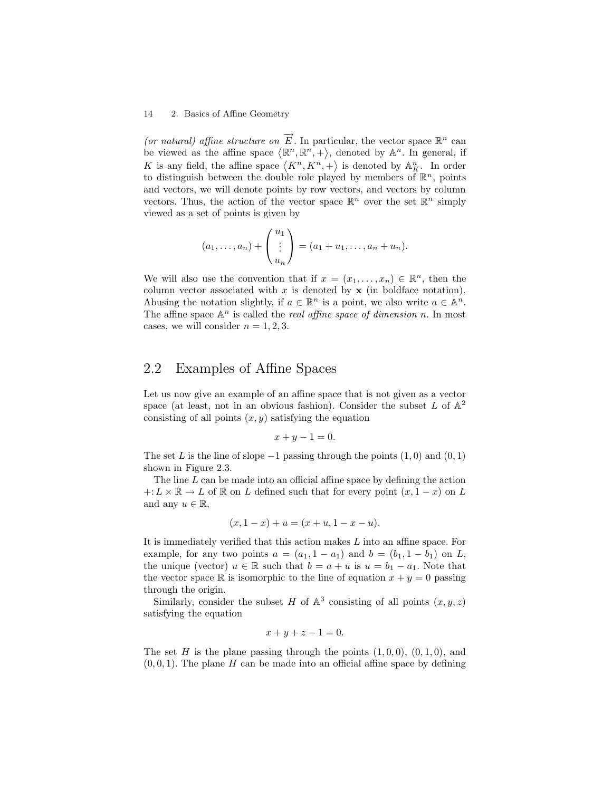(or natural) affine structure on  $\overrightarrow{E}$ . In particular, the vector space  $\mathbb{R}^n$  can be viewed as the affine space  $\langle \mathbb{R}^n, \mathbb{R}^n, + \rangle$ , denoted by  $\mathbb{A}^n$ . In general, if K is any field, the affine space  $\langle K^n, K^n, + \rangle$  is denoted by  $\mathbb{A}_{K}^n$ . In order to distinguish between the double role played by members of  $\mathbb{R}^n$ , points and vectors, we will denote points by row vectors, and vectors by column vectors. Thus, the action of the vector space  $\mathbb{R}^n$  over the set  $\mathbb{R}^n$  simply viewed as a set of points is given by

$$
(a_1,..., a_n)
$$
 +  $\begin{pmatrix} u_1 \\ \vdots \\ u_n \end{pmatrix}$  =  $(a_1 + u_1,..., a_n + u_n)$ .

We will also use the convention that if  $x = (x_1, \ldots, x_n) \in \mathbb{R}^n$ , then the column vector associated with  $x$  is denoted by  $x$  (in boldface notation). Abusing the notation slightly, if  $a \in \mathbb{R}^n$  is a point, we also write  $a \in \mathbb{A}^n$ . The affine space  $\mathbb{A}^n$  is called the *real affine space of dimension n*. In most cases, we will consider  $n = 1, 2, 3$ .

# 2.2 Examples of Affine Spaces

Let us now give an example of an affine space that is not given as a vector space (at least, not in an obvious fashion). Consider the subset  $L$  of  $\mathbb{A}^2$ consisting of all points  $(x, y)$  satisfying the equation

$$
x+y-1=0.
$$

The set L is the line of slope  $-1$  passing through the points  $(1,0)$  and  $(0,1)$ shown in Figure 2.3.

The line  $L$  can be made into an official affine space by defining the action  $+: L \times \mathbb{R} \to L$  of  $\mathbb{R}$  on L defined such that for every point  $(x, 1-x)$  on L and any  $u \in \mathbb{R}$ ,

$$
(x, 1-x) + u = (x+u, 1-x-u).
$$

It is immediately verified that this action makes L into an affine space. For example, for any two points  $a = (a_1, 1 - a_1)$  and  $b = (b_1, 1 - b_1)$  on L, the unique (vector)  $u \in \mathbb{R}$  such that  $b = a + u$  is  $u = b_1 - a_1$ . Note that the vector space  $\mathbb R$  is isomorphic to the line of equation  $x + y = 0$  passing through the origin.

Similarly, consider the subset H of  $\mathbb{A}^3$  consisting of all points  $(x, y, z)$ satisfying the equation

$$
x+y+z-1=0.
$$

The set H is the plane passing through the points  $(1, 0, 0)$ ,  $(0, 1, 0)$ , and  $(0, 0, 1)$ . The plane H can be made into an official affine space by defining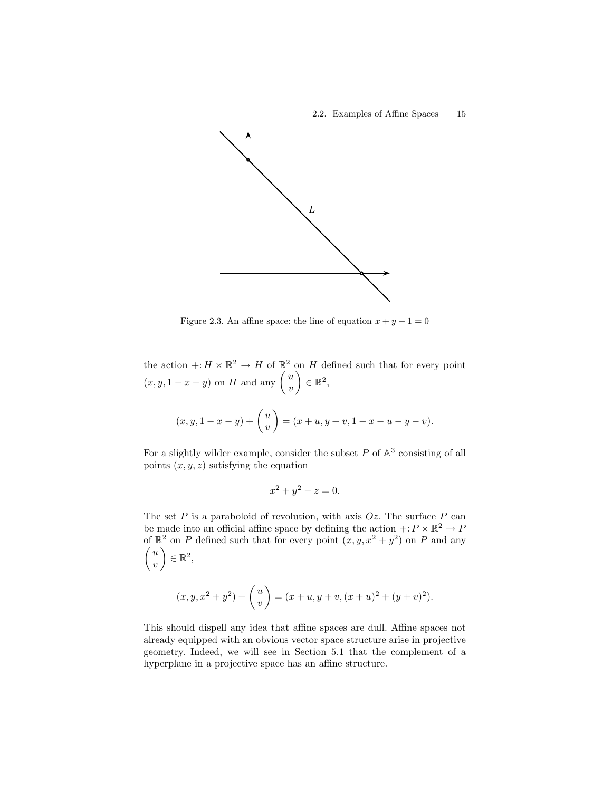

Figure 2.3. An affine space: the line of equation  $x + y - 1 = 0$ 

the action  $\div: H \times \mathbb{R}^2 \to H$  of  $\mathbb{R}^2$  on H defined such that for every point  $(x, y, 1-x-y)$  on H and any  $\begin{pmatrix} u \\ v \end{pmatrix}$  $\overline{v}$  $\Big) \in \mathbb{R}^2,$ 

$$
(x, y, 1 - x - y) + \binom{u}{v} = (x + u, y + v, 1 - x - u - y - v).
$$

For a slightly wilder example, consider the subset  $P$  of  $\mathbb{A}^3$  consisting of all points  $(x, y, z)$  satisfying the equation

$$
x^2 + y^2 - z = 0.
$$

The set  $P$  is a paraboloid of revolution, with axis  $Oz$ . The surface  $P$  can be made into an official affine space by defining the action  $\div P \times \mathbb{R}^2 \to P$ of  $\mathbb{R}^2$  on P defined such that for every point  $(x, y, x^2 + y^2)$  on P and any  $\sqrt{u}$  $\overline{v}$  $\Big) \in \mathbb{R}^2,$ 

$$
(x, y, x2 + y2) + {u \choose v} = (x + u, y + v, (x + u)2 + (y + v)2).
$$

This should dispell any idea that affine spaces are dull. Affine spaces not already equipped with an obvious vector space structure arise in projective geometry. Indeed, we will see in Section 5.1 that the complement of a hyperplane in a projective space has an affine structure.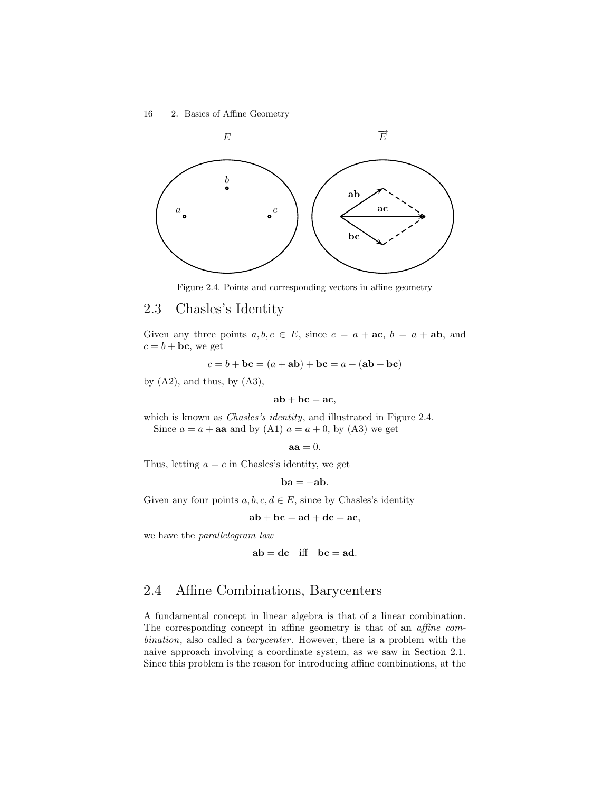

Figure 2.4. Points and corresponding vectors in affine geometry

# 2.3 Chasles's Identity

Given any three points  $a, b, c \in E$ , since  $c = a + \textbf{ac}, b = a + \textbf{ab}$ , and  $c = b + bc$ , we get

$$
c = b + \mathbf{bc} = (a + \mathbf{ab}) + \mathbf{bc} = a + (\mathbf{ab} + \mathbf{bc})
$$

by  $(A2)$ , and thus, by  $(A3)$ ,

$$
\mathbf{a}\mathbf{b} + \mathbf{b}\mathbf{c} = \mathbf{a}\mathbf{c},
$$

which is known as *Chasles's identity*, and illustrated in Figure 2.4. Since  $a = a + aa$  and by (A1)  $a = a + 0$ , by (A3) we get

$$
aa=0.
$$

Thus, letting  $a = c$  in Chasles's identity, we get

$$
\mathbf{ba} = -\mathbf{ab}.
$$

Given any four points  $a, b, c, d \in E$ , since by Chasles's identity

$$
ab + bc = ad + dc = ac,
$$

we have the *parallelogram* law

$$
ab = dc
$$
 iff  $bc = ad$ .

# 2.4 Affine Combinations, Barycenters

A fundamental concept in linear algebra is that of a linear combination. The corresponding concept in affine geometry is that of an affine combination, also called a *barycenter*. However, there is a problem with the naive approach involving a coordinate system, as we saw in Section 2.1. Since this problem is the reason for introducing affine combinations, at the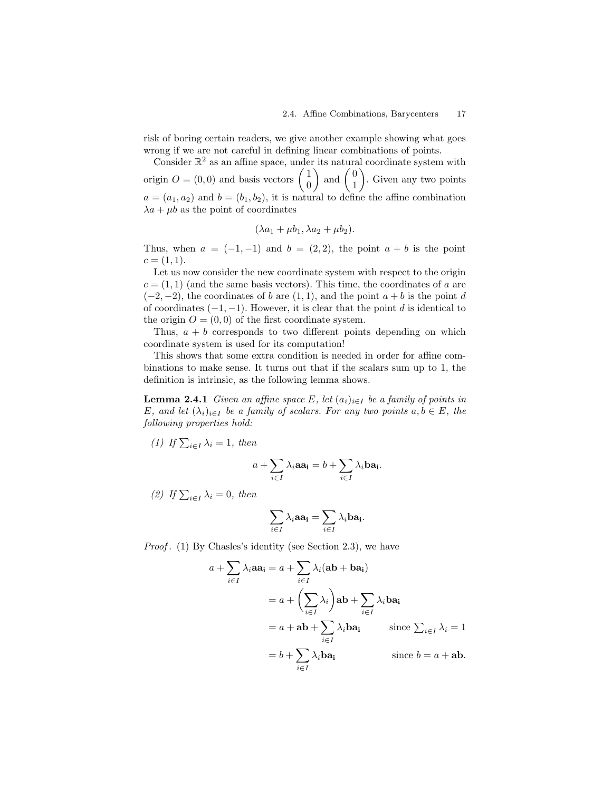risk of boring certain readers, we give another example showing what goes wrong if we are not careful in defining linear combinations of points.

Consider  $\mathbb{R}^2$  as an affine space, under its natural coordinate system with origin  $O = (0,0)$  and basis vectors  $\begin{pmatrix} 1 \\ 0 \end{pmatrix}$  $\theta$  $\Big)$  and  $\Big(\begin{array}{c} 0 \\ 1 \end{array}\Big)$ 1 ¶ . Given any two points  $a = (a_1, a_2)$  and  $b = (b_1, b_2)$ , it is natural to define the affine combination  $\lambda a + \mu b$  as the point of coordinates

$$
(\lambda a_1 + \mu b_1, \lambda a_2 + \mu b_2).
$$

Thus, when  $a = (-1, -1)$  and  $b = (2, 2)$ , the point  $a + b$  is the point  $c = (1, 1).$ 

Let us now consider the new coordinate system with respect to the origin  $c = (1, 1)$  (and the same basis vectors). This time, the coordinates of a are  $(-2, -2)$ , the coordinates of b are  $(1, 1)$ , and the point  $a + b$  is the point d of coordinates  $(-1, -1)$ . However, it is clear that the point d is identical to the origin  $O = (0, 0)$  of the first coordinate system.

Thus,  $a + b$  corresponds to two different points depending on which coordinate system is used for its computation!

This shows that some extra condition is needed in order for affine combinations to make sense. It turns out that if the scalars sum up to 1, the definition is intrinsic, as the following lemma shows.

**Lemma 2.4.1** Given an affine space E, let  $(a_i)_{i \in I}$  be a family of points in E, and let  $(\lambda_i)_{i\in I}$  be a family of scalars. For any two points  $a, b \in E$ , the following properties hold:

(1) If  $\sum_{i\in I} \lambda_i = 1$ , then

$$
a + \sum_{i \in I} \lambda_i a a_i = b + \sum_{i \in I} \lambda_i b a_i.
$$

(2) If  $\sum_{i\in I} \lambda_i = 0$ , then

$$
\sum_{i\in I}\lambda_i \mathbf{aa_i} = \sum_{i\in I}\lambda_i \mathbf{ba_i}.
$$

Proof. (1) By Chasles's identity (see Section 2.3), we have

$$
a + \sum_{i \in I} \lambda_i a a_i = a + \sum_{i \in I} \lambda_i (ab + ba_i)
$$
  
=  $a + \left(\sum_{i \in I} \lambda_i\right) ab + \sum_{i \in I} \lambda_i ba_i$   
=  $a + ab + \sum_{i \in I} \lambda_i ba_i$  since  $\sum_{i \in I} \lambda_i = 1$   
=  $b + \sum_{i \in I} \lambda_i ba_i$  since  $b = a + ab$ .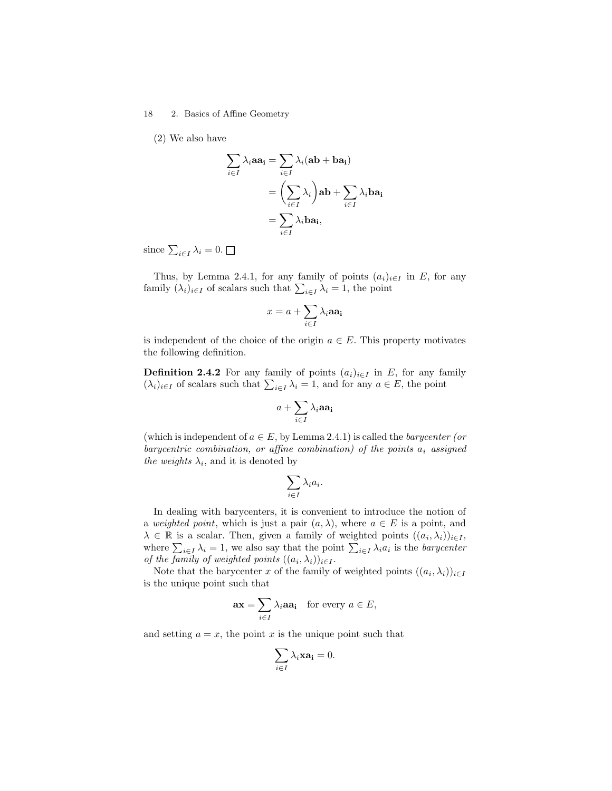(2) We also have

$$
\sum_{i \in I} \lambda_i a a_i = \sum_{i \in I} \lambda_i (ab + ba_i)
$$

$$
= \left(\sum_{i \in I} \lambda_i\right) ab + \sum_{i \in I} \lambda_i ba_i
$$

$$
= \sum_{i \in I} \lambda_i ba_i,
$$

since  $\sum_{i\in I}\lambda_i=0$ .

Thus, by Lemma 2.4.1, for any family of points  $(a_i)_{i\in I}$  in E, for any family  $(\lambda_i)_{i \in I}$  of scalars such that  $\sum_{i \in I} \lambda_i = 1$ , the point

$$
x = a + \sum_{i \in I} \lambda_i \mathbf{aa_i}
$$

is independent of the choice of the origin  $a \in E$ . This property motivates the following definition.

**Definition 2.4.2** For any family of points  $(a_i)_{i\in I}$  in E, for any family  $(\lambda_i)_{i\in I}$  of scalars such that  $\sum_{i\in I} \lambda_i = 1$ , and for any  $a \in E$ , the point

$$
a+\sum_{i\in I}\lambda_i\mathbf{aa_i}
$$

(which is independent of  $a \in E$ , by Lemma 2.4.1) is called the *barycenter (or* barycentric combination, or affine combination) of the points  $a_i$  assigned the weights  $\lambda_i$ , and it is denoted by

$$
\sum_{i\in I}\lambda_ia_i.
$$

In dealing with barycenters, it is convenient to introduce the notion of a weighted point, which is just a pair  $(a, \lambda)$ , where  $a \in E$  is a point, and  $\lambda \in \mathbb{R}$  is a scalar. Then, given a family of weighted points  $((a_i, \lambda_i))_{i \in I}$ , where  $\sum_{i\in I}\lambda_i=1$ , we also say that the point  $\sum_{i\in I}\lambda_i a_i$  is the *barycenter* of the family of weighted points  $((a_i, \lambda_i))_{i \in I}$ .

Note that the barycenter x of the family of weighted points  $((a_i, \lambda_i))_{i \in I}$ is the unique point such that

$$
\mathbf{ax} = \sum_{i \in I} \lambda_i \mathbf{aa_i} \quad \text{for every } a \in E,
$$

and setting  $a = x$ , the point x is the unique point such that

$$
\sum_{i\in I}\lambda_i\mathbf{x}\mathbf{a_i}=0.
$$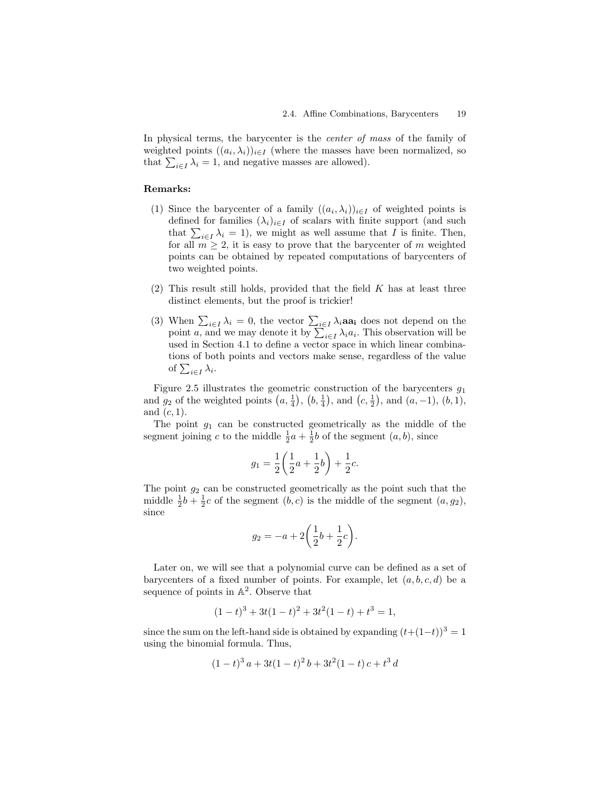In physical terms, the barycenter is the *center of mass* of the family of weighted points  $((a_i, \lambda_i))_{i \in I}$  (where the masses have been normalized, so that  $\sum_{i \in I} \lambda_i = 1$ , and negative masses are allowed).

#### Remarks:

- (1) Since the barycenter of a family  $((a_i, \lambda_i))_{i \in I}$  of weighted points is defined for families  $(\lambda_i)_{i\in I}$  of scalars with finite support (and such that  $\sum_{i\in I}\lambda_i = 1$ , we might as well assume that I is finite. Then, for all  $m \geq 2$ , it is easy to prove that the barycenter of m weighted points can be obtained by repeated computations of barycenters of two weighted points.
- (2) This result still holds, provided that the field  $K$  has at least three distinct elements, but the proof is trickier!
- (3) When  $\sum_{i\in I}\lambda_i=0$ , the vector  $\sum_{i\in I}\lambda_i$  aa<sub>i</sub> does not depend on the point *a*, and we may denote it by  $\sum_{i \in I} \lambda_i a_i$ . This observation will be used in Section 4.1 to define a vector space in which linear combinations of both points and vectors make sense, regardless of the value of  $\sum_{i\in I}\lambda_i$ .

Figure 2.5 illustrates the geometric construction of the barycenters  $g_1$ and  $g_2$  of the weighted points  $(a, \frac{1}{4}), (b, \frac{1}{4}),$  and  $(c, \frac{1}{2}),$  and  $(a, -1), (b, 1),$ and  $(c, 1)$ .

The point  $g_1$  can be constructed geometrically as the middle of the segment joining c to the middle  $\frac{1}{2}a + \frac{1}{2}b$  of the segment  $(a, b)$ , since

$$
g_1 = \frac{1}{2} \left( \frac{1}{2}a + \frac{1}{2}b \right) + \frac{1}{2}c.
$$

The point  $g_2$  can be constructed geometrically as the point such that the middle  $\frac{1}{2}b + \frac{1}{2}c$  of the segment  $(b, c)$  is the middle of the segment  $(a, g_2)$ , since

$$
g_2 = -a + 2\left(\frac{1}{2}b + \frac{1}{2}c\right).
$$

Later on, we will see that a polynomial curve can be defined as a set of barycenters of a fixed number of points. For example, let  $(a, b, c, d)$  be a sequence of points in  $\mathbb{A}^2$ . Observe that

$$
(1-t)^3 + 3t(1-t)^2 + 3t^2(1-t) + t^3 = 1,
$$

since the sum on the left-hand side is obtained by expanding  $(t+(1-t))^3 = 1$ using the binomial formula. Thus,

$$
(1-t)^3 a + 3t(1-t)^2 b + 3t^2(1-t) c + t^3 d
$$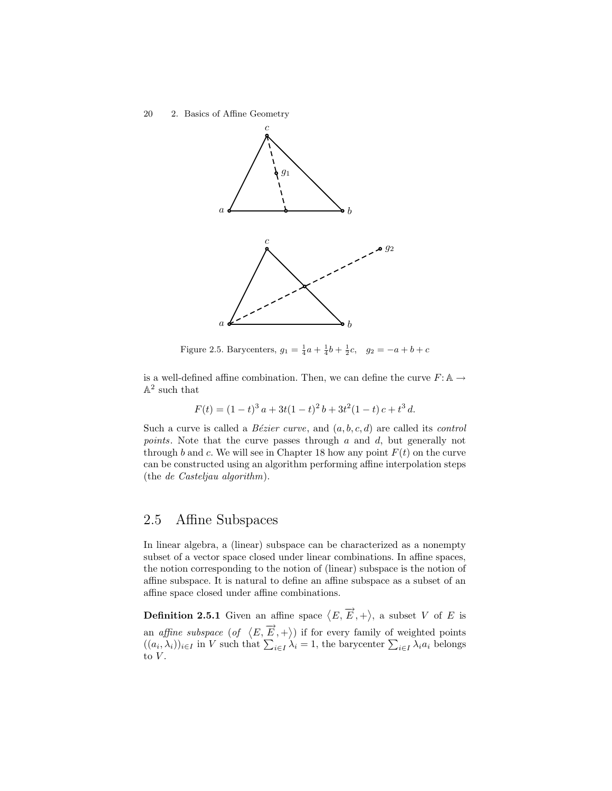

Figure 2.5. Barycenters,  $g_1 = \frac{1}{4}a + \frac{1}{4}b + \frac{1}{2}c$ ,  $g_2 = -a + b + c$ 

is a well-defined affine combination. Then, we can define the curve  $F: A \rightarrow$  $\mathbb{A}^2$  such that

$$
F(t) = (1-t)^3 a + 3t(1-t)^2 b + 3t^2(1-t) c + t^3 d.
$$

Such a curve is called a *Bézier curve*, and  $(a, b, c, d)$  are called its *control* points. Note that the curve passes through a and d, but generally not through b and c. We will see in Chapter 18 how any point  $F(t)$  on the curve can be constructed using an algorithm performing affine interpolation steps (the de Casteljau algorithm).

## 2.5 Affine Subspaces

In linear algebra, a (linear) subspace can be characterized as a nonempty subset of a vector space closed under linear combinations. In affine spaces, the notion corresponding to the notion of (linear) subspace is the notion of affine subspace. It is natural to define an affine subspace as a subset of an affine space closed under affine combinations.

**Definition 2.5.1** Given an affine space  $\langle E, \overrightarrow{E}, + \rangle$ , a subset V of E is an affine subspace  $(\circ f \langle E, \overrightarrow{E}, + \rangle)$  if for every family of weighted points  $((a_i, \lambda_i))_{i \in I}$  in V such that  $\sum_{i \in I} \lambda_i = 1$ , the barycenter  $\sum_{i \in I} \lambda_i a_i$  belongs to  $V$ .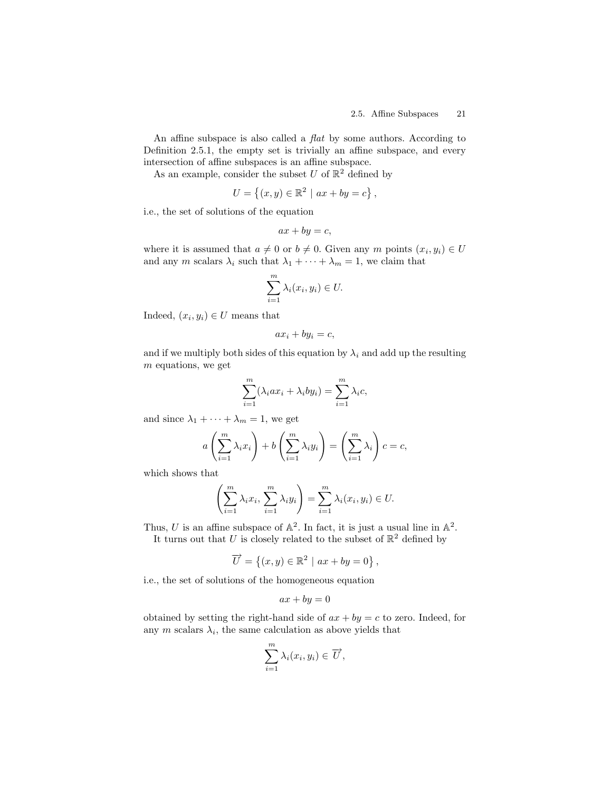An affine subspace is also called a *flat* by some authors. According to Definition 2.5.1, the empty set is trivially an affine subspace, and every intersection of affine subspaces is an affine subspace.

As an example, consider the subset U of  $\mathbb{R}^2$  defined by

$$
U = \{(x, y) \in \mathbb{R}^2 \mid ax + by = c\},\
$$

i.e., the set of solutions of the equation

$$
ax + by = c,
$$

where it is assumed that  $a \neq 0$  or  $b \neq 0$ . Given any m points  $(x_i, y_i) \in U$ and any m scalars  $\lambda_i$  such that  $\lambda_1 + \cdots + \lambda_m = 1$ , we claim that

$$
\sum_{i=1}^{m} \lambda_i(x_i, y_i) \in U.
$$

Indeed,  $(x_i, y_i) \in U$  means that

$$
ax_i + by_i = c,
$$

and if we multiply both sides of this equation by  $\lambda_i$  and add up the resulting m equations, we get

$$
\sum_{i=1}^{m} (\lambda_i a x_i + \lambda_i b y_i) = \sum_{i=1}^{m} \lambda_i c,
$$

and since  $\lambda_1 + \cdots + \lambda_m = 1$ , we get

$$
a\left(\sum_{i=1}^m \lambda_i x_i\right) + b\left(\sum_{i=1}^m \lambda_i y_i\right) = \left(\sum_{i=1}^m \lambda_i\right) c = c,
$$

which shows that

$$
\left(\sum_{i=1}^m \lambda_i x_i, \sum_{i=1}^m \lambda_i y_i\right) = \sum_{i=1}^m \lambda_i (x_i, y_i) \in U.
$$

Thus, U is an affine subspace of  $\mathbb{A}^2$ . In fact, it is just a usual line in  $\mathbb{A}^2$ . It turns out that U is closely related to the subset of  $\mathbb{R}^2$  defined by

$$
\overrightarrow{U} = \{(x, y) \in \mathbb{R}^2 \mid ax + by = 0\},\
$$

i.e., the set of solutions of the homogeneous equation

$$
ax + by = 0
$$

obtained by setting the right-hand side of  $ax + by = c$  to zero. Indeed, for any  $m$  scalars  $\lambda_i$ , the same calculation as above yields that

$$
\sum_{i=1}^m \lambda_i(x_i, y_i) \in \overrightarrow{U},
$$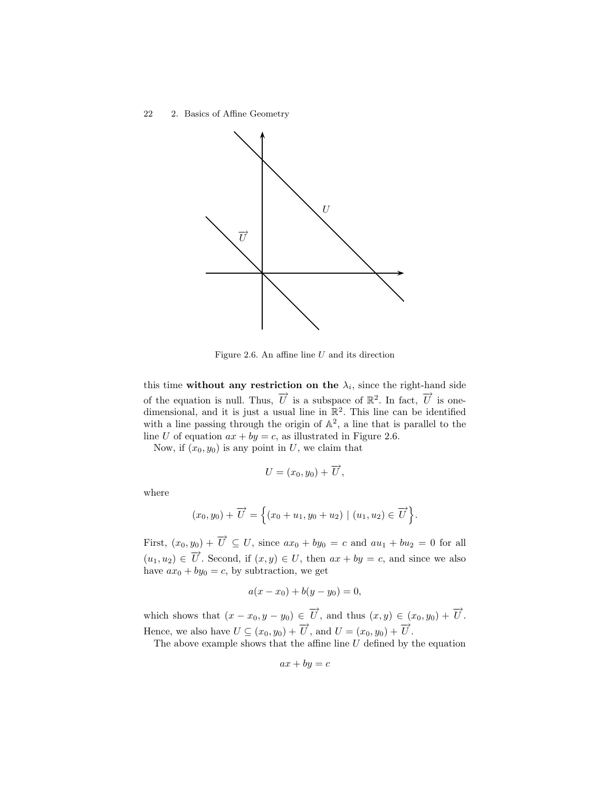

Figure 2.6. An affine line  $U$  and its direction

this time without any restriction on the  $\lambda_i$ , since the right-hand side of the equation is null. Thus,  $\vec{U}$  is a subspace of  $\mathbb{R}^2$ . In fact,  $\vec{U}$  is onedimensional, and it is just a usual line in  $\mathbb{R}^2$ . This line can be identified with a line passing through the origin of  $\mathbb{A}^2$ , a line that is parallel to the line U of equation  $ax + by = c$ , as illustrated in Figure 2.6.

Now, if  $(x_0, y_0)$  is any point in U, we claim that

$$
U=(x_0,y_0)+\overrightarrow{U},
$$

where

$$
(x_0, y_0) + \overrightarrow{U} = \left\{ (x_0 + u_1, y_0 + u_2) \mid (u_1, u_2) \in \overrightarrow{U} \right\}.
$$

First,  $(x_0, y_0) + \overrightarrow{U} \subseteq U$ , since  $ax_0 + by_0 = c$  and  $au_1 + bu_2 = 0$  for all  $(u_1, u_2) \in \overrightarrow{U}$ . Second, if  $(x, y) \in U$ , then  $ax + by = c$ , and since we also have  $ax_0 + by_0 = c$ , by subtraction, we get

$$
a(x - x_0) + b(y - y_0) = 0,
$$

which shows that  $(x - x_0, y - y_0) \in \overrightarrow{U}$ , and thus  $(x, y) \in (x_0, y_0) + \overrightarrow{U}$ . Hence, we also have  $U \subseteq (x_0, y_0) + \overrightarrow{U}$ , and  $U = (x_0, y_0) + \overrightarrow{U}$ .

The above example shows that the affine line  $U$  defined by the equation

$$
ax + by = c
$$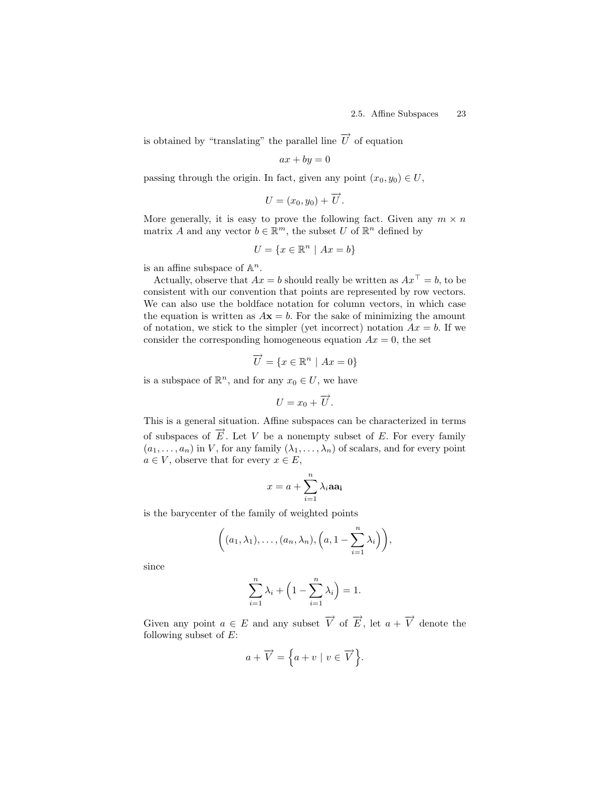is obtained by "translating" the parallel line  $\overrightarrow{U}$  of equation

$$
ax + by = 0
$$

passing through the origin. In fact, given any point  $(x_0, y_0) \in U$ ,

$$
U=(x_0,y_0)+\overrightarrow{U}.
$$

More generally, it is easy to prove the following fact. Given any  $m \times n$ matrix A and any vector  $b \in \mathbb{R}^m$ , the subset U of  $\mathbb{R}^n$  defined by

$$
U=\{x\in\mathbb{R}^n\ |\ Ax=b\}
$$

is an affine subspace of  $\mathbb{A}^n$ .

Actually, observe that  $Ax = b$  should really be written as  $Ax^{\top} = b$ , to be consistent with our convention that points are represented by row vectors. We can also use the boldface notation for column vectors, in which case the equation is written as  $A\mathbf{x} = b$ . For the sake of minimizing the amount of notation, we stick to the simpler (yet incorrect) notation  $Ax = b$ . If we consider the corresponding homogeneous equation  $Ax = 0$ , the set

$$
\overrightarrow{U} = \{x \in \mathbb{R}^n \mid Ax = 0\}
$$

is a subspace of  $\mathbb{R}^n$ , and for any  $x_0 \in U$ , we have

$$
U=x_0+\overrightarrow{U}.
$$

This is a general situation. Affine subspaces can be characterized in terms of subspaces of  $\overrightarrow{E}$ . Let V be a nonempty subset of E. For every family  $(a_1, \ldots, a_n)$  in V, for any family  $(\lambda_1, \ldots, \lambda_n)$  of scalars, and for every point  $a \in V$ , observe that for every  $x \in E$ ,

$$
x = a + \sum_{i=1}^{n} \lambda_i a a_i
$$

is the barycenter of the family of weighted points

$$
\left((a_1,\lambda_1),\ldots,(a_n,\lambda_n),\left(a,1-\sum_{i=1}^n\lambda_i\right)\right),\right
$$

since

$$
\sum_{i=1}^{n} \lambda_i + \left(1 - \sum_{i=1}^{n} \lambda_i\right) = 1.
$$

Given any point  $a \in E$  and any subset  $\overrightarrow{V}$  of  $\overrightarrow{E}$ , let  $a + \overrightarrow{V}$  denote the following subset of  $E$ :

$$
a + \overrightarrow{V} = \left\{ a + v \mid v \in \overrightarrow{V} \right\}.
$$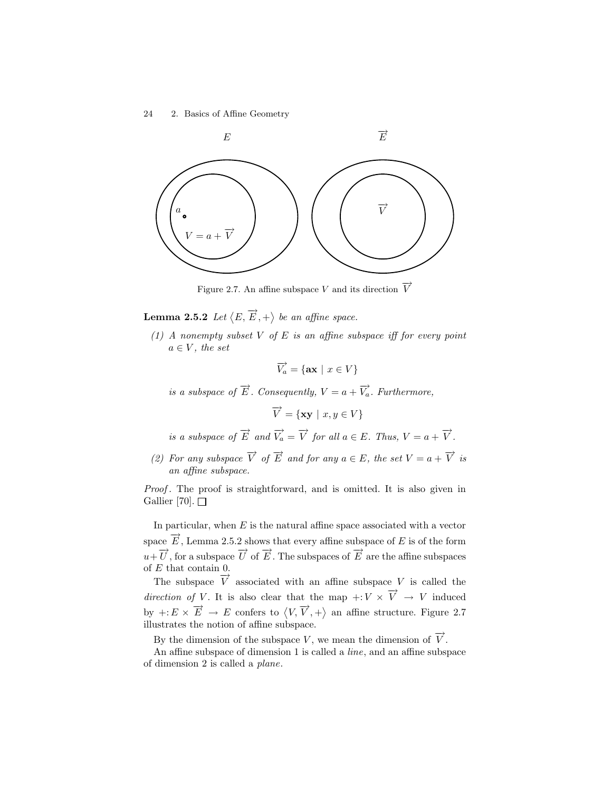

Figure 2.7. An affine subspace V and its direction  $\overrightarrow{V}$ 

**Lemma 2.5.2** Let  $\langle E, \overrightarrow{E}, + \rangle$  be an affine space.

(1) A nonempty subset  $V$  of  $E$  is an affine subspace iff for every point  $a \in V$ , the set

$$
\overrightarrow{V_a} = \{ \mathbf{ax} \mid x \in V \}
$$

is a subspace of  $\overrightarrow{E}$ . Consequently,  $V = a + \overrightarrow{V}_a$ . Furthermore,

$$
\overrightarrow{V} = \{ \mathbf{xy} \mid x, y \in V \}
$$

is a subspace of  $\overrightarrow{E}$  and  $\overrightarrow{V}_a = \overrightarrow{V}$  for all  $a \in E$ . Thus,  $V = a + \overrightarrow{V}$ .

(2) For any subspace  $\overrightarrow{V}$  of  $\overrightarrow{E}$  and for any  $a \in E$ , the set  $V = a + \overrightarrow{V}$  is an affine subspace.

Proof. The proof is straightforward, and is omitted. It is also given in Gallier [70].  $\Box$ 

In particular, when  $E$  is the natural affine space associated with a vector space  $\overrightarrow{E}$ , Lemma 2.5.2 shows that every affine subspace of E is of the form  $u+\overrightarrow{U}$ , for a subspace  $\overrightarrow{U}$  of  $\overrightarrow{E}$ . The subspaces of  $\overrightarrow{E}$  are the affine subspaces of E that contain 0.

The subspace  $\overrightarrow{V}$  associated with an affine subspace V is called the direction of V. It is also clear that the map  $\overrightarrow{v} \times \overrightarrow{V} \rightarrow V$  induced by  $+: E \times \overrightarrow{E} \to E$  confers to  $\langle V, \overrightarrow{V}, + \rangle$  an affine structure. Figure 2.7 illustrates the notion of affine subspace.

By the dimension of the subspace V, we mean the dimension of  $\overrightarrow{V}$ .

An affine subspace of dimension 1 is called a line, and an affine subspace of dimension 2 is called a plane.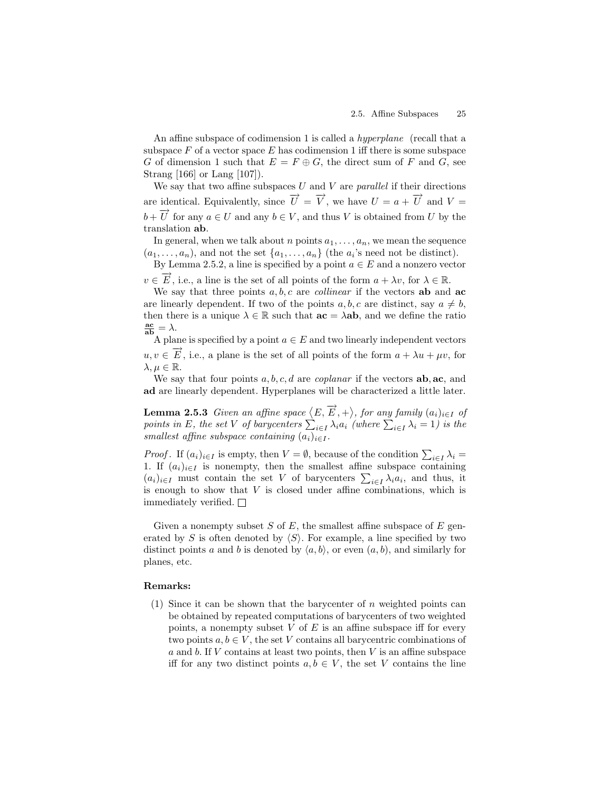An affine subspace of codimension 1 is called a hyperplane (recall that a subspace  $F$  of a vector space  $E$  has codimension 1 iff there is some subspace G of dimension 1 such that  $E = F \oplus G$ , the direct sum of F and G, see Strang [166] or Lang [107]).

We say that two affine subspaces  $U$  and  $V$  are *parallel* if their directions are identical. Equivalently, since  $\overrightarrow{U} = \overrightarrow{V}$ , we have  $U = a + \overrightarrow{U}$  and  $V =$  $b + \overrightarrow{U}$  for any  $a \in U$  and any  $b \in V$ , and thus V is obtained from U by the translation ab.

In general, when we talk about n points  $a_1, \ldots, a_n$ , we mean the sequence  $(a_1, \ldots, a_n)$ , and not the set  $\{a_1, \ldots, a_n\}$  (the  $a_i$ 's need not be distinct).

By Lemma 2.5.2, a line is specified by a point  $a \in E$  and a nonzero vector

 $v \in \overrightarrow{E}$ , i.e., a line is the set of all points of the form  $a + \lambda v$ , for  $\lambda \in \mathbb{R}$ .

We say that three points  $a, b, c$  are *collinear* if the vectors **ab** and **ac** are linearly dependent. If two of the points a, b, c are distinct, say  $a \neq b$ , then there is a unique  $\lambda \in \mathbb{R}$  such that  $ac = \lambda ab$ , and we define the ratio  $rac{\text{ac}}{\text{ab}} = \lambda.$ 

A plane is specified by a point  $a \in E$  and two linearly independent vectors  $u, v \in \overrightarrow{E}$ , i.e., a plane is the set of all points of the form  $a + \lambda u + \mu v$ , for  $\lambda, \mu \in \mathbb{R}$ .

We say that four points  $a, b, c, d$  are *coplanar* if the vectors  $ab, ac, and$ ad are linearly dependent. Hyperplanes will be characterized a little later.

**Lemma 2.5.3** Given an affine space  $\langle E, \overrightarrow{E}, + \rangle$ , for any family  $(a_i)_{i \in I}$  of points in E, the set V of barycenters  $\sum_{i\in I}\lambda_ia_i$  (where  $\sum_{i\in I}\lambda_i=1$ ) is the smallest affine subspace containing  $(a_i)_{i\in I}$ .

*Proof.* If  $(a_i)_{i \in I}$  is empty, then  $V = \emptyset$ , because of the condition  $\sum_{i \in I} \lambda_i =$ 1. If  $(a_i)_{i\in I}$  is nonempty, then the smallest affine subspace containing  $(a_i)_{i\in I}$  must contain the set V of barycenters  $\sum_{i\in I} \lambda_i a_i$ , and thus, it is enough to show that  $V$  is closed under affine combinations, which is immediately verified.  $\Box$ 

Given a nonempty subset  $S$  of  $E$ , the smallest affine subspace of  $E$  generated by S is often denoted by  $\langle S \rangle$ . For example, a line specified by two distinct points a and b is denoted by  $\langle a, b \rangle$ , or even  $(a, b)$ , and similarly for planes, etc.

#### Remarks:

(1) Since it can be shown that the barycenter of  $n$  weighted points can be obtained by repeated computations of barycenters of two weighted points, a nonempty subset  $V$  of  $E$  is an affine subspace iff for every two points  $a, b \in V$ , the set V contains all barycentric combinations of a and b. If  $V$  contains at least two points, then  $V$  is an affine subspace iff for any two distinct points  $a, b \in V$ , the set V contains the line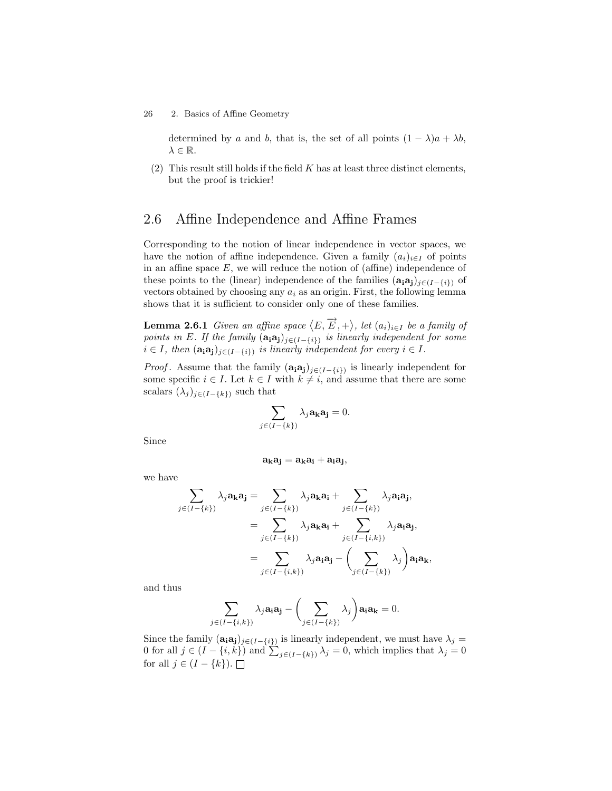determined by a and b, that is, the set of all points  $(1 - \lambda)a + \lambda b$ ,  $\lambda \in \mathbb{R}$ .

 $(2)$  This result still holds if the field K has at least three distinct elements, but the proof is trickier!

## 2.6 Affine Independence and Affine Frames

Corresponding to the notion of linear independence in vector spaces, we have the notion of affine independence. Given a family  $(a_i)_{i\in I}$  of points in an affine space  $E$ , we will reduce the notion of (affine) independence of these points to the (linear) independence of the families  $(\mathbf{a}_i \mathbf{a}_j)_{j \in (I-\{i\})}$  of vectors obtained by choosing any  $a_i$  as an origin. First, the following lemma shows that it is sufficient to consider only one of these families.

**Lemma 2.6.1** Given an affine space  $\langle E, \overrightarrow{E}, + \rangle$ , let  $(a_i)_{i \in I}$  be a family of points in E. If the family  $(a_i a_j)_{j\in (I-\{i\})}$  is linearly independent for some  $i \in I$ , then  $(\mathbf{a_i a_j})_{j \in (I - \{i\})}$  is linearly independent for every  $i \in I$ .

*Proof.* Assume that the family  $(a_i a_j)_{j \in (I - \{i\})}$  is linearly independent for some specific  $i \in I$ . Let  $k \in I$  with  $k \neq i$ , and assume that there are some scalars  $(\lambda_j)_{j\in (I-\{k\})}$  such that

$$
\sum_{j\in (I-\{k\})} \lambda_j \mathbf{a_k} \mathbf{a_j} = 0.
$$

Since

$$
\mathbf{a_k}\mathbf{a_j} = \mathbf{a_k}\mathbf{a_i} + \mathbf{a_i}\mathbf{a_j},
$$

we have

$$
\sum_{j \in (I - \{k\})} \lambda_j \mathbf{a_k} \mathbf{a_j} = \sum_{j \in (I - \{k\})} \lambda_j \mathbf{a_k} \mathbf{a_i} + \sum_{j \in (I - \{k\})} \lambda_j \mathbf{a_i} \mathbf{a_j},
$$
\n
$$
= \sum_{j \in (I - \{k\})} \lambda_j \mathbf{a_k} \mathbf{a_i} + \sum_{j \in (I - \{i, k\})} \lambda_j \mathbf{a_i} \mathbf{a_j},
$$
\n
$$
= \sum_{j \in (I - \{i, k\})} \lambda_j \mathbf{a_i} \mathbf{a_j} - \left(\sum_{j \in (I - \{k\})} \lambda_j\right) \mathbf{a_i} \mathbf{a_k},
$$

and thus

$$
\sum_{j\in (I-\{i,k\})} \lambda_j \mathbf{a_i a_j} - \left(\sum_{j\in (I-\{k\})} \lambda_j\right) \mathbf{a_i a_k} = 0.
$$

Since the family  $(\mathbf{a}_i \mathbf{a}_j)_{j \in (I - \{i\})}$  is linearly independent, we must have  $\lambda_j =$ 0 for all  $j \in (I - \{i, k\})$  and  $\sum_{j \in (I - \{k\})} \lambda_j = 0$ , which implies that  $\lambda_j = 0$ for all  $j \in (I - \{k\})$ .  $\Box$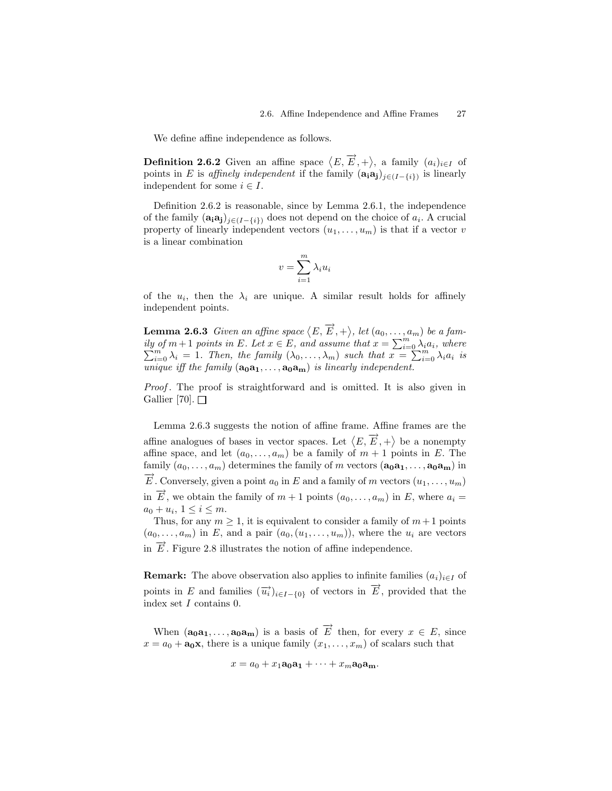We define affine independence as follows.

**Definition 2.6.2** Given an affine space  $\langle E, \overrightarrow{E}, + \rangle$ , a family  $(a_i)_{i \in I}$  of points in E is affinely independent if the family  $(\mathbf{a}_i \mathbf{a}_j)_{j \in (I - \{i\})}$  is linearly independent for some  $i \in I$ .

Definition 2.6.2 is reasonable, since by Lemma 2.6.1, the independence of the family  $(a_i a_j)_{j\in (I-\{i\})}$  does not depend on the choice of  $a_i$ . A crucial property of linearly independent vectors  $(u_1, \ldots, u_m)$  is that if a vector v is a linear combination

$$
v = \sum_{i=1}^{m} \lambda_i u_i
$$

of the  $u_i$ , then the  $\lambda_i$  are unique. A similar result holds for affinely independent points.

**Lemma 2.6.3** Given an affine space  $\langle E, \overrightarrow{E}, + \rangle$ , let  $(a_0, \ldots, a_m)$  be a family of  $m+1$  points in E. Let  $x \in E$ , and assume that  $x = \sum_{i=0}^{m} \lambda_i a_i$ , where  $\sum_{i=0}^{m} \lambda_i = 1$ . Then, the family  $(\lambda_0, \ldots, \lambda_m)$  such that  $x = \sum_{i=0}^{m} \lambda_i a_i$  is unique iff the family  $(a_0a_1, \ldots, a_0a_m)$  is linearly independent.

Proof . The proof is straightforward and is omitted. It is also given in Gallier [70].  $\Box$ 

Lemma 2.6.3 suggests the notion of affine frame. Affine frames are the affine analogues of bases in vector spaces. Let  $\langle E, \overrightarrow{E}, + \rangle$  be a nonempty affine space, and let  $(a_0, \ldots, a_m)$  be a family of  $m + 1$  points in E. The family  $(a_0, \ldots, a_m)$  determines the family of m vectors  $(a_0a_1, \ldots, a_0a_m)$  in  $\overline{E}$ . Conversely, given a point  $a_0$  in E and a family of m vectors  $(u_1, \ldots, u_m)$ in  $\overrightarrow{E}$ , we obtain the family of  $m + 1$  points  $(a_0, \ldots, a_m)$  in E, where  $a_i =$  $a_0 + u_i, \ 1 \leq i \leq m.$ 

Thus, for any  $m \geq 1$ , it is equivalent to consider a family of  $m+1$  points  $(a_0, \ldots, a_m)$  in E, and a pair  $(a_0, (u_1, \ldots, u_m))$ , where the  $u_i$  are vectors in  $\overrightarrow{E}$ . Figure 2.8 illustrates the notion of affine independence.

**Remark:** The above observation also applies to infinite families  $(a_i)_{i \in I}$  of points in E and families  $(\overrightarrow{u_i})_{i\in I-\{0\}}$  of vectors in  $\overrightarrow{E}$ , provided that the index set I contains 0.

When  $(a_0a_1,\ldots,a_0a_m)$  is a basis of  $\overrightarrow{E}$  then, for every  $x \in E$ , since  $x = a_0 + \mathbf{a_0} \mathbf{x}$ , there is a unique family  $(x_1, \ldots, x_m)$  of scalars such that

$$
x = a_0 + x_1 \mathbf{a_0} \mathbf{a_1} + \cdots + x_m \mathbf{a_0} \mathbf{a_m}.
$$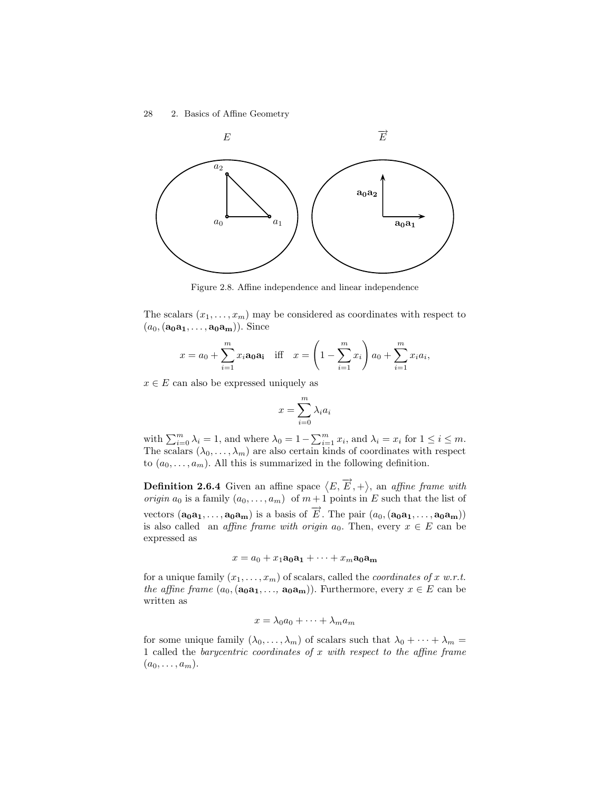

Figure 2.8. Affine independence and linear independence

The scalars  $(x_1, \ldots, x_m)$  may be considered as coordinates with respect to  $(a_0,(\mathbf{a_0a_1},\ldots,\mathbf{a_0a_m}))$ . Since

$$
x = a_0 + \sum_{i=1}^{m} x_i \mathbf{a_0} \mathbf{a_i}
$$
 iff  $x = \left(1 - \sum_{i=1}^{m} x_i\right) a_0 + \sum_{i=1}^{m} x_i a_i$ ,

 $x \in E$  can also be expressed uniquely as

$$
x = \sum_{i=0}^{m} \lambda_i a_i
$$

with  $\sum_{i=0}^{m} \lambda_i = 1$ , and where  $\lambda_0 = 1 - \sum_{i=1}^{m} x_i$ , and  $\lambda_i = x_i$  for  $1 \le i \le m$ . The scalars  $(\lambda_0, \ldots, \lambda_m)$  are also certain kinds of coordinates with respect to  $(a_0, \ldots, a_m)$ . All this is summarized in the following definition.

**Definition 2.6.4** Given an affine space  $\langle E, \overrightarrow{E}, + \rangle$ , an *affine frame with origin*  $a_0$  is a family  $(a_0, \ldots, a_m)$  of  $m+1$  points in E such that the list of vectors  $(a_0a_1, \ldots, a_0a_m)$  is a basis of  $\overrightarrow{E}$ . The pair  $(a_0, (a_0a_1, \ldots, a_0a_m))$ is also called an *affine frame with origin*  $a_0$ . Then, every  $x \in E$  can be expressed as

 $x = a_0 + x_1a_0a_1 + \cdots + x_m a_0a_m$ 

for a unique family  $(x_1, \ldots, x_m)$  of scalars, called the *coordinates of x w.r.t.* the affine frame  $(a_0, (a_0a_1, \ldots, a_0a_m))$ . Furthermore, every  $x \in E$  can be written as

$$
x = \lambda_0 a_0 + \dots + \lambda_m a_m
$$

for some unique family  $(\lambda_0, \ldots, \lambda_m)$  of scalars such that  $\lambda_0 + \cdots + \lambda_m =$ 1 called the barycentric coordinates of  $x$  with respect to the affine frame  $(a_0, \ldots, a_m).$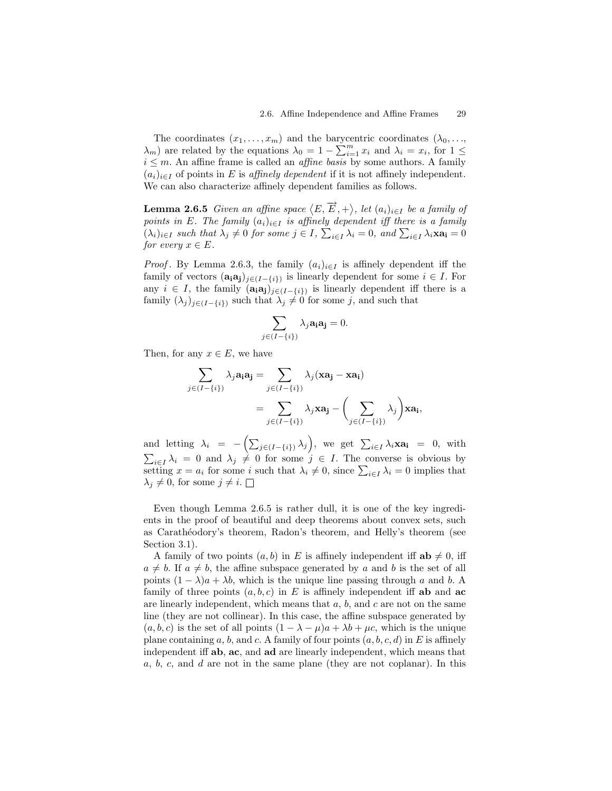The coordinates  $(x_1, \ldots, x_m)$  and the barycentric coordinates  $(\lambda_0, \ldots,$  $\lambda_m$ ) are related by the equations  $\lambda_0 = 1 - \sum_{i=1}^m x_i$  and  $\lambda_i = x_i$ , for  $1 \leq$  $i \leq m$ . An affine frame is called an *affine basis* by some authors. A family  $(a_i)_{i\in I}$  of points in E is affinely dependent if it is not affinely independent. We can also characterize affinely dependent families as follows.

**Lemma 2.6.5** Given an affine space  $\langle E, \overrightarrow{E}, + \rangle$ , let  $(a_i)_{i \in I}$  be a family of points in E. The family  $(a_i)_{i\in I}$  is affinely dependent iff there is a family  $(\lambda_i)_{i\in I}$  such that  $\lambda_j \neq 0$  for some  $j \in I$ ,  $\sum_{i\in I} \lambda_i = 0$ , and  $\sum_{i\in I} \lambda_i \mathbf{xa_i} = 0$ for every  $x \in E$ .

*Proof.* By Lemma 2.6.3, the family  $(a_i)_{i\in I}$  is affinely dependent iff the family of vectors  $(\mathbf{a_i}\mathbf{a_j})_{j\in (I-\{i\})}$  is linearly dependent for some  $i \in I$ . For any  $i \in I$ , the family  $(\mathbf{a}_i \mathbf{a}_j)_{j \in (I - \{i\})}$  is linearly dependent iff there is a family  $(\lambda_j)_{j\in (I-\{i\})}$  such that  $\lambda_j \neq 0$  for some j, and such that

$$
\sum_{j\in (I-\{i\})} \lambda_j \mathbf{a_i a_j} = 0.
$$

Then, for any  $x \in E$ , we have

$$
\sum_{j \in (I - \{i\})} \lambda_j \mathbf{a_i} \mathbf{a_j} = \sum_{j \in (I - \{i\})} \lambda_j (\mathbf{x} \mathbf{a_j} - \mathbf{x} \mathbf{a_i})
$$

$$
= \sum_{j \in (I - \{i\})} \lambda_j \mathbf{x} \mathbf{a_j} - \left(\sum_{j \in (I - \{i\})} \lambda_j\right) \mathbf{x} \mathbf{a_i},
$$

and letting  $\lambda_i = -\left(\sum_{j\in (I-\{i\})}\lambda_j\right)$ , we get  $\sum_{i\in I}\lambda_i\mathbf{x}\mathbf{a_i} = 0$ , with  $\sum_{i\in I}\lambda_i = 0$  and  $\lambda_j \neq 0$  for some  $j \in I$ . The converse is obvious by setting  $x = a_i$  for some i such that  $\lambda_i \neq 0$ , since  $\sum_{i \in I} \lambda_i = 0$  implies that  $\lambda_j \neq 0$ , for some  $j \neq i$ .

Even though Lemma 2.6.5 is rather dull, it is one of the key ingredients in the proof of beautiful and deep theorems about convex sets, such as Carathéodory's theorem, Radon's theorem, and Helly's theorem (see Section 3.1).

A family of two points  $(a, b)$  in E is affinely independent iff  $ab \neq 0$ , iff  $a \neq b$ . If  $a \neq b$ , the affine subspace generated by a and b is the set of all points  $(1 - \lambda)a + \lambda b$ , which is the unique line passing through a and b. A family of three points  $(a, b, c)$  in E is affinely independent iff **ab** and **ac** are linearly independent, which means that  $a, b$ , and  $c$  are not on the same line (they are not collinear). In this case, the affine subspace generated by  $(a, b, c)$  is the set of all points  $(1 - \lambda - \mu)a + \lambda b + \mu c$ , which is the unique plane containing a, b, and c. A family of four points  $(a, b, c, d)$  in E is affinely independent iff ab, ac, and ad are linearly independent, which means that  $a, b, c,$  and  $d$  are not in the same plane (they are not coplanar). In this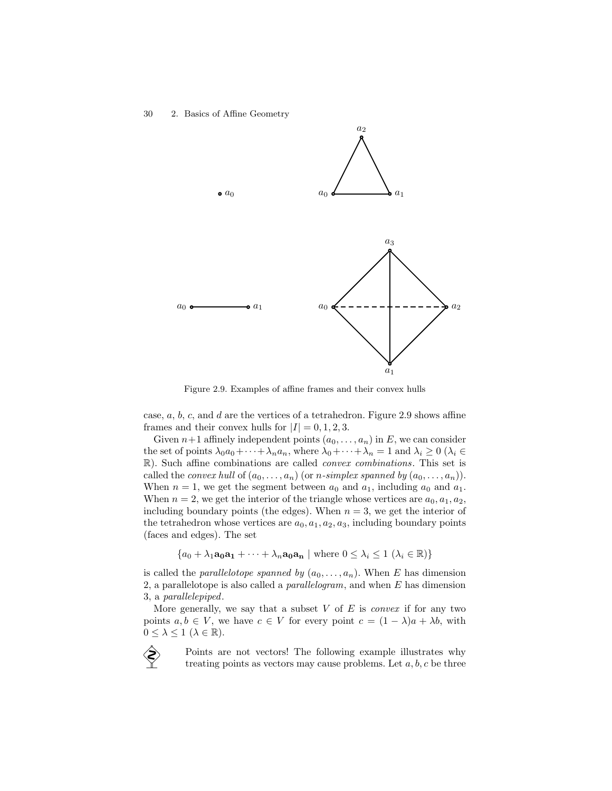

Figure 2.9. Examples of affine frames and their convex hulls

case,  $a, b, c$ , and  $d$  are the vertices of a tetrahedron. Figure 2.9 shows affine frames and their convex hulls for  $|I| = 0, 1, 2, 3$ .

Given  $n+1$  affinely independent points  $(a_0, \ldots, a_n)$  in E, we can consider the set of points  $\lambda_0 a_0 + \cdots + \lambda_n a_n$ , where  $\lambda_0 + \cdots + \lambda_n = 1$  and  $\lambda_i \geq 0$  ( $\lambda_i \in$ R). Such affine combinations are called convex combinations. This set is called the *convex hull* of  $(a_0, \ldots, a_n)$  (or *n-simplex spanned by*  $(a_0, \ldots, a_n)$ ). When  $n = 1$ , we get the segment between  $a_0$  and  $a_1$ , including  $a_0$  and  $a_1$ . When  $n = 2$ , we get the interior of the triangle whose vertices are  $a_0, a_1, a_2$ , including boundary points (the edges). When  $n = 3$ , we get the interior of the tetrahedron whose vertices are  $a_0, a_1, a_2, a_3$ , including boundary points (faces and edges). The set

 ${a_0 + \lambda_1 a_0 a_1 + \cdots + \lambda_n a_0 a_n \mid \text{where } 0 \leq \lambda_i \leq 1 \ (\lambda_i \in \mathbb{R})}$ 

is called the *parallelotope spanned by*  $(a_0, \ldots, a_n)$ . When E has dimension 2, a parallelotope is also called a *parallelogram*, and when  $E$  has dimension 3, a parallelepiped.

More generally, we say that a subset  $V$  of  $E$  is *convex* if for any two points  $a, b \in V$ , we have  $c \in V$  for every point  $c = (1 - \lambda)a + \lambda b$ , with  $0 \leq \lambda \leq 1 \ (\lambda \in \mathbb{R}).$ 

> Points are not vectors! The following example illustrates why treating points as vectors may cause problems. Let  $a, b, c$  be three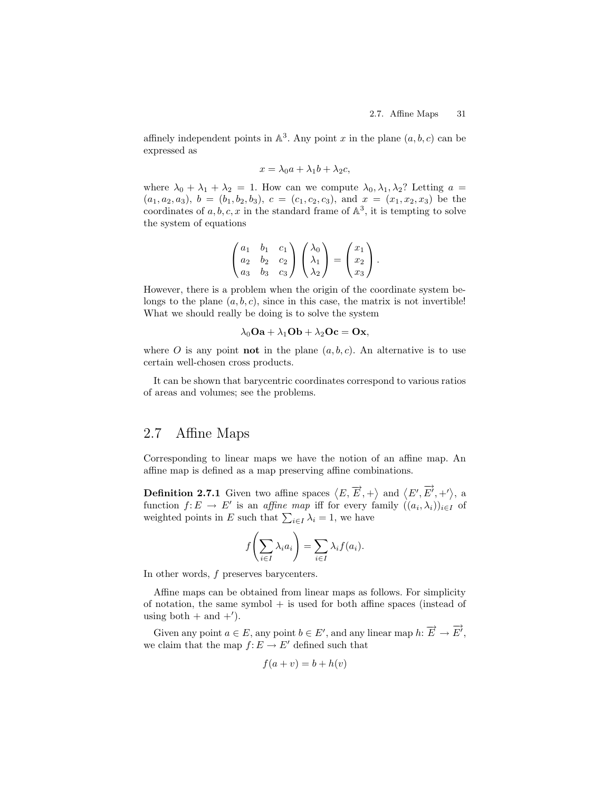affinely independent points in  $\mathbb{A}^3$ . Any point x in the plane  $(a, b, c)$  can be expressed as

$$
x = \lambda_0 a + \lambda_1 b + \lambda_2 c,
$$

where  $\lambda_0 + \lambda_1 + \lambda_2 = 1$ . How can we compute  $\lambda_0, \lambda_1, \lambda_2$ ? Letting  $a =$  $(a_1, a_2, a_3), b = (b_1, b_2, b_3), c = (c_1, c_2, c_3), \text{ and } x = (x_1, x_2, x_3)$  be the coordinates of  $a, b, c, x$  in the standard frame of  $\mathbb{A}^3$ , it is tempting to solve the system of equations

$$
\begin{pmatrix} a_1 & b_1 & c_1 \ a_2 & b_2 & c_2 \ a_3 & b_3 & c_3 \end{pmatrix} \begin{pmatrix} \lambda_0 \\ \lambda_1 \\ \lambda_2 \end{pmatrix} = \begin{pmatrix} x_1 \\ x_2 \\ x_3 \end{pmatrix}.
$$

However, there is a problem when the origin of the coordinate system belongs to the plane  $(a, b, c)$ , since in this case, the matrix is not invertible! What we should really be doing is to solve the system

$$
\lambda_0 \mathbf{Oa} + \lambda_1 \mathbf{Ob} + \lambda_2 \mathbf{Oc} = \mathbf{Ox},
$$

where O is any point **not** in the plane  $(a, b, c)$ . An alternative is to use certain well-chosen cross products.

It can be shown that barycentric coordinates correspond to various ratios of areas and volumes; see the problems.

# 2.7 Affine Maps

Corresponding to linear maps we have the notion of an affine map. An affine map is defined as a map preserving affine combinations.

**Definition 2.7.1** Given two affine spaces  $\langle E, \overrightarrow{E}, + \rangle$  and  $\langle E', \overrightarrow{E'}, +' \rangle$ , a function  $f: E \to E'$  is an affine map iff for every family  $((a_i, \lambda_i))_{i \in I}$  of weighted points in E such that  $\sum_{i\in I}\lambda_i = 1$ , we have

$$
f\left(\sum_{i\in I}\lambda_i a_i\right) = \sum_{i\in I}\lambda_i f(a_i).
$$

In other words, f preserves barycenters.

Affine maps can be obtained from linear maps as follows. For simplicity of notation, the same symbol  $+$  is used for both affine spaces (instead of using both  $+$  and  $+^{\prime}$ ).

Given any point  $a \in E$ , any point  $b \in E'$ , and any linear map  $h: \overrightarrow{E} \to \overrightarrow{E'}$ , we claim that the map  $f: E \to E'$  defined such that

$$
f(a+v) = b + h(v)
$$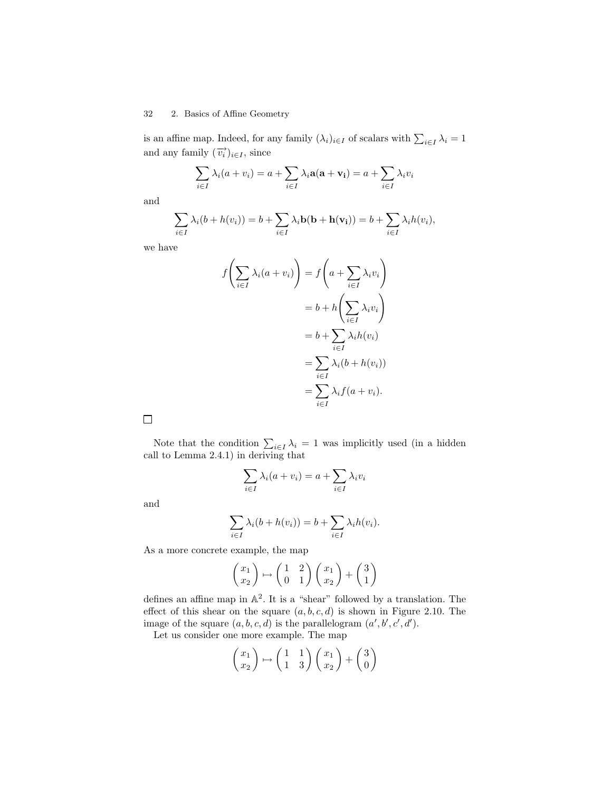is an affine map. Indeed, for any family  $(\lambda_i)_{i \in I}$  of scalars with  $\sum_{i \in I} \lambda_i = 1$ and any family  $(\overrightarrow{v_i})_{i \in I}$ , since

$$
\sum_{i \in I} \lambda_i (a + v_i) = a + \sum_{i \in I} \lambda_i \mathbf{a} (\mathbf{a} + \mathbf{v_i}) = a + \sum_{i \in I} \lambda_i v_i
$$

and

$$
\sum_{i \in I} \lambda_i (b + h(v_i)) = b + \sum_{i \in I} \lambda_i \mathbf{b}(\mathbf{b} + \mathbf{h}(\mathbf{v_i})) = b + \sum_{i \in I} \lambda_i h(v_i),
$$

we have

$$
f\left(\sum_{i\in I} \lambda_i (a+v_i)\right) = f\left(a + \sum_{i\in I} \lambda_i v_i\right)
$$

$$
= b + h\left(\sum_{i\in I} \lambda_i v_i\right)
$$

$$
= b + \sum_{i\in I} \lambda_i h(v_i)
$$

$$
= \sum_{i\in I} \lambda_i (b + h(v_i))
$$

$$
= \sum_{i\in I} \lambda_i f(a+v_i).
$$

 $\Box$ 

Note that the condition  $\sum_{i\in I}\lambda_i = 1$  was implicitly used (in a hidden call to Lemma 2.4.1) in deriving that

$$
\sum_{i \in I} \lambda_i (a + v_i) = a + \sum_{i \in I} \lambda_i v_i
$$

and

$$
\sum_{i \in I} \lambda_i (b + h(v_i)) = b + \sum_{i \in I} \lambda_i h(v_i).
$$

As a more concrete example, the map

$$
\begin{pmatrix} x_1 \\ x_2 \end{pmatrix} \mapsto \begin{pmatrix} 1 & 2 \\ 0 & 1 \end{pmatrix} \begin{pmatrix} x_1 \\ x_2 \end{pmatrix} + \begin{pmatrix} 3 \\ 1 \end{pmatrix}
$$

defines an affine map in  $\mathbb{A}^2$ . It is a "shear" followed by a translation. The effect of this shear on the square  $(a, b, c, d)$  is shown in Figure 2.10. The image of the square  $(a, b, c, d)$  is the parallelogram  $(a', b', c', d')$ .

Let us consider one more example. The map

$$
\begin{pmatrix} x_1 \\ x_2 \end{pmatrix} \mapsto \begin{pmatrix} 1 & 1 \\ 1 & 3 \end{pmatrix} \begin{pmatrix} x_1 \\ x_2 \end{pmatrix} + \begin{pmatrix} 3 \\ 0 \end{pmatrix}
$$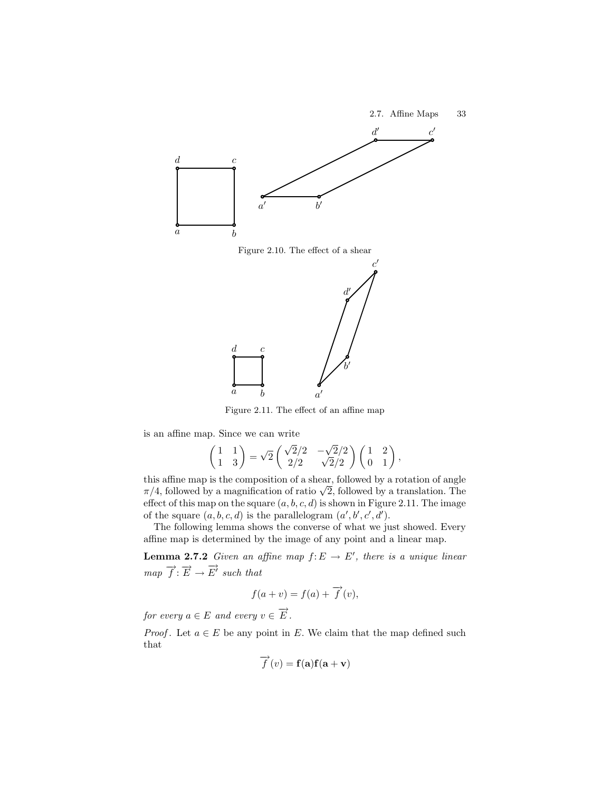



Figure 2.11. The effect of an affine map

is an affine map. Since we can write

$$
\begin{pmatrix} 1 & 1 \\ 1 & 3 \end{pmatrix} = \sqrt{2} \begin{pmatrix} \sqrt{2}/2 & -\sqrt{2}/2 \\ 2/2 & \sqrt{2}/2 \end{pmatrix} \begin{pmatrix} 1 & 2 \\ 0 & 1 \end{pmatrix},
$$

this affine map is the composition of a shear, followed by a rotation of angle  $\pi/4$ , followed by a magnification of ratio  $\sqrt{2}$ , followed by a translation. The effect of this map on the square  $(a, b, c, d)$  is shown in Figure 2.11. The image of the square  $(a, b, c, d)$  is the parallelogram  $(a', b', c', d')$ .

The following lemma shows the converse of what we just showed. Every affine map is determined by the image of any point and a linear map.

**Lemma 2.7.2** Given an affine map  $f: E \to E'$ , there is a unique linear  $map \ \overrightarrow{f} : \overrightarrow{E} \rightarrow \overrightarrow{E'} \ such \ that$ 

$$
f(a + v) = f(a) + \overrightarrow{f}(v),
$$

for every  $a \in E$  and every  $v \in \overrightarrow{E}$ .

*Proof.* Let  $a \in E$  be any point in E. We claim that the map defined such that

$$
\overrightarrow{f}(v) = \mathbf{f}(\mathbf{a})\mathbf{f}(\mathbf{a} + \mathbf{v})
$$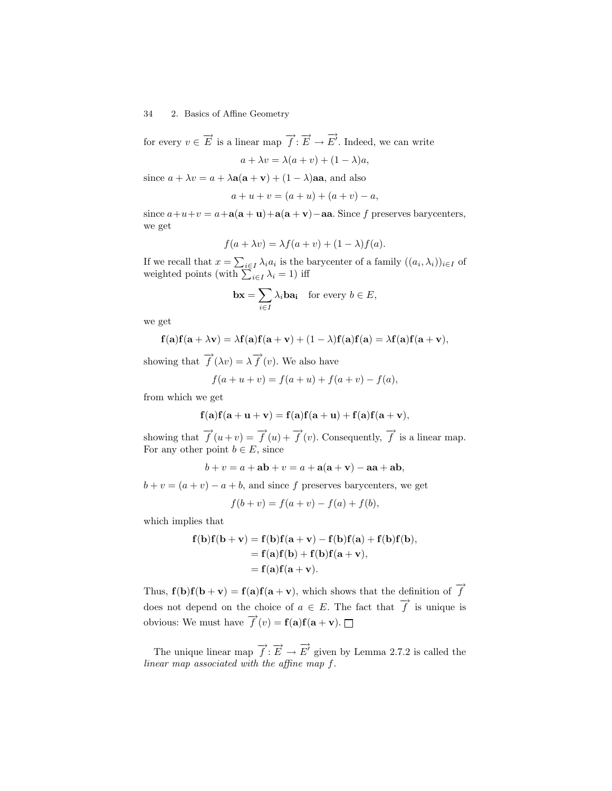for every  $v \in \overrightarrow{E}$  is a linear map  $\overrightarrow{f} : \overrightarrow{E} \to \overrightarrow{E'}$ . Indeed, we can write

$$
a + \lambda v = \lambda(a + v) + (1 - \lambda)a,
$$

since  $a + \lambda v = a + \lambda a(a + v) + (1 - \lambda)aa$ , and also

$$
a + u + v = (a + u) + (a + v) - a,
$$

since  $a+u+v = a+a(a + u)+a(a + v)$  – aa. Since f preserves barycenters, we get

$$
f(a + \lambda v) = \lambda f(a + v) + (1 - \lambda)f(a).
$$

If we recall that  $x = \sum_{i \in I} \lambda_i a_i$  is the barycenter of a family  $((a_i, \lambda_i))_{i \in I}$  of weighted points (with  $\sum_{i \in I} \lambda_i = 1$ ) iff

$$
\mathbf{bx} = \sum_{i \in I} \lambda_i \mathbf{ba_i} \quad \text{for every } b \in E,
$$

we get

$$
\mathbf{f}(\mathbf{a})\mathbf{f}(\mathbf{a}+\lambda\mathbf{v})=\lambda\mathbf{f}(\mathbf{a})\mathbf{f}(\mathbf{a}+\mathbf{v})+(1-\lambda)\mathbf{f}(\mathbf{a})\mathbf{f}(\mathbf{a})=\lambda\mathbf{f}(\mathbf{a})\mathbf{f}(\mathbf{a}+\mathbf{v}),
$$

showing that  $\overrightarrow{f}(\lambda v) = \lambda \overrightarrow{f}(v)$ . We also have

$$
f(a + u + v) = f(a + u) + f(a + v) - f(a),
$$

from which we get

$$
\mathbf{f}(\mathbf{a})\mathbf{f}(\mathbf{a}+\mathbf{u}+\mathbf{v}) = \mathbf{f}(\mathbf{a})\mathbf{f}(\mathbf{a}+\mathbf{u}) + \mathbf{f}(\mathbf{a})\mathbf{f}(\mathbf{a}+\mathbf{v}),
$$

showing that  $\overrightarrow{f}(u+v) = \overrightarrow{f}(u) + \overrightarrow{f}(v)$ . Consequently,  $\overrightarrow{f}$  is a linear map. For any other point  $b \in E$ , since

 $b + v = a + ab + v = a + a(a + v) - aa + ab,$ 

 $b + v = (a + v) - a + b$ , and since f preserves barycenters, we get

$$
f(b + v) = f(a + v) - f(a) + f(b),
$$

which implies that

$$
f(b)f(b+v) = f(b)f(a+v) - f(b)f(a) + f(b)f(b),
$$
  
= f(a)f(b) + f(b)f(a+v),  
= f(a)f(a+v).

Thus,  $f(b)f(b + v) = f(a)f(a + v)$ , which shows that the definition of  $\overrightarrow{f}$ does not depend on the choice of  $a \in E$ . The fact that  $\overrightarrow{f}$  is unique is obvious: We must have  $\overrightarrow{f}(v) = \mathbf{f}(\mathbf{a})\mathbf{f}(\mathbf{a} + \mathbf{v}).$ 

The unique linear map  $\overrightarrow{f}$ :  $\overrightarrow{E}$   $\rightarrow$   $\overrightarrow{E}'$  given by Lemma 2.7.2 is called the linear map associated with the affine map f.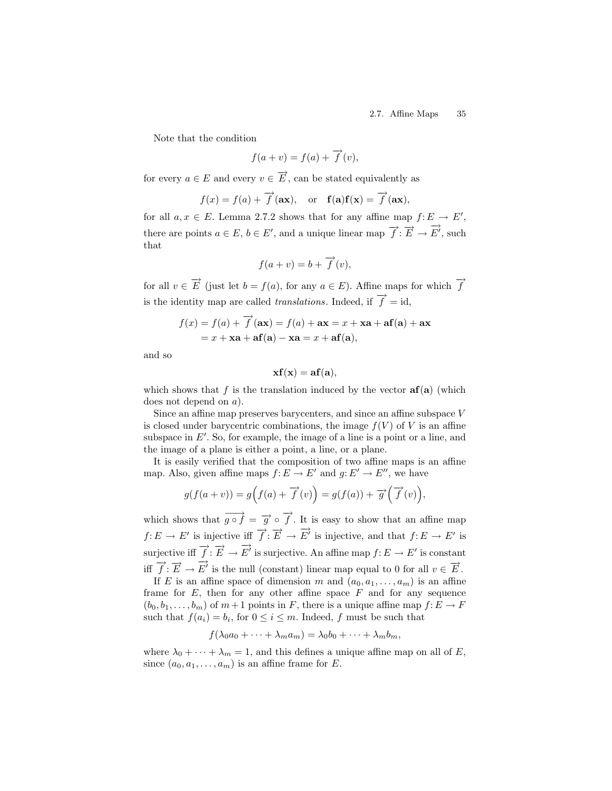Note that the condition

$$
f(a + v) = f(a) + \overrightarrow{f}(v),
$$

for every  $a \in E$  and every  $v \in \overrightarrow{E}$ , can be stated equivalently as

$$
f(x) = f(a) + \overrightarrow{f}(\mathbf{ax}),
$$
 or  $\mathbf{f}(\mathbf{a})\mathbf{f}(\mathbf{x}) = \overrightarrow{f}(\mathbf{ax}),$ 

for all  $a, x \in E$ . Lemma 2.7.2 shows that for any affine map  $f: E \longrightarrow E'$ , there are points  $a \in E$ ,  $b \in E'$ , and a unique linear map  $\overrightarrow{f}$ :  $\overrightarrow{E} \rightarrow \overrightarrow{E'}$ , such that

$$
f(a + v) = b + \overrightarrow{f}(v),
$$

for all  $v \in \overrightarrow{E}$  (just let  $b = f(a)$ , for any  $a \in E$ ). Affine maps for which  $\overrightarrow{f}$ is the identity map are called *translations*. Indeed, if  $\overrightarrow{f} = id$ ,

$$
f(x) = f(a) + \overrightarrow{f}(\mathbf{ax}) = f(a) + \mathbf{ax} = x + \mathbf{xa} + \mathbf{af}(\mathbf{a}) + \mathbf{ax}
$$

$$
= x + \mathbf{xa} + \mathbf{af}(\mathbf{a}) - \mathbf{xa} = x + \mathbf{af}(\mathbf{a}),
$$

and so

$$
\mathbf{x} \mathbf{f}(\mathbf{x}) = \mathbf{a} \mathbf{f}(\mathbf{a}),
$$

which shows that f is the translation induced by the vector  $af(a)$  (which does not depend on a).

Since an affine map preserves barycenters, and since an affine subspace V is closed under barycentric combinations, the image  $f(V)$  of V is an affine subspace in  $E'$ . So, for example, the image of a line is a point or a line, and the image of a plane is either a point, a line, or a plane.

It is easily verified that the composition of two affine maps is an affine map. Also, given affine maps  $f: E \to E'$  and  $g: E' \to E''$ , we have

$$
g(f(a + v)) = g(f(a) + \overrightarrow{f}(v)) = g(f(a)) + \overrightarrow{g}(\overrightarrow{f}(v)),
$$

which shows that  $\overrightarrow{g \circ f} = \overrightarrow{g} \circ \overrightarrow{f}$ . It is easy to show that an affine map  $f: E \to E'$  is injective iff  $\overrightarrow{f}: \overrightarrow{E} \to \overrightarrow{E'}$  is injective, and that  $f: E \to E'$  is surjective iff  $\overrightarrow{f}$ :  $\overrightarrow{E} \to \overrightarrow{E}'$  is surjective. An affine map  $f: E \to E'$  is constant iff  $\overrightarrow{f}$ :  $\overrightarrow{E} \rightarrow \overrightarrow{E}'$  is the null (constant) linear map equal to 0 for all  $v \in \overrightarrow{E}$ .

If E is an affine space of dimension m and  $(a_0, a_1, \ldots, a_m)$  is an affine frame for  $E$ , then for any other affine space  $F$  and for any sequence  $(b_0, b_1, \ldots, b_m)$  of  $m+1$  points in F, there is a unique affine map  $f: E \to F$ such that  $f(a_i) = b_i$ , for  $0 \le i \le m$ . Indeed, f must be such that

$$
f(\lambda_0 a_0 + \dots + \lambda_m a_m) = \lambda_0 b_0 + \dots + \lambda_m b_m,
$$

where  $\lambda_0 + \cdots + \lambda_m = 1$ , and this defines a unique affine map on all of E, since  $(a_0, a_1, \ldots, a_m)$  is an affine frame for E.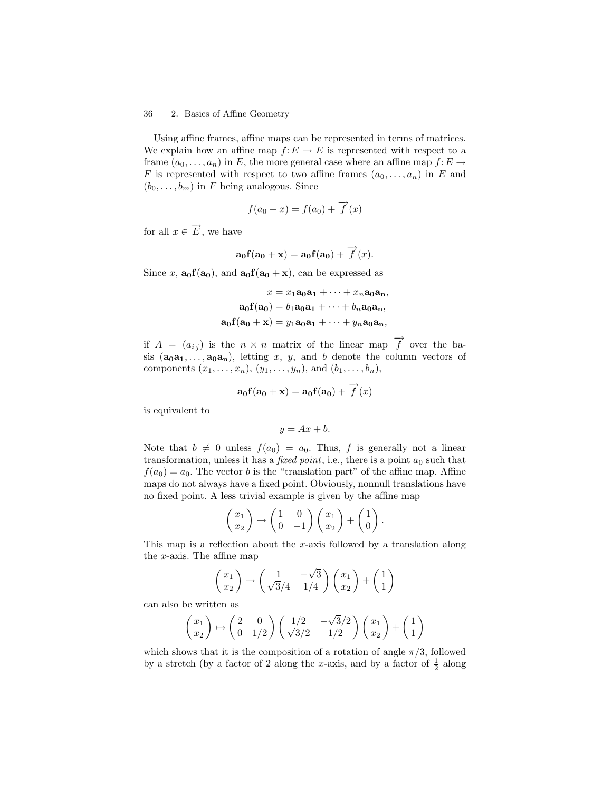Using affine frames, affine maps can be represented in terms of matrices. We explain how an affine map  $f: E \to E$  is represented with respect to a frame  $(a_0, \ldots, a_n)$  in E, the more general case where an affine map  $f: E \to$ F is represented with respect to two affine frames  $(a_0, \ldots, a_n)$  in E and  $(b_0, \ldots, b_m)$  in F being analogous. Since

$$
f(a_0 + x) = f(a_0) + \overrightarrow{f}(x)
$$

for all  $x \in \overrightarrow{E}$ , we have

$$
\mathbf{a_0f(a_0+x)} = \mathbf{a_0f(a_0)} + \overrightarrow{f}(x).
$$

Since x,  $\mathbf{a_0}(\mathbf{a_0})$ , and  $\mathbf{a_0}(\mathbf{a_0} + \mathbf{x})$ , can be expressed as

$$
x = x_1\mathbf{a}_0\mathbf{a}_1 + \dots + x_n\mathbf{a}_0\mathbf{a}_n,
$$
  
\n
$$
\mathbf{a}_0\mathbf{f}(\mathbf{a}_0) = b_1\mathbf{a}_0\mathbf{a}_1 + \dots + b_n\mathbf{a}_0\mathbf{a}_n,
$$
  
\n
$$
\mathbf{a}_0\mathbf{f}(\mathbf{a}_0 + \mathbf{x}) = y_1\mathbf{a}_0\mathbf{a}_1 + \dots + y_n\mathbf{a}_0\mathbf{a}_n,
$$

if  $A = (a_{ij})$  is the  $n \times n$  matrix of the linear map  $\overrightarrow{f}$  over the basis  $(a_0a_1,\ldots,a_0a_n)$ , letting x, y, and b denote the column vectors of components  $(x_1, ..., x_n), (y_1, ..., y_n)$ , and  $(b_1, ..., b_n)$ ,

$$
\mathbf{a_0f(a_0+x)} = \mathbf{a_0f(a_0)} + \overrightarrow{f}(x)
$$

is equivalent to

$$
y = Ax + b.
$$

Note that  $b \neq 0$  unless  $f(a_0) = a_0$ . Thus, f is generally not a linear transformation, unless it has a *fixed point*, i.e., there is a point  $a_0$  such that  $f(a_0) = a_0$ . The vector b is the "translation part" of the affine map. Affine maps do not always have a fixed point. Obviously, nonnull translations have no fixed point. A less trivial example is given by the affine map

$$
\begin{pmatrix} x_1 \\ x_2 \end{pmatrix} \mapsto \begin{pmatrix} 1 & 0 \\ 0 & -1 \end{pmatrix} \begin{pmatrix} x_1 \\ x_2 \end{pmatrix} + \begin{pmatrix} 1 \\ 0 \end{pmatrix}.
$$

This map is a reflection about the x-axis followed by a translation along the x-axis. The affine map

$$
\begin{pmatrix} x_1 \\ x_2 \end{pmatrix} \mapsto \begin{pmatrix} 1 & -\sqrt{3} \\ \sqrt{3}/4 & 1/4 \end{pmatrix} \begin{pmatrix} x_1 \\ x_2 \end{pmatrix} + \begin{pmatrix} 1 \\ 1 \end{pmatrix}
$$

can also be written as

$$
\begin{pmatrix} x_1 \\ x_2 \end{pmatrix} \mapsto \begin{pmatrix} 2 & 0 \\ 0 & 1/2 \end{pmatrix} \begin{pmatrix} 1/2 & -\sqrt{3}/2 \\ \sqrt{3}/2 & 1/2 \end{pmatrix} \begin{pmatrix} x_1 \\ x_2 \end{pmatrix} + \begin{pmatrix} 1 \\ 1 \end{pmatrix}
$$

which shows that it is the composition of a rotation of angle  $\pi/3$ , followed by a stretch (by a factor of 2 along the x-axis, and by a factor of  $\frac{1}{2}$  along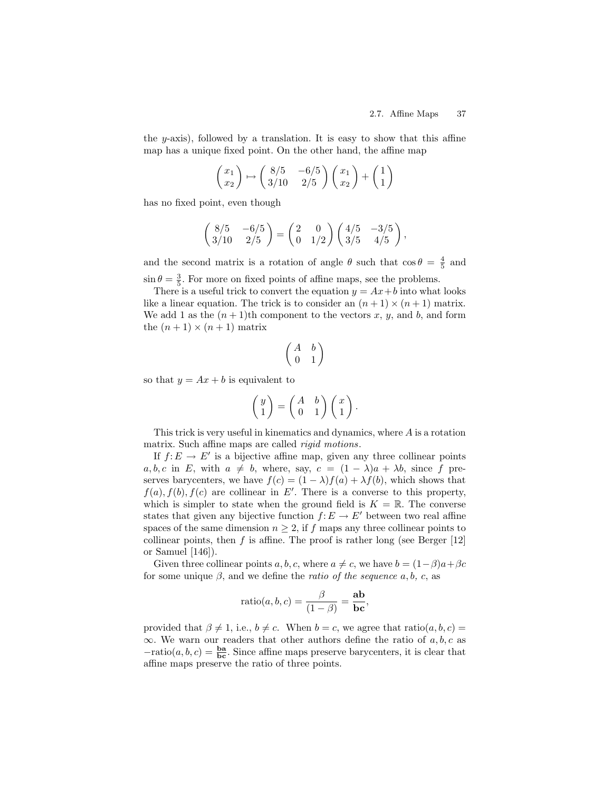the  $y$ -axis), followed by a translation. It is easy to show that this affine map has a unique fixed point. On the other hand, the affine map

$$
\begin{pmatrix} x_1 \\ x_2 \end{pmatrix} \mapsto \begin{pmatrix} 8/5 & -6/5 \\ 3/10 & 2/5 \end{pmatrix} \begin{pmatrix} x_1 \\ x_2 \end{pmatrix} + \begin{pmatrix} 1 \\ 1 \end{pmatrix}
$$

has no fixed point, even though

$$
\begin{pmatrix} 8/5 & -6/5 \ 3/10 & 2/5 \end{pmatrix} = \begin{pmatrix} 2 & 0 \ 0 & 1/2 \end{pmatrix} \begin{pmatrix} 4/5 & -3/5 \ 3/5 & 4/5 \end{pmatrix},
$$

and the second matrix is a rotation of angle  $\theta$  such that  $\cos \theta = \frac{4}{5}$  and  $\sin \theta = \frac{3}{5}$ . For more on fixed points of affine maps, see the problems.

There is a useful trick to convert the equation  $y = Ax + b$  into what looks like a linear equation. The trick is to consider an  $(n+1) \times (n+1)$  matrix. We add 1 as the  $(n+1)$ th component to the vectors x, y, and b, and form the  $(n + 1) \times (n + 1)$  matrix

$$
\begin{pmatrix} A & b \\ 0 & 1 \end{pmatrix}
$$

so that  $y = Ax + b$  is equivalent to

$$
\begin{pmatrix} y \\ 1 \end{pmatrix} = \begin{pmatrix} A & b \\ 0 & 1 \end{pmatrix} \begin{pmatrix} x \\ 1 \end{pmatrix}.
$$

This trick is very useful in kinematics and dynamics, where A is a rotation matrix. Such affine maps are called *rigid motions*.

If  $f: E \to E'$  is a bijective affine map, given any three collinear points a, b, c in E, with  $a \neq b$ , where, say,  $c = (1 - \lambda)a + \lambda b$ , since f preserves barycenters, we have  $f(c) = (1 - \lambda)f(a) + \lambda f(b)$ , which shows that  $f(a), f(b), f(c)$  are collinear in E'. There is a converse to this property, which is simpler to state when the ground field is  $K = \mathbb{R}$ . The converse states that given any bijective function  $f: E \to E'$  between two real affine spaces of the same dimension  $n \geq 2$ , if f maps any three collinear points to collinear points, then  $f$  is affine. The proof is rather long (see Berger [12] or Samuel [146]).

Given three collinear points a, b, c, where  $a \neq c$ , we have  $b = (1-\beta)a + \beta c$ for some unique  $\beta$ , and we define the *ratio of the sequence*  $a, b, c,$  as

$$
ratio(a, b, c) = \frac{\beta}{(1 - \beta)} = \frac{ab}{bc},
$$

provided that  $\beta \neq 1$ , i.e.,  $b \neq c$ . When  $b = c$ , we agree that ratio $(a, b, c)$  =  $\infty$ . We warn our readers that other authors define the ratio of a, b, c as  $-\text{ratio}(a, b, c) = \frac{\text{ba}}{\text{bc}}$ . Since affine maps preserve barycenters, it is clear that affine maps preserve the ratio of three points.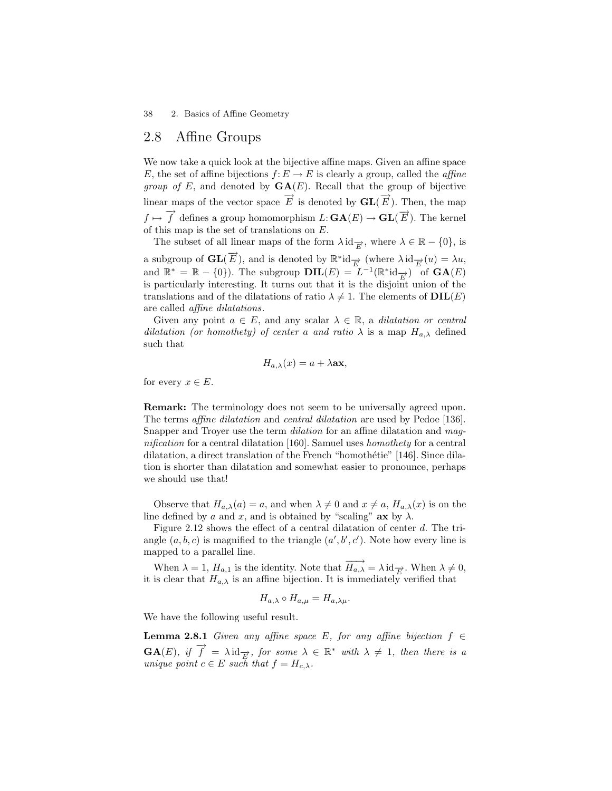## 2.8 Affine Groups

We now take a quick look at the bijective affine maps. Given an affine space E, the set of affine bijections  $f: E \to E$  is clearly a group, called the *affine group of E*, and denoted by  $GA(E)$ . Recall that the group of bijective linear maps of the vector space  $\overrightarrow{E}$  is denoted by  $\mathbf{GL}(\overrightarrow{E})$ . Then, the map  $f \mapsto \overrightarrow{f}$  defines a group homomorphism  $L: \mathbf{GA}(E) \to \mathbf{GL}(\overrightarrow{E})$ . The kernel of this map is the set of translations on E.

The subset of all linear maps of the form  $\lambda \operatorname{id}_{\overline{E}}$ , where  $\lambda \in \mathbb{R} - \{0\}$ , is

a subgroup of  $\mathbf{GL}(\overrightarrow{E})$ , and is denoted by  $\mathbb{R}^*$ id $\overrightarrow{E}$  (where  $\lambda$ id $\overrightarrow{E}(u) = \lambda u$ , and  $\mathbb{R}^* = \mathbb{R} - \{0\}$ . The subgroup  $\text{DIL}(E) = L^{-1}(\mathbb{R}^* \text{id}_{\overrightarrow{E}})$  of  $\text{GA}(E)$ is particularly interesting. It turns out that it is the disjoint union of the translations and of the dilatations of ratio  $\lambda \neq 1$ . The elements of  $DIL(E)$ are called affine dilatations.

Given any point  $a \in E$ , and any scalar  $\lambda \in \mathbb{R}$ , a *dilatation or central* dilatation (or homothety) of center a and ratio  $\lambda$  is a map  $H_{a,\lambda}$  defined such that

$$
H_{a,\lambda}(x) = a + \lambda \mathbf{ax},
$$

for every  $x \in E$ .

Remark: The terminology does not seem to be universally agreed upon. The terms *affine dilatation* and *central dilatation* are used by Pedoe [136]. Snapper and Troyer use the term dilation for an affine dilatation and magnification for a central dilatation [160]. Samuel uses homothety for a central dilatation, a direct translation of the French "homothétie" [146]. Since dilation is shorter than dilatation and somewhat easier to pronounce, perhaps we should use that!

Observe that  $H_{a,\lambda}(a) = a$ , and when  $\lambda \neq 0$  and  $x \neq a$ ,  $H_{a,\lambda}(x)$  is on the line defined by a and x, and is obtained by "scaling"  $ax$  by  $\lambda$ .

Figure 2.12 shows the effect of a central dilatation of center  $d$ . The triangle  $(a, b, c)$  is magnified to the triangle  $(a', b', c')$ . Note how every line is mapped to a parallel line.

When  $\lambda = 1$ ,  $H_{a,1}$  is the identity. Note that  $\overrightarrow{H_{a,\lambda}} = \lambda \operatorname{id}_{\overrightarrow{E}}$ . When  $\lambda \neq 0$ , it is clear that  $H_{a,\lambda}$  is an affine bijection. It is immediately verified that

$$
H_{a,\lambda} \circ H_{a,\mu} = H_{a,\lambda\mu}.
$$

We have the following useful result.

**Lemma 2.8.1** Given any affine space E, for any affine bijection  $f \in$  $\mathbf{GA}(E)$ , if  $\overrightarrow{f} = \lambda \mathrm{id}_{\overrightarrow{E}}$ , for some  $\lambda \in \mathbb{R}^*$  with  $\lambda \neq 1$ , then there is a unique point  $c \in E$  such that  $f = H_{c,\lambda}$ .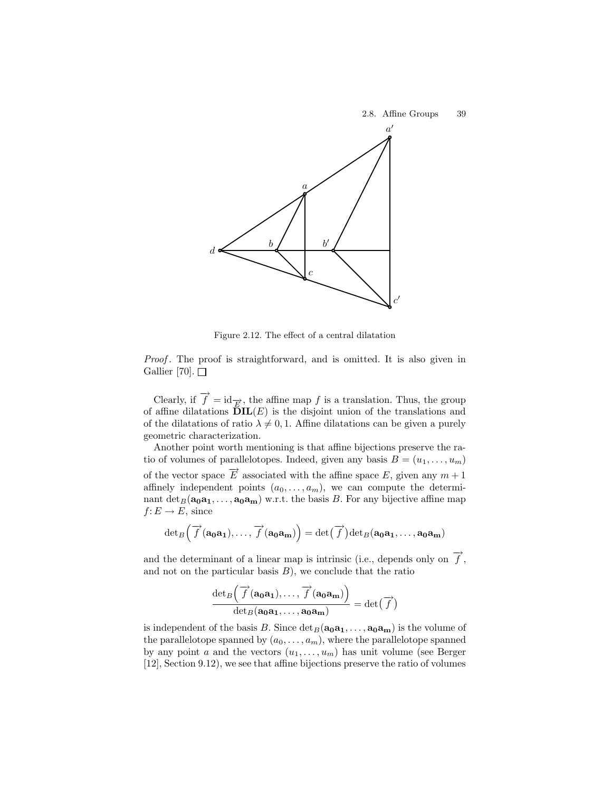

Figure 2.12. The effect of a central dilatation

Proof. The proof is straightforward, and is omitted. It is also given in Gallier [70].  $\Box$ 

Clearly, if  $\overrightarrow{f} = id_{\overrightarrow{E}}$ , the affine map f is a translation. Thus, the group of affine dilatations  $\tilde{\mathbf{D}}\mathbf{IL}(E)$  is the disjoint union of the translations and of the dilatations of ratio  $\lambda \neq 0, 1$ . Affine dilatations can be given a purely geometric characterization.

Another point worth mentioning is that affine bijections preserve the ratio of volumes of parallelotopes. Indeed, given any basis  $B = (u_1, \ldots, u_m)$ of the vector space  $\overrightarrow{E}$  associated with the affine space E, given any  $m+1$ affinely independent points  $(a_0, \ldots, a_m)$ , we can compute the determinant  $\det_B(a_0a_1, \ldots, a_0a_m)$  w.r.t. the basis B. For any bijective affine map  $f: E \to E$ , since

$$
\det_B\left(\overrightarrow{f}(\mathbf{a_0}\mathbf{a_1}),\ldots,\overrightarrow{f}(\mathbf{a_0}\mathbf{a_m})\right)=\det(\overrightarrow{f})\det_B(\mathbf{a_0}\mathbf{a_1},\ldots,\mathbf{a_0}\mathbf{a_m})
$$

and the determinant of a linear map is intrinsic (i.e., depends only on  $\overrightarrow{f}$ , and not on the particular basis  $B$ ), we conclude that the ratio

$$
\frac{\det_B\left(\overrightarrow{f}(\mathbf{a_0a_1}),\ldots,\overrightarrow{f}(\mathbf{a_0a_m})\right)}{\det_B(\mathbf{a_0a_1},\ldots,\mathbf{a_0a_m})} = \det(\overrightarrow{f})
$$

is independent of the basis B. Since  $\det_B(a_0a_1, \ldots, a_0a_m)$  is the volume of the parallelotope spanned by  $(a_0, \ldots, a_m)$ , where the parallelotope spanned by any point a and the vectors  $(u_1, \ldots, u_m)$  has unit volume (see Berger [12], Section 9.12), we see that affine bijections preserve the ratio of volumes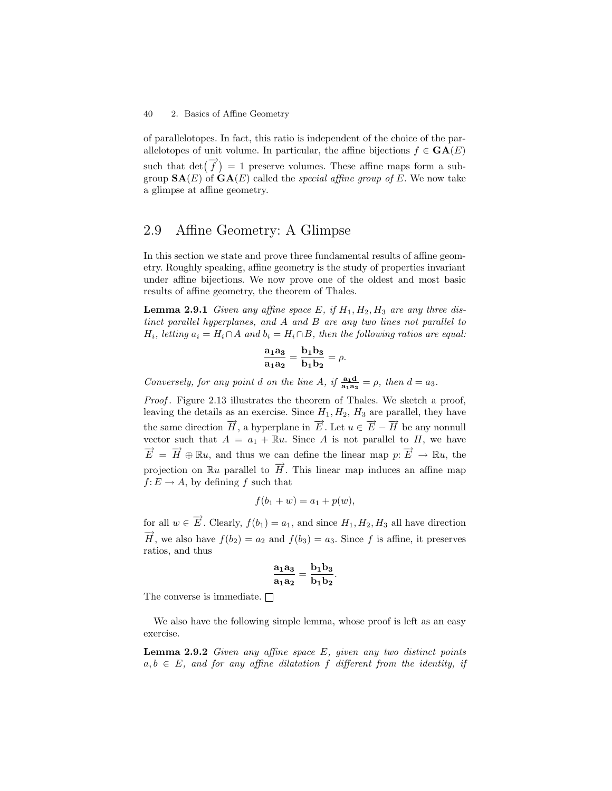of parallelotopes. In fact, this ratio is independent of the choice of the parallelotopes of unit volume. In particular, the affine bijections  $f \in \mathbf{GA}(E)$ such that  $\det(\vec{f}) = 1$  preserve volumes. These affine maps form a subgroup  $\mathbf{SA}(E)$  of  $\mathbf{GA}(E)$  called the *special affine group of E*. We now take a glimpse at affine geometry.

## 2.9 Affine Geometry: A Glimpse

In this section we state and prove three fundamental results of affine geometry. Roughly speaking, affine geometry is the study of properties invariant under affine bijections. We now prove one of the oldest and most basic results of affine geometry, the theorem of Thales.

**Lemma 2.9.1** Given any affine space E, if  $H_1, H_2, H_3$  are any three distinct parallel hyperplanes, and A and B are any two lines not parallel to  $H_i$ , letting  $a_i = H_i \cap A$  and  $b_i = H_i \cap B$ , then the following ratios are equal:

$$
\frac{\mathbf{a}_1 \mathbf{a}_3}{\mathbf{a}_1 \mathbf{a}_2} = \frac{\mathbf{b}_1 \mathbf{b}_3}{\mathbf{b}_1 \mathbf{b}_2} = \rho.
$$

Conversely, for any point d on the line A, if  $\frac{a_1 d_1}{a_1 a_2} = \rho$ , then  $d = a_3$ .

Proof. Figure 2.13 illustrates the theorem of Thales. We sketch a proof, leaving the details as an exercise. Since  $H_1, H_2, H_3$  are parallel, they have the same direction  $\overrightarrow{H}$ , a hyperplane in  $\overrightarrow{E}$ . Let  $u \in \overrightarrow{E} - \overrightarrow{H}$  be any nonnull vector such that  $A = a_1 + \mathbb{R}u$ . Since A is not parallel to H, we have  $\overrightarrow{E} = \overrightarrow{H} \oplus \mathbb{R}u$ , and thus we can define the linear map  $p: \overrightarrow{E} \to \mathbb{R}u$ , the projection on  $\mathbb{R}u$  parallel to  $\overrightarrow{H}$ . This linear map induces an affine map  $f: E \to A$ , by defining f such that

$$
f(b_1 + w) = a_1 + p(w),
$$

for all  $w \in \overrightarrow{E}$ . Clearly,  $f(b_1) = a_1$ , and since  $H_1, H_2, H_3$  all have direction  $\overrightarrow{H}$ , we also have  $f(b_2) = a_2$  and  $f(b_3) = a_3$ . Since f is affine, it preserves ratios, and thus

$$
\frac{\mathbf{a}_1\mathbf{a}_3}{\mathbf{a}_1\mathbf{a}_2} = \frac{\mathbf{b}_1\mathbf{b}_3}{\mathbf{b}_1\mathbf{b}_2}.
$$

The converse is immediate.  $\Box$ 

We also have the following simple lemma, whose proof is left as an easy exercise.

**Lemma 2.9.2** Given any affine space  $E$ , given any two distinct points  $a, b \in E$ , and for any affine dilatation f different from the identity, if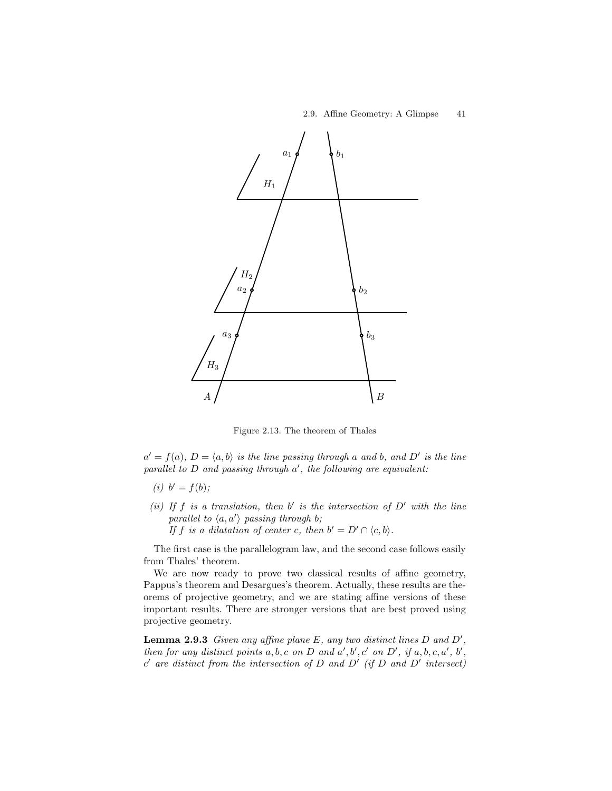

Figure 2.13. The theorem of Thales

 $a' = f(a), D = \langle a, b \rangle$  is the line passing through a and b, and D' is the line parallel to  $D$  and passing through  $a'$ , the following are equivalent:

- (*i*)  $b' = f(b)$ ;
- (ii) If f is a translation, then b' is the intersection of  $D'$  with the line parallel to  $\langle a, a' \rangle$  passing through b; If f is a dilatation of center c, then  $b' = D' \cap \langle c, b \rangle$ .

The first case is the parallelogram law, and the second case follows easily from Thales' theorem.

We are now ready to prove two classical results of affine geometry, Pappus's theorem and Desargues's theorem. Actually, these results are theorems of projective geometry, and we are stating affine versions of these important results. There are stronger versions that are best proved using projective geometry.

**Lemma 2.9.3** Given any affine plane  $E$ , any two distinct lines  $D$  and  $D'$ , then for any distinct points  $a, b, c$  on  $D$  and  $a', b', c'$  on  $D'$ , if  $a, b, c, a', b',$  $c'$  are distinct from the intersection of D and D' (if D and D' intersect)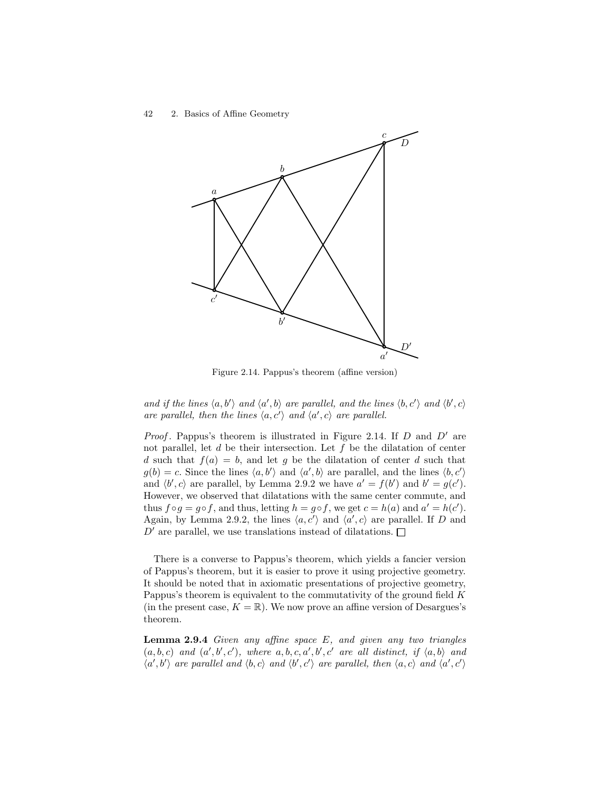

Figure 2.14. Pappus's theorem (affine version)

and if the lines  $\langle a, b' \rangle$  and  $\langle a', b \rangle$  are parallel, and the lines  $\langle b, c' \rangle$  and  $\langle b', c \rangle$ are parallel, then the lines  $\langle a, c' \rangle$  and  $\langle a', c \rangle$  are parallel.

*Proof.* Pappus's theorem is illustrated in Figure 2.14. If  $D$  and  $D'$  are not parallel, let  $d$  be their intersection. Let  $f$  be the dilatation of center d such that  $f(a) = b$ , and let g be the dilatation of center d such that  $g(b) = c$ . Since the lines  $\langle a, b' \rangle$  and  $\langle a', b \rangle$  are parallel, and the lines  $\langle b, c' \rangle$ and  $\langle b', c \rangle$  are parallel, by Lemma 2.9.2 we have  $a' = f(b')$  and  $b' = g(c')$ . However, we observed that dilatations with the same center commute, and thus  $f \circ g = g \circ f$ , and thus, letting  $h = g \circ f$ , we get  $c = h(a)$  and  $a' = h(c')$ . Again, by Lemma 2.9.2, the lines  $\langle a, c' \rangle$  and  $\langle a', c \rangle$  are parallel. If D and  $D'$  are parallel, we use translations instead of dilatations.  $\square$ 

There is a converse to Pappus's theorem, which yields a fancier version of Pappus's theorem, but it is easier to prove it using projective geometry. It should be noted that in axiomatic presentations of projective geometry, Pappus's theorem is equivalent to the commutativity of the ground field K (in the present case,  $K = \mathbb{R}$ ). We now prove an affine version of Desargues's theorem.

**Lemma 2.9.4** Given any affine space  $E$ , and given any two triangles  $(a, b, c)$  and  $(a', b', c')$ , where  $a, b, c, a', b', c'$  are all distinct, if  $\langle a, b \rangle$  and  $\langle a',b'\rangle$  are parallel and  $\langle b,c\rangle$  and  $\langle b',c'\rangle$  are parallel, then  $\langle a,c\rangle$  and  $\langle a',c'\rangle$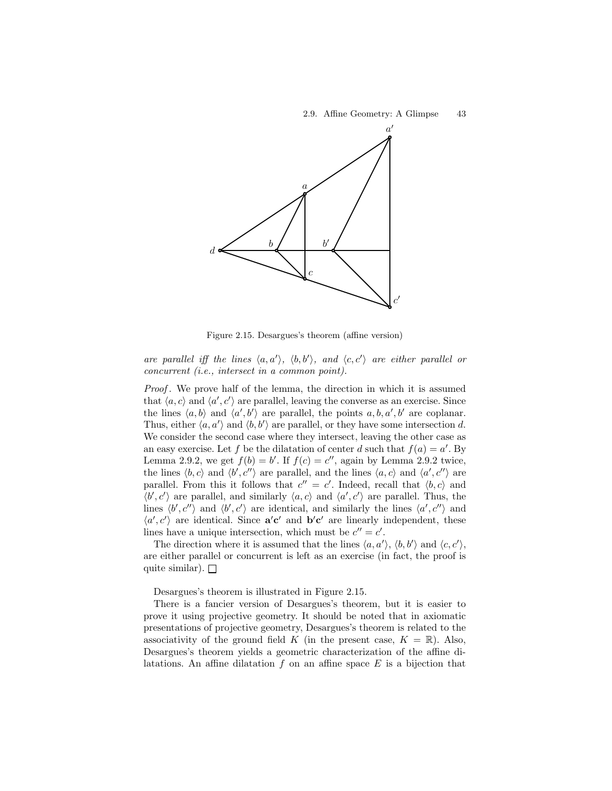

Figure 2.15. Desargues's theorem (affine version)

are parallel iff the lines  $\langle a, a' \rangle$ ,  $\langle b, b' \rangle$ , and  $\langle c, c' \rangle$  are either parallel or concurrent (i.e., intersect in a common point).

Proof. We prove half of the lemma, the direction in which it is assumed that  $\langle a, c \rangle$  and  $\langle a', c' \rangle$  are parallel, leaving the converse as an exercise. Since the lines  $\langle a, b \rangle$  and  $\langle a', b' \rangle$  are parallel, the points  $a, b, a', b'$  are coplanar. Thus, either  $\langle a, a' \rangle$  and  $\langle b, b' \rangle$  are parallel, or they have some intersection d. We consider the second case where they intersect, leaving the other case as an easy exercise. Let f be the dilatation of center d such that  $f(a) = a'$ . By Lemma 2.9.2, we get  $f(b) = b'$ . If  $f(c) = c''$ , again by Lemma 2.9.2 twice, the lines  $\langle b, c \rangle$  and  $\langle b', c'' \rangle$  are parallel, and the lines  $\langle a, c \rangle$  and  $\langle a', c'' \rangle$  are parallel. From this it follows that  $c'' = c'$ . Indeed, recall that  $\langle b, c \rangle$  and  $\langle b', c' \rangle$  are parallel, and similarly  $\langle a, c \rangle$  and  $\langle a', c' \rangle$  are parallel. Thus, the lines  $\langle b', c'' \rangle$  and  $\langle b', c' \rangle$  are identical, and similarly the lines  $\langle a', c'' \rangle$  and  $\langle a', c' \rangle$  are identical. Since  $a'c'$  and  $b'c'$  are linearly independent, these lines have a unique intersection, which must be  $c'' = c'$ .

The direction where it is assumed that the lines  $\langle a, a' \rangle$ ,  $\langle b, b' \rangle$  and  $\langle c, c' \rangle$ , are either parallel or concurrent is left as an exercise (in fact, the proof is quite similar).  $\Box$ 

Desargues's theorem is illustrated in Figure 2.15.

There is a fancier version of Desargues's theorem, but it is easier to prove it using projective geometry. It should be noted that in axiomatic presentations of projective geometry, Desargues's theorem is related to the associativity of the ground field K (in the present case,  $K = \mathbb{R}$ ). Also, Desargues's theorem yields a geometric characterization of the affine dilatations. An affine dilatation  $f$  on an affine space  $E$  is a bijection that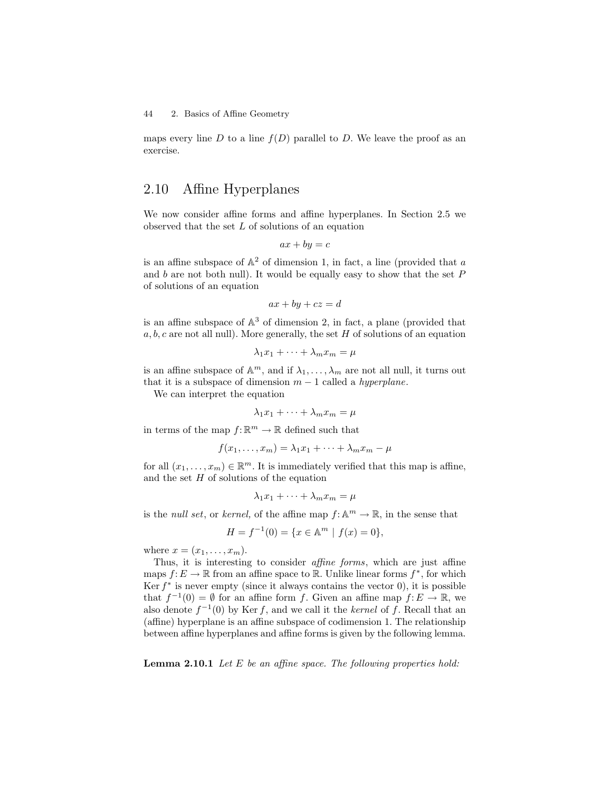maps every line D to a line  $f(D)$  parallel to D. We leave the proof as an exercise.

## 2.10 Affine Hyperplanes

We now consider affine forms and affine hyperplanes. In Section 2.5 we observed that the set  $L$  of solutions of an equation

$$
ax + by = c
$$

is an affine subspace of  $\mathbb{A}^2$  of dimension 1, in fact, a line (provided that a and b are not both null). It would be equally easy to show that the set  $P$ of solutions of an equation

$$
ax + by + cz = d
$$

is an affine subspace of  $\mathbb{A}^3$  of dimension 2, in fact, a plane (provided that  $a, b, c$  are not all null). More generally, the set H of solutions of an equation

$$
\lambda_1 x_1 + \dots + \lambda_m x_m = \mu
$$

is an affine subspace of  $\mathbb{A}^m$ , and if  $\lambda_1, \ldots, \lambda_m$  are not all null, it turns out that it is a subspace of dimension  $m-1$  called a *hyperplane*.

We can interpret the equation

$$
\lambda_1 x_1 + \dots + \lambda_m x_m = \mu
$$

in terms of the map  $f: \mathbb{R}^m \to \mathbb{R}$  defined such that

$$
f(x_1,\ldots,x_m)=\lambda_1x_1+\cdots+\lambda_mx_m-\mu
$$

for all  $(x_1, \ldots, x_m) \in \mathbb{R}^m$ . It is immediately verified that this map is affine, and the set  $H$  of solutions of the equation

$$
\lambda_1 x_1 + \dots + \lambda_m x_m = \mu
$$

is the *null set*, or *kernel*, of the affine map  $f: \mathbb{A}^m \to \mathbb{R}$ , in the sense that

$$
H = f^{-1}(0) = \{x \in \mathbb{A}^m \mid f(x) = 0\},\
$$

where  $x = (x_1, \ldots, x_m)$ .

Thus, it is interesting to consider affine forms, which are just affine maps  $f: E \to \mathbb{R}$  from an affine space to  $\mathbb{R}$ . Unlike linear forms  $f^*$ , for which Ker  $f^*$  is never empty (since it always contains the vector 0), it is possible that  $f^{-1}(0) = \emptyset$  for an affine form f. Given an affine map  $f: E \to \mathbb{R}$ , we also denote  $f^{-1}(0)$  by Ker f, and we call it the kernel of f. Recall that an (affine) hyperplane is an affine subspace of codimension 1. The relationship between affine hyperplanes and affine forms is given by the following lemma.

**Lemma 2.10.1** Let  $E$  be an affine space. The following properties hold: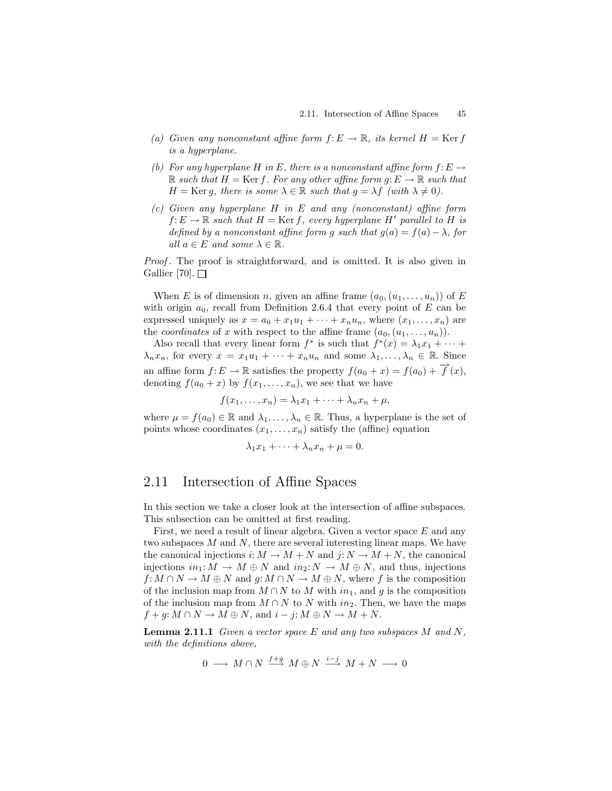- (a) Given any nonconstant affine form  $f: E \to \mathbb{R}$ , its kernel  $H = \text{Ker } f$ is a hyperplane.
- (b) For any hyperplane H in E, there is a nonconstant affine form  $f: E \to$  $\mathbb R$  such that  $H = \text{Ker } f$ . For any other affine form  $g: E \to \mathbb R$  such that  $H = \text{Ker } g$ , there is some  $\lambda \in \mathbb{R}$  such that  $g = \lambda f$  (with  $\lambda \neq 0$ ).
- $(c)$  Given any hyperplane H in E and any (nonconstant) affine form  $f: E \to \mathbb{R}$  such that  $H = \text{Ker } f$ , every hyperplane H' parallel to H is defined by a nonconstant affine form g such that  $q(a) = f(a) - \lambda$ , for all  $a \in E$  and some  $\lambda \in \mathbb{R}$ .

Proof . The proof is straightforward, and is omitted. It is also given in Gallier [70].  $\Box$ 

When E is of dimension n, given an affine frame  $(a_0,(u_1,\ldots,u_n))$  of E with origin  $a_0$ , recall from Definition 2.6.4 that every point of E can be expressed uniquely as  $x = a_0 + x_1u_1 + \cdots + x_nu_n$ , where  $(x_1, \ldots, x_n)$  are the *coordinates* of x with respect to the affine frame  $(a_0,(u_1,\ldots,u_n))$ .

Also recall that every linear form  $f^*$  is such that  $f^*(x) = \lambda_1 x_1 + \cdots$  $\lambda_n x_n$ , for every  $x = x_1 u_1 + \cdots + x_n u_n$  and some  $\lambda_1, \ldots, \lambda_n \in \mathbb{R}$ . Since an affine form  $f: E \to \mathbb{R}$  satisfies the property  $f(a_0 + x) = f(a_0) + \overrightarrow{f}(x)$ , denoting  $f(a_0 + x)$  by  $f(x_1, \ldots, x_n)$ , we see that we have

$$
f(x_1,\ldots,x_n)=\lambda_1x_1+\cdots+\lambda_nx_n+\mu,
$$

where  $\mu = f(a_0) \in \mathbb{R}$  and  $\lambda_1, \ldots, \lambda_n \in \mathbb{R}$ . Thus, a hyperplane is the set of points whose coordinates  $(x_1, \ldots, x_n)$  satisfy the (affine) equation

$$
\lambda_1 x_1 + \dots + \lambda_n x_n + \mu = 0.
$$

## 2.11 Intersection of Affine Spaces

In this section we take a closer look at the intersection of affine subspaces. This subsection can be omitted at first reading.

First, we need a result of linear algebra. Given a vector space  $E$  and any two subspaces M and N, there are several interesting linear maps. We have the canonical injections  $i: M \to M + N$  and  $j: N \to M + N$ , the canonical injections  $in_1: M \to M \oplus N$  and  $in_2: N \to M \oplus N$ , and thus, injections  $f: M \cap N \to M \oplus N$  and  $g: M \cap N \to M \oplus N$ , where f is the composition of the inclusion map from  $M \cap N$  to M with  $in_1$ , and g is the composition of the inclusion map from  $M \cap N$  to N with  $in_2$ . Then, we have the maps  $f + g: M \cap N \to M \oplus N$ , and  $i - j: M \oplus N \to M + N$ .

**Lemma 2.11.1** Given a vector space  $E$  and any two subspaces  $M$  and  $N$ , with the definitions above,

 $0 \longrightarrow M \cap N \stackrel{f+g}{\longrightarrow} M \oplus N \stackrel{i-j}{\longrightarrow} M + N \longrightarrow 0$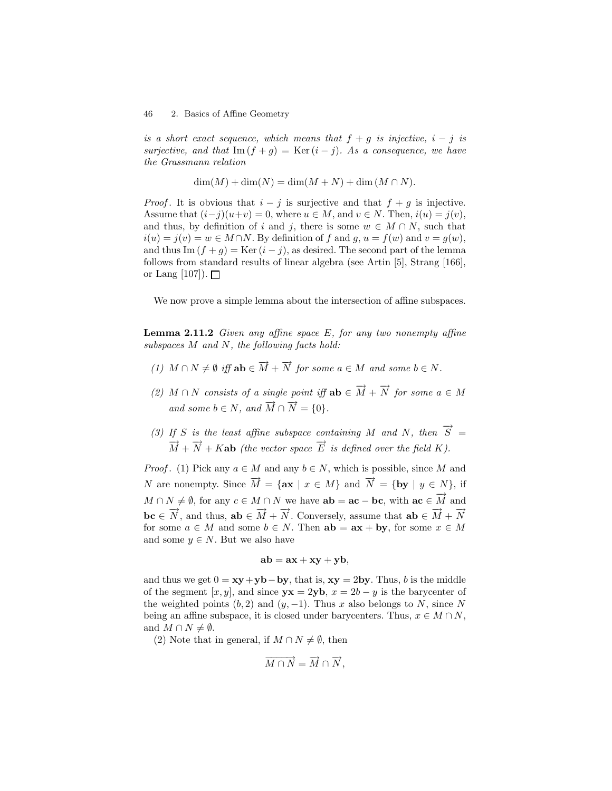is a short exact sequence, which means that  $f + g$  is injective,  $i - j$  is surjective, and that Im  $(f + g) = \text{Ker}(i - j)$ . As a consequence, we have the Grassmann relation

$$
\dim(M) + \dim(N) = \dim(M + N) + \dim(M \cap N).
$$

*Proof.* It is obvious that  $i - j$  is surjective and that  $f + g$  is injective. Assume that  $(i-j)(u+v) = 0$ , where  $u \in M$ , and  $v \in N$ . Then,  $i(u) = j(v)$ , and thus, by definition of i and j, there is some  $w \in M \cap N$ , such that  $i(u) = j(v) = w \in M \cap N$ . By definition of f and g,  $u = f(w)$  and  $v = g(w)$ , and thus Im  $(f + g) = \text{Ker}(i - j)$ , as desired. The second part of the lemma follows from standard results of linear algebra (see Artin [5], Strang [166], or Lang [107]).  $\Box$ 

We now prove a simple lemma about the intersection of affine subspaces.

**Lemma 2.11.2** Given any affine space E, for any two nonempty affine subspaces M and N, the following facts hold:

- (1)  $M \cap N \neq \emptyset$  iff  $ab \in \overrightarrow{M} + \overrightarrow{N}$  for some  $a \in M$  and some  $b \in N$ .
- (2)  $M \cap N$  consists of a single point iff  $ab \in \overrightarrow{M} + \overrightarrow{N}$  for some  $a \in M$ and some  $b \in N$ , and  $\overrightarrow{M} \cap \overrightarrow{N} = \{0\}.$
- (3) If S is the least affine subspace containing M and N, then  $\overrightarrow{S}$  =  $\overrightarrow{M} + \overrightarrow{N} + K$ **ab** (the vector space  $\overrightarrow{E}$  is defined over the field K).

*Proof.* (1) Pick any  $a \in M$  and any  $b \in N$ , which is possible, since M and N are nonempty. Since  $\overrightarrow{M} = {\mathbf{a}\mathbf{x} \mid x \in M}$  and  $\overrightarrow{N} = {\mathbf{b}\mathbf{y} \mid y \in N}$ , if  $M \cap N \neq \emptyset$ , for any  $c \in M \cap N$  we have  $ab = ac - bc$ , with  $ac \in \overrightarrow{M}$  and  $\mathbf{b} \mathbf{c} \in \overrightarrow{N}$ , and thus,  $\mathbf{a} \mathbf{b} \in \overrightarrow{M} + \overrightarrow{N}$ . Conversely, assume that  $\mathbf{a} \mathbf{b} \in \overrightarrow{M} + \overrightarrow{N}$ for some  $a \in M$  and some  $b \in N$ . Then  $ab = ax + by$ , for some  $x \in M$ and some  $y \in N$ . But we also have

$$
ab = ax + xy + yb,
$$

and thus we get  $0 = xy + yb - by$ , that is,  $xy = 2by$ . Thus, b is the middle of the segment [x, y], and since  $yx = 2yb$ ,  $x = 2b - y$  is the barycenter of the weighted points  $(b, 2)$  and  $(y, -1)$ . Thus x also belongs to N, since N being an affine subspace, it is closed under barycenters. Thus,  $x \in M \cap N$ , and  $M \cap N \neq \emptyset$ .

(2) Note that in general, if  $M \cap N \neq \emptyset$ , then

$$
\overrightarrow{M \cap N} = \overrightarrow{M} \cap \overrightarrow{N},
$$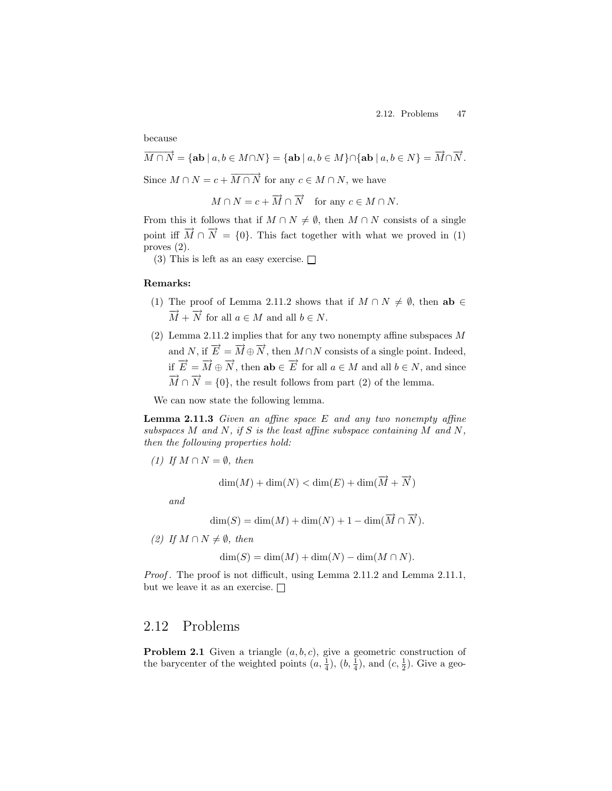because

 $\overrightarrow{M\cap N}=\{\textbf{ab}\ |\ a,b\in M\cap N\}=\{\textbf{ab}\ |\ a,b\in M\}\cap\{\textbf{ab}\ |\ a,b\in N\}=\overrightarrow{M}\cap\overrightarrow{N}.$ Since  $M \cap N = c + \overrightarrow{M \cap N}$  for any  $c \in M \cap N$ , we have

 $M \cap N = c + \overrightarrow{M} \cap \overrightarrow{N}$  for any  $c \in M \cap N$ .

From this it follows that if  $M \cap N \neq \emptyset$ , then  $M \cap N$  consists of a single point iff  $\overrightarrow{M} \cap \overrightarrow{N} = \{0\}$ . This fact together with what we proved in (1) proves (2).

(3) This is left as an easy exercise.  $\Box$ 

#### Remarks:

- (1) The proof of Lemma 2.11.2 shows that if  $M \cap N \neq \emptyset$ , then ab ∈  $\overrightarrow{M} + \overrightarrow{N}$  for all  $a \in M$  and all  $b \in N$ .
- (2) Lemma 2.11.2 implies that for any two nonempty affine subspaces  $M$ and N, if  $\overrightarrow{E} = \overrightarrow{M} \oplus \overrightarrow{N}$ , then  $M \cap N$  consists of a single point. Indeed, if  $\overrightarrow{E} = \overrightarrow{M} \oplus \overrightarrow{N}$ , then **ab**  $\in \overrightarrow{E}$  for all  $a \in M$  and all  $b \in N$ , and since  $\overrightarrow{M} \cap \overrightarrow{N} = \{0\}$ , the result follows from part (2) of the lemma.

We can now state the following lemma.

Lemma 2.11.3 Given an affine space E and any two nonempty affine subspaces M and N, if S is the least affine subspace containing M and N, then the following properties hold:

(1) If  $M \cap N = \emptyset$ , then

$$
\dim(M) + \dim(N) < \dim(E) + \dim(\overrightarrow{M} + \overrightarrow{N})
$$

and

$$
\dim(S) = \dim(M) + \dim(N) + 1 - \dim(\overrightarrow{M} \cap \overrightarrow{N}).
$$

(2) If  $M \cap N \neq \emptyset$ , then

$$
\dim(S) = \dim(M) + \dim(N) - \dim(M \cap N).
$$

Proof. The proof is not difficult, using Lemma 2.11.2 and Lemma 2.11.1, but we leave it as an exercise.  $\Box$ 

## 2.12 Problems

**Problem 2.1** Given a triangle  $(a, b, c)$ , give a geometric construction of the barycenter of the weighted points  $(a, \frac{1}{4}), (b, \frac{1}{4}),$  and  $(c, \frac{1}{2})$ . Give a geo-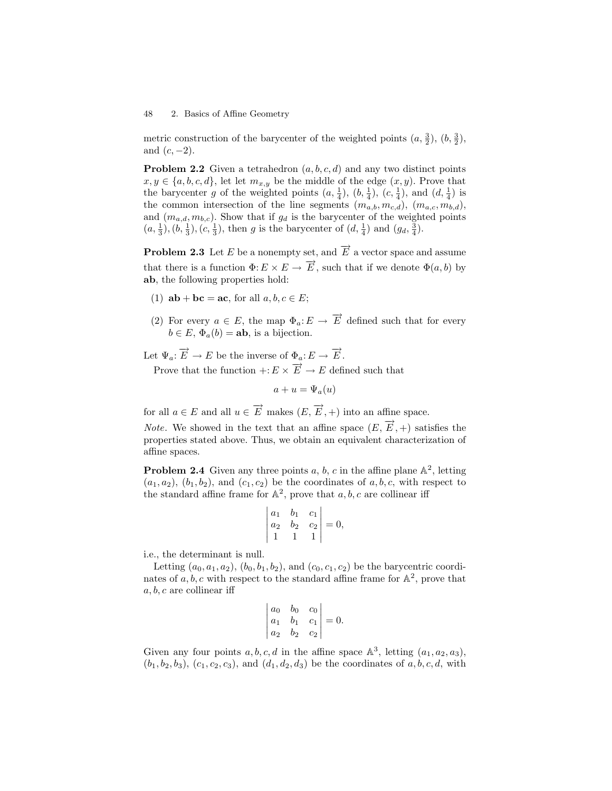metric construction of the barycenter of the weighted points  $(a, \frac{3}{2}), (b, \frac{3}{2}),$ and  $(c, -2)$ .

**Problem 2.2** Given a tetrahedron  $(a, b, c, d)$  and any two distinct points  $x, y \in \{a, b, c, d\}$ , let let  $m_{x,y}$  be the middle of the edge  $(x, y)$ . Prove that the barycenter g of the weighted points  $(a, \frac{1}{4}), (b, \frac{1}{4}), (c, \frac{1}{4}),$  and  $(d, \frac{1}{4})$  is the common intersection of the line segments  $(m_{a,b}, m_{c,d})$ ,  $(m_{a,c}, m_{b,d})$ , and  $(m_{a,d}, m_{b,c})$ . Show that if  $g_d$  is the barycenter of the weighted points  $(a, \frac{1}{3}), (b, \frac{1}{3}), (c, \frac{1}{3}),$  then g is the barycenter of  $(d, \frac{1}{4})$  and  $(g_d, \frac{3}{4})$ .

**Problem 2.3** Let E be a nonempty set, and  $\overrightarrow{E}$  a vector space and assume that there is a function  $\Phi: E \times E \to \overrightarrow{E}$ , such that if we denote  $\Phi(a, b)$  by ab, the following properties hold:

- (1)  $ab + bc = ac$ , for all  $a, b, c \in E$ ;
- (2) For every  $a \in E$ , the map  $\Phi_a: E \to \overrightarrow{E}$  defined such that for every  $b \in E$ ,  $\Phi_a(b) = ab$ , is a bijection.

Let  $\Psi_a: \overrightarrow{E} \to E$  be the inverse of  $\Phi_a: E \to \overrightarrow{E}$ .

Prove that the function  $\div: E \times \overrightarrow{E} \to E$  defined such that

$$
a+u=\Psi_a(u)
$$

for all  $a \in E$  and all  $u \in \overrightarrow{E}$  makes  $(E, \overrightarrow{E}, +)$  into an affine space.

*Note.* We showed in the text that an affine space  $(E, \overrightarrow{E}, +)$  satisfies the properties stated above. Thus, we obtain an equivalent characterization of affine spaces.

**Problem 2.4** Given any three points a, b, c in the affine plane  $\mathbb{A}^2$ , letting  $(a_1, a_2), (b_1, b_2),$  and  $(c_1, c_2)$  be the coordinates of a, b, c, with respect to the standard affine frame for  $\mathbb{A}^2$ , prove that  $a, b, c$  are collinear iff

$$
\begin{vmatrix} a_1 & b_1 & c_1 \\ a_2 & b_2 & c_2 \\ 1 & 1 & 1 \end{vmatrix} = 0,
$$

i.e., the determinant is null.

Letting  $(a_0, a_1, a_2), (b_0, b_1, b_2),$  and  $(c_0, c_1, c_2)$  be the barycentric coordinates of  $a, b, c$  with respect to the standard affine frame for  $\mathbb{A}^2$ , prove that  $a, b, c$  are collinear iff

$$
\begin{vmatrix} a_0 & b_0 & c_0 \ a_1 & b_1 & c_1 \ a_2 & b_2 & c_2 \end{vmatrix} = 0.
$$

Given any four points  $a, b, c, d$  in the affine space  $\mathbb{A}^3$ , letting  $(a_1, a_2, a_3)$ ,  $(b_1, b_2, b_3), (c_1, c_2, c_3),$  and  $(d_1, d_2, d_3)$  be the coordinates of a, b, c, d, with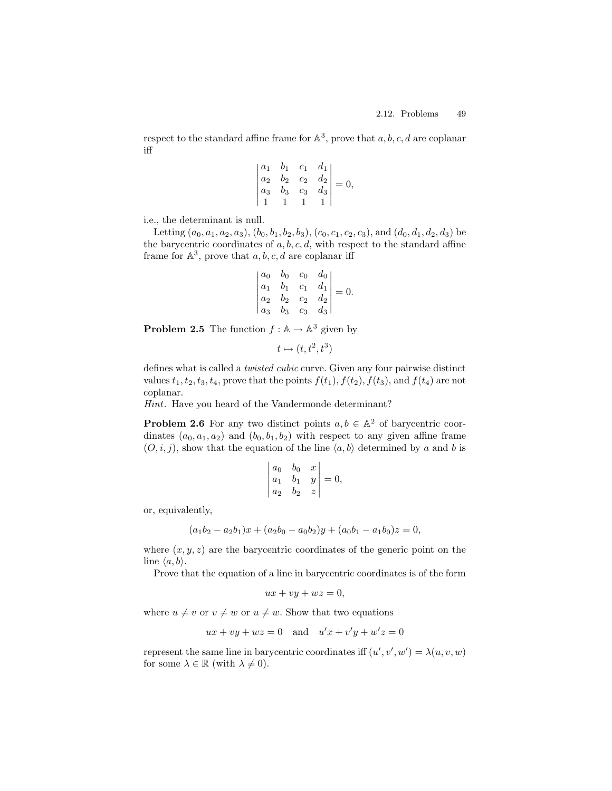respect to the standard affine frame for  $\mathbb{A}^3$ , prove that  $a, b, c, d$  are coplanar iff

$$
\begin{vmatrix} a_1 & b_1 & c_1 & d_1 \\ a_2 & b_2 & c_2 & d_2 \\ a_3 & b_3 & c_3 & d_3 \\ 1 & 1 & 1 & 1 \end{vmatrix} = 0,
$$

i.e., the determinant is null.

Letting  $(a_0, a_1, a_2, a_3), (b_0, b_1, b_2, b_3), (c_0, c_1, c_2, c_3),$  and  $(d_0, d_1, d_2, d_3)$  be the barycentric coordinates of  $a, b, c, d$ , with respect to the standard affine frame for  $\mathbb{A}^3$ , prove that  $a, b, c, d$  are coplanar iff

$$
\begin{vmatrix} a_0 & b_0 & c_0 & d_0 \ a_1 & b_1 & c_1 & d_1 \ a_2 & b_2 & c_2 & d_2 \ a_3 & b_3 & c_3 & d_3 \end{vmatrix} = 0.
$$

**Problem 2.5** The function  $f : \mathbb{A} \to \mathbb{A}^3$  given by

$$
t \mapsto (t, t^2, t^3)
$$

defines what is called a twisted cubic curve. Given any four pairwise distinct values  $t_1, t_2, t_3, t_4$ , prove that the points  $f(t_1)$ ,  $f(t_2)$ ,  $f(t_3)$ , and  $f(t_4)$  are not coplanar.

Hint. Have you heard of the Vandermonde determinant?

**Problem 2.6** For any two distinct points  $a, b \in \mathbb{A}^2$  of barycentric coordinates  $(a_0, a_1, a_2)$  and  $(b_0, b_1, b_2)$  with respect to any given affine frame  $(O, i, j)$ , show that the equation of the line  $\langle a, b \rangle$  determined by a and b is

$$
\begin{vmatrix} a_0 & b_0 & x \\ a_1 & b_1 & y \\ a_2 & b_2 & z \end{vmatrix} = 0,
$$

or, equivalently,

$$
(a_1b_2 - a_2b_1)x + (a_2b_0 - a_0b_2)y + (a_0b_1 - a_1b_0)z = 0,
$$

where  $(x, y, z)$  are the barycentric coordinates of the generic point on the line  $\langle a, b \rangle$ .

Prove that the equation of a line in barycentric coordinates is of the form

$$
ux + vy + wz = 0,
$$

where  $u \neq v$  or  $v \neq w$  or  $u \neq w$ . Show that two equations

$$
ux + vy + wz = 0 \quad \text{and} \quad u'x + v'y + w'z = 0
$$

represent the same line in barycentric coordinates iff  $(u', v', w') = \lambda(u, v, w)$ for some  $\lambda \in \mathbb{R}$  (with  $\lambda \neq 0$ ).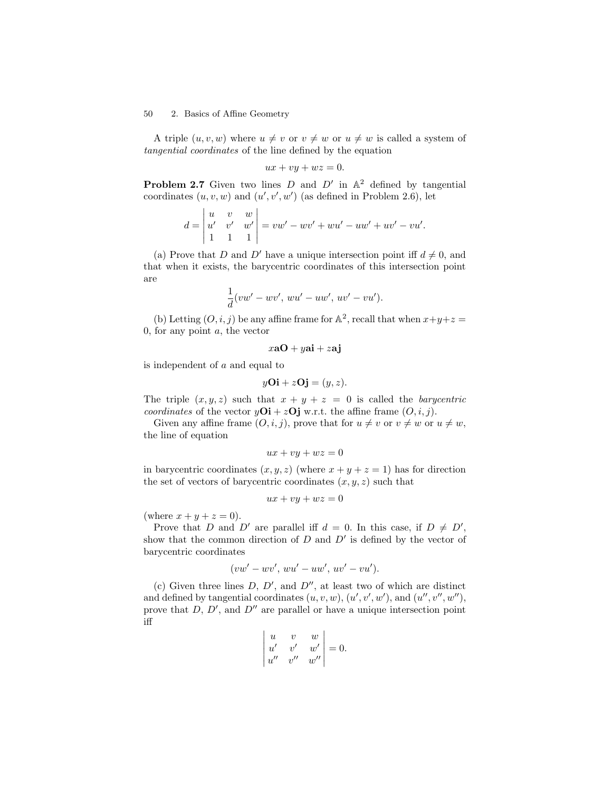A triple  $(u, v, w)$  where  $u \neq v$  or  $v \neq w$  or  $u \neq w$  is called a system of tangential coordinates of the line defined by the equation

$$
ux + vy + wz = 0.
$$

**Problem 2.7** Given two lines D and  $D'$  in  $\mathbb{A}^2$  defined by tangential coordinates  $(u, v, w)$  and  $(u', v', w')$  (as defined in Problem 2.6), let

$$
d = \begin{vmatrix} u & v & w \\ u' & v' & w' \\ 1 & 1 & 1 \end{vmatrix} = vw' - wv' + wu' - uw' + uv' - vu'.
$$

(a) Prove that D and D' have a unique intersection point iff  $d \neq 0$ , and that when it exists, the barycentric coordinates of this intersection point are

$$
\frac{1}{d}(vw'-wv', wu'-uw', uv'-vu').
$$

(b) Letting  $(O, i, j)$  be any affine frame for  $\mathbb{A}^2$ , recall that when  $x+y+z=$ 0, for any point  $a$ , the vector

$$
x\mathbf{a0} + y\mathbf{ai} + z\mathbf{aj}
$$

is independent of a and equal to

$$
yO\mathbf{i} + zO\mathbf{j} = (y, z).
$$

The triple  $(x, y, z)$  such that  $x + y + z = 0$  is called the *barycentric* coordinates of the vector  $yOi + zOj$  w.r.t. the affine frame  $(O, i, j)$ .

Given any affine frame  $(O,i,j)$ , prove that for  $u \neq v$  or  $v \neq w$  or  $u \neq w$ , the line of equation

$$
ux + vy + wz = 0
$$

in barycentric coordinates  $(x, y, z)$  (where  $x + y + z = 1$ ) has for direction the set of vectors of barycentric coordinates  $(x, y, z)$  such that

$$
ux + vy + wz = 0
$$

(where  $x + y + z = 0$ ).

Prove that D and D' are parallel iff  $d = 0$ . In this case, if  $D \neq D'$ , show that the common direction of  $D$  and  $D'$  is defined by the vector of barycentric coordinates

$$
(vw'-wv', wu'-uw', uv'-vu').
$$

(c) Given three lines  $D, D',$  and  $D''$ , at least two of which are distinct and defined by tangential coordinates  $(u, v, w)$ ,  $(u', v', w')$ , and  $(u'', v'', w'')$ , prove that  $D, D',$  and  $D''$  are parallel or have a unique intersection point iff

$$
\begin{vmatrix} u & v & w \\ u' & v' & w' \\ u'' & v'' & w'' \end{vmatrix} = 0.
$$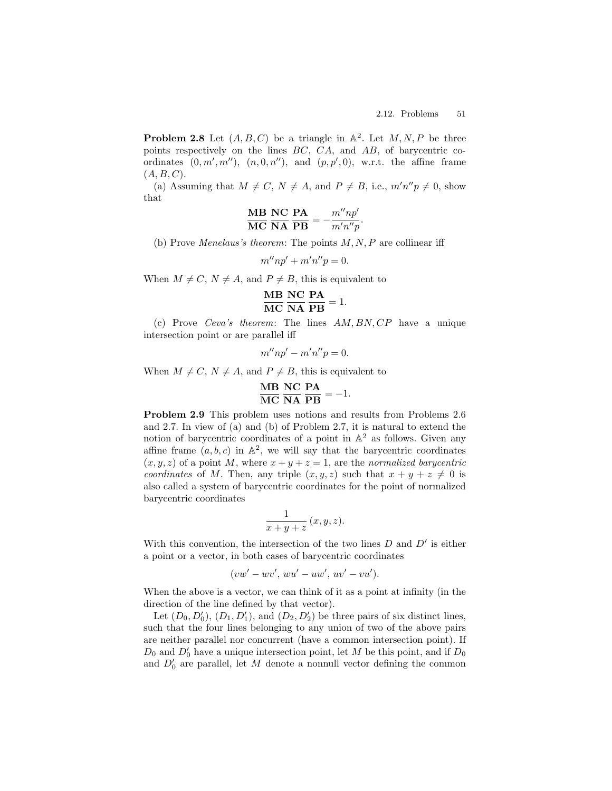**Problem 2.8** Let  $(A, B, C)$  be a triangle in  $\mathbb{A}^2$ . Let  $M, N, P$  be three points respectively on the lines BC, CA, and AB, of barycentric coordinates  $(0, m', m'')$ ,  $(n, 0, n'')$ , and  $(p, p', 0)$ , w.r.t. the affine frame  $(A, B, C)$ .

(a) Assuming that  $M \neq C$ ,  $N \neq A$ , and  $P \neq B$ , i.e.,  $m'n''p \neq 0$ , show that

$$
\frac{\text{MB}}{\text{MC}} \frac{\text{NC}}{\text{NA}} \frac{\text{PA}}{\text{PB}} = -\frac{m''np'}{m'n''p}.
$$

(b) Prove Menelaus's theorem: The points  $M, N, P$  are collinear iff

 $m''np' + m'n''p = 0.$ 

When  $M \neq C$ ,  $N \neq A$ , and  $P \neq B$ , this is equivalent to

$$
\frac{\text{MB}}{\text{MC}} \frac{\text{NC}}{\text{NA}} \frac{\text{PA}}{\text{PB}} = 1.
$$

(c) Prove Ceva's theorem: The lines AM, BN, CP have a unique intersection point or are parallel iff

$$
m''np'-m'n''p=0.
$$

When  $M \neq C$ ,  $N \neq A$ , and  $P \neq B$ , this is equivalent to

$$
\frac{\text{MB}}{\text{MC}} \frac{\text{NC}}{\text{NA}} \frac{\text{PA}}{\text{PB}} = -1.
$$

Problem 2.9 This problem uses notions and results from Problems 2.6 and 2.7. In view of (a) and (b) of Problem 2.7, it is natural to extend the notion of barycentric coordinates of a point in  $\mathbb{A}^2$  as follows. Given any affine frame  $(a, b, c)$  in  $\mathbb{A}^2$ , we will say that the barycentric coordinates  $(x, y, z)$  of a point M, where  $x + y + z = 1$ , are the normalized barycentric coordinates of M. Then, any triple  $(x, y, z)$  such that  $x + y + z \neq 0$  is also called a system of barycentric coordinates for the point of normalized barycentric coordinates

$$
\frac{1}{x+y+z} (x, y, z).
$$

With this convention, the intersection of the two lines  $D$  and  $D'$  is either a point or a vector, in both cases of barycentric coordinates

$$
(vw' - wv', wu' - uw', uv' - vu').
$$

When the above is a vector, we can think of it as a point at infinity (in the direction of the line defined by that vector).

Let  $(D_0, D'_0)$ ,  $(D_1, D'_1)$ , and  $(D_2, D'_2)$  be three pairs of six distinct lines, such that the four lines belonging to any union of two of the above pairs are neither parallel nor concurrent (have a common intersection point). If  $D_0$  and  $D'_0$  have a unique intersection point, let M be this point, and if  $D_0$ and  $D'_0$  are parallel, let M denote a nonnull vector defining the common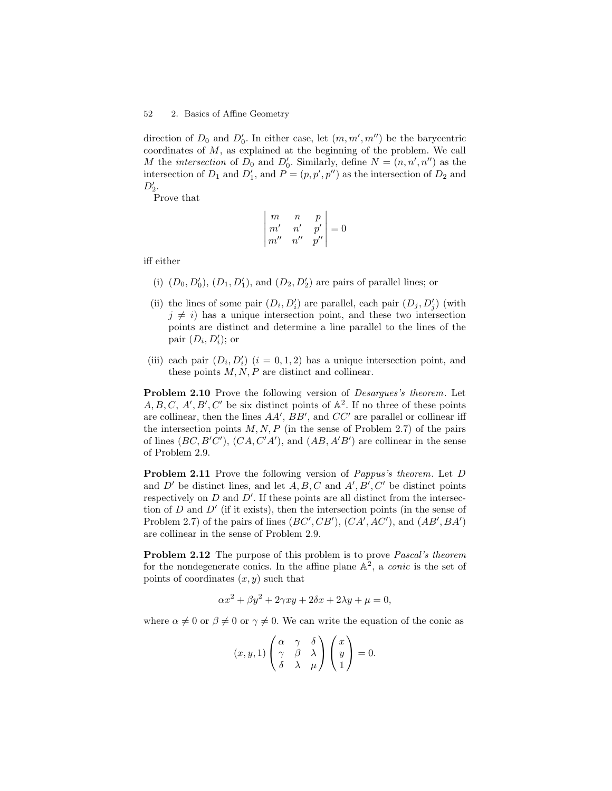direction of  $D_0$  and  $D'_0$ . In either case, let  $(m, m', m'')$  be the barycentric coordinates of M, as explained at the beginning of the problem. We call M the intersection of  $D_0$  and  $D'_0$ . Similarly, define  $N = (n, n', n'')$  as the intersection of  $D_1$  and  $D'_1$ , and  $P = (p, p', p'')$  as the intersection of  $D_2$  and  $D'_2.$ 

Prove that

$$
\begin{vmatrix} m & n & p \\ m' & n' & p' \\ m'' & n'' & p'' \end{vmatrix} = 0
$$

iff either

- (i)  $(D_0, D'_0), (D_1, D'_1),$  and  $(D_2, D'_2)$  are pairs of parallel lines; or
- (ii) the lines of some pair  $(D_i, D'_i)$  are parallel, each pair  $(D_j, D'_j)$  (with  $j \neq i$ ) has a unique intersection point, and these two intersection points are distinct and determine a line parallel to the lines of the pair  $(D_i, D'_i)$ ; or
- (iii) each pair  $(D_i, D'_i)$   $(i = 0, 1, 2)$  has a unique intersection point, and these points  $M, N, P$  are distinct and collinear.

Problem 2.10 Prove the following version of Desargues's theorem. Let  $A, B, C, A', B', C'$  be six distinct points of  $\mathbb{A}^2$ . If no three of these points are collinear, then the lines  $AA'$ ,  $BB'$ , and  $CC'$  are parallel or collinear iff the intersection points  $M, N, P$  (in the sense of Problem 2.7) of the pairs of lines  $(BC, B'C')$ ,  $(CA, C'A')$ , and  $(AB, A'B')$  are collinear in the sense of Problem 2.9.

Problem 2.11 Prove the following version of Pappus's theorem. Let D and D' be distinct lines, and let  $A, B, C$  and  $A', B', C'$  be distinct points respectively on  $D$  and  $D'$ . If these points are all distinct from the intersection of  $D$  and  $D'$  (if it exists), then the intersection points (in the sense of Problem 2.7) of the pairs of lines  $(BC', CB')$ ,  $(CA', AC')$ , and  $(AB', BA')$ are collinear in the sense of Problem 2.9.

Problem 2.12 The purpose of this problem is to prove Pascal's theorem for the nondegenerate conics. In the affine plane  $\mathbb{A}^2$ , a *conic* is the set of points of coordinates  $(x, y)$  such that

$$
\alpha x^2 + \beta y^2 + 2\gamma xy + 2\delta x + 2\lambda y + \mu = 0,
$$

where  $\alpha \neq 0$  or  $\beta \neq 0$  or  $\gamma \neq 0$ . We can write the equation of the conic as

$$
(x, y, 1)\begin{pmatrix} \alpha & \gamma & \delta \\ \gamma & \beta & \lambda \\ \delta & \lambda & \mu \end{pmatrix} \begin{pmatrix} x \\ y \\ 1 \end{pmatrix} = 0.
$$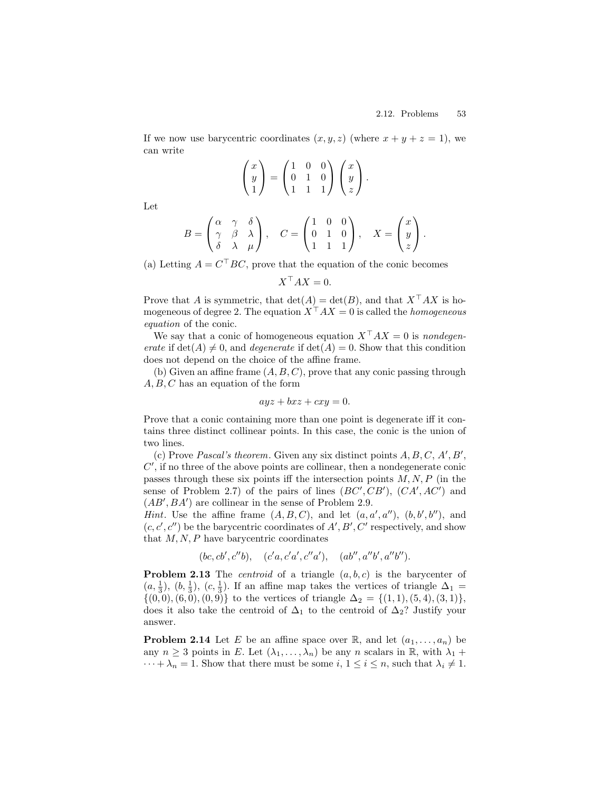If we now use barycentric coordinates  $(x, y, z)$  (where  $x + y + z = 1$ ), we can write

$$
\begin{pmatrix} x \\ y \\ 1 \end{pmatrix} = \begin{pmatrix} 1 & 0 & 0 \\ 0 & 1 & 0 \\ 1 & 1 & 1 \end{pmatrix} \begin{pmatrix} x \\ y \\ z \end{pmatrix}.
$$

Let

$$
B = \begin{pmatrix} \alpha & \gamma & \delta \\ \gamma & \beta & \lambda \\ \delta & \lambda & \mu \end{pmatrix}, \quad C = \begin{pmatrix} 1 & 0 & 0 \\ 0 & 1 & 0 \\ 1 & 1 & 1 \end{pmatrix}, \quad X = \begin{pmatrix} x \\ y \\ z \end{pmatrix}.
$$

(a) Letting  $A = C<sup>T</sup> BC$ , prove that the equation of the conic becomes

 $X^{\top}AX = 0.$ 

Prove that A is symmetric, that  $\det(A) = \det(B)$ , and that  $X^{\top} A X$  is homogeneous of degree 2. The equation  $X^{\top}AX = 0$  is called the *homogeneous* equation of the conic.

We say that a conic of homogeneous equation  $X^{\top}AX = 0$  is nondegenerate if  $\det(A) \neq 0$ , and *degenerate* if  $\det(A) = 0$ . Show that this condition does not depend on the choice of the affine frame.

(b) Given an affine frame  $(A, B, C)$ , prove that any conic passing through  $A, B, C$  has an equation of the form

$$
ayz + bxz + cxy = 0.
$$

Prove that a conic containing more than one point is degenerate iff it contains three distinct collinear points. In this case, the conic is the union of two lines.

(c) Prove Pascal's theorem. Given any six distinct points  $A, B, C, A', B',$  $C'$ , if no three of the above points are collinear, then a nondegenerate conic passes through these six points iff the intersection points  $M, N, P$  (in the sense of Problem 2.7) of the pairs of lines  $(BC', CB')$ ,  $(CA', AC')$  and  $(AB', BA')$  are collinear in the sense of Problem 2.9.

*Hint*. Use the affine frame  $(A, B, C)$ , and let  $(a, a', a'')$ ,  $(b, b', b'')$ , and  $(c, c', c'')$  be the barycentric coordinates of  $A', B', C'$  respectively, and show that  $M, N, P$  have barycentric coordinates

$$
(bc, cb', c''b), \quad (c'a, c'a', c''a'), \quad (ab'', a''b', a''b'').
$$

**Problem 2.13** The *centroid* of a triangle  $(a, b, c)$  is the barycenter of  $(a, \frac{1}{3}), (b, \frac{1}{3}), (c, \frac{1}{3})$ . If an affine map takes the vertices of triangle  $\Delta_1 =$  $\{(0,0), (6,0), (0,9)\}\)$  to the vertices of triangle  $\Delta_2 = \{(1,1), (5,4), (3,1)\}\,$ does it also take the centroid of  $\Delta_1$  to the centroid of  $\Delta_2$ ? Justify your answer.

**Problem 2.14** Let E be an affine space over R, and let  $(a_1, \ldots, a_n)$  be any  $n \geq 3$  points in E. Let  $(\lambda_1, \ldots, \lambda_n)$  be any n scalars in R, with  $\lambda_1$  +  $\cdots + \lambda_n = 1$ . Show that there must be some  $i, 1 \leq i \leq n$ , such that  $\lambda_i \neq 1$ .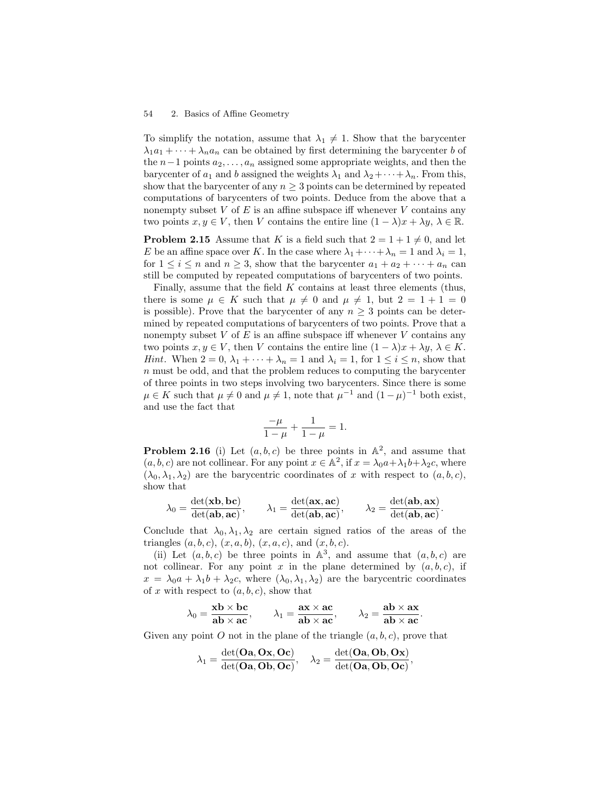To simplify the notation, assume that  $\lambda_1 \neq 1$ . Show that the barycenter  $\lambda_1 a_1 + \cdots + \lambda_n a_n$  can be obtained by first determining the barycenter b of the  $n-1$  points  $a_2, \ldots, a_n$  assigned some appropriate weights, and then the barycenter of  $a_1$  and b assigned the weights  $\lambda_1$  and  $\lambda_2 + \cdots + \lambda_n$ . From this, show that the barycenter of any  $n \geq 3$  points can be determined by repeated computations of barycenters of two points. Deduce from the above that a nonempty subset  $V$  of  $E$  is an affine subspace iff whenever  $V$  contains any two points  $x, y \in V$ , then V contains the entire line  $(1 - \lambda)x + \lambda y$ ,  $\lambda \in \mathbb{R}$ .

**Problem 2.15** Assume that K is a field such that  $2 = 1 + 1 \neq 0$ , and let E be an affine space over K. In the case where  $\lambda_1 + \cdots + \lambda_n = 1$  and  $\lambda_i = 1$ , for  $1 \leq i \leq n$  and  $n \geq 3$ , show that the barycenter  $a_1 + a_2 + \cdots + a_n$  can still be computed by repeated computations of barycenters of two points.

Finally, assume that the field  $K$  contains at least three elements (thus, there is some  $\mu \in K$  such that  $\mu \neq 0$  and  $\mu \neq 1$ , but  $2 = 1 + 1 = 0$ is possible). Prove that the barycenter of any  $n \geq 3$  points can be determined by repeated computations of barycenters of two points. Prove that a nonempty subset  $V$  of  $E$  is an affine subspace iff whenever  $V$  contains any two points  $x, y \in V$ , then V contains the entire line  $(1 - \lambda)x + \lambda y$ ,  $\lambda \in K$ . *Hint*. When  $2 = 0$ ,  $\lambda_1 + \cdots + \lambda_n = 1$  and  $\lambda_i = 1$ , for  $1 \leq i \leq n$ , show that n must be odd, and that the problem reduces to computing the barycenter of three points in two steps involving two barycenters. Since there is some  $\mu \in K$  such that  $\mu \neq 0$  and  $\mu \neq 1$ , note that  $\mu^{-1}$  and  $(1 - \mu)^{-1}$  both exist, and use the fact that

$$
\frac{-\mu}{1-\mu} + \frac{1}{1-\mu} = 1.
$$

**Problem 2.16** (i) Let  $(a, b, c)$  be three points in  $\mathbb{A}^2$ , and assume that  $(a, b, c)$  are not collinear. For any point  $x \in \mathbb{A}^2$ , if  $x = \lambda_0 a + \lambda_1 b + \lambda_2 c$ , where  $(\lambda_0, \lambda_1, \lambda_2)$  are the barycentric coordinates of x with respect to  $(a, b, c)$ , show that

$$
\lambda_0 = \frac{\det(\mathbf{x}\mathbf{b}, \mathbf{b}\mathbf{c})}{\det(\mathbf{a}\mathbf{b}, \mathbf{a}\mathbf{c})}, \qquad \lambda_1 = \frac{\det(\mathbf{a}\mathbf{x}, \mathbf{a}\mathbf{c})}{\det(\mathbf{a}\mathbf{b}, \mathbf{a}\mathbf{c})}, \qquad \lambda_2 = \frac{\det(\mathbf{a}\mathbf{b}, \mathbf{a}\mathbf{x})}{\det(\mathbf{a}\mathbf{b}, \mathbf{a}\mathbf{c})}.
$$

Conclude that  $\lambda_0, \lambda_1, \lambda_2$  are certain signed ratios of the areas of the triangles  $(a, b, c), (x, a, b), (x, a, c),$  and  $(x, b, c)$ .

(ii) Let  $(a, b, c)$  be three points in  $\mathbb{A}^3$ , and assume that  $(a, b, c)$  are not collinear. For any point x in the plane determined by  $(a, b, c)$ , if  $x = \lambda_0 a + \lambda_1 b + \lambda_2 c$ , where  $(\lambda_0, \lambda_1, \lambda_2)$  are the barycentric coordinates of x with respect to  $(a, b, c)$ , show that

$$
\lambda_0 = \frac{\mathbf{x} \mathbf{b} \times \mathbf{b} \mathbf{c}}{\mathbf{a} \mathbf{b} \times \mathbf{a} \mathbf{c}}, \qquad \lambda_1 = \frac{\mathbf{a} \mathbf{x} \times \mathbf{a} \mathbf{c}}{\mathbf{a} \mathbf{b} \times \mathbf{a} \mathbf{c}}, \qquad \lambda_2 = \frac{\mathbf{a} \mathbf{b} \times \mathbf{a} \mathbf{x}}{\mathbf{a} \mathbf{b} \times \mathbf{a} \mathbf{c}}.
$$

Given any point O not in the plane of the triangle  $(a, b, c)$ , prove that

$$
\lambda_1 = \frac{\det(\mathbf{Oa}, \mathbf{Ox}, \mathbf{Oc})}{\det(\mathbf{Oa}, \mathbf{Ob}, \mathbf{Oc})}, \quad \lambda_2 = \frac{\det(\mathbf{Oa}, \mathbf{Ob}, \mathbf{Ox})}{\det(\mathbf{Oa}, \mathbf{Ob}, \mathbf{Oc})},
$$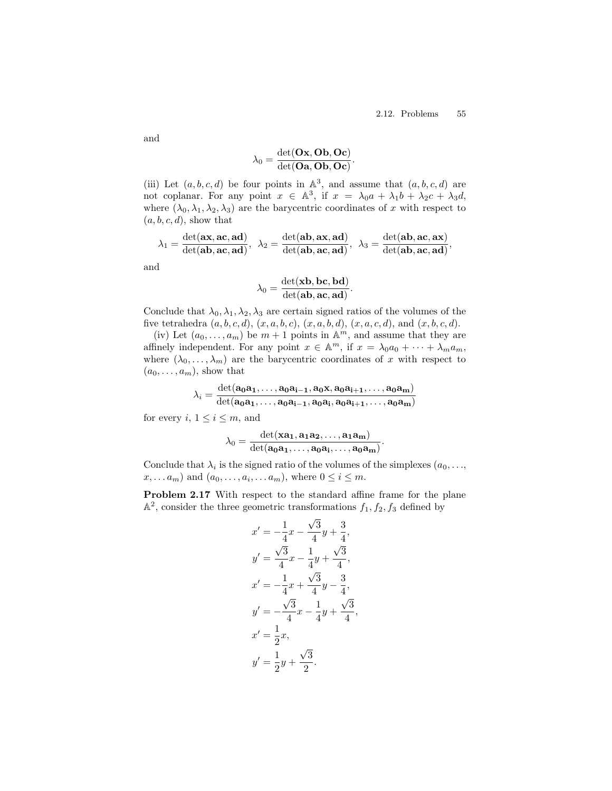$$
\lambda_0 = \frac{\det(\mathbf{Ox},\mathbf{Ob},\mathbf{Oc})}{\det(\mathbf{Oa},\mathbf{Ob},\mathbf{Oc})}
$$

.

(iii) Let  $(a, b, c, d)$  be four points in  $\mathbb{A}^3$ , and assume that  $(a, b, c, d)$  are not coplanar. For any point  $x \in \mathbb{A}^3$ , if  $x = \lambda_0 a + \lambda_1 b + \lambda_2 c + \lambda_3 d$ , where  $(\lambda_0, \lambda_1, \lambda_2, \lambda_3)$  are the barycentric coordinates of x with respect to  $(a, b, c, d)$ , show that

$$
\lambda_1 = \frac{\det(\mathbf{ax}, \mathbf{ac}, \mathbf{ad})}{\det(\mathbf{ab}, \mathbf{ac}, \mathbf{ad})}, \ \ \lambda_2 = \frac{\det(\mathbf{ab}, \mathbf{ax}, \mathbf{ad})}{\det(\mathbf{ab}, \mathbf{ac}, \mathbf{ad})}, \ \ \lambda_3 = \frac{\det(\mathbf{ab}, \mathbf{ac}, \mathbf{ax})}{\det(\mathbf{ab}, \mathbf{ac}, \mathbf{ad})},
$$

and

$$
\lambda_0 = \frac{\det(\mathbf{xb}, \mathbf{bc}, \mathbf{bd})}{\det(\mathbf{ab}, \mathbf{ac}, \mathbf{ad})}.
$$

Conclude that  $\lambda_0, \lambda_1, \lambda_2, \lambda_3$  are certain signed ratios of the volumes of the five tetrahedra  $(a, b, c, d), (x, a, b, c), (x, a, b, d), (x, a, c, d),$  and  $(x, b, c, d)$ .

(iv) Let  $(a_0, \ldots, a_m)$  be  $m+1$  points in  $\mathbb{A}^m$ , and assume that they are affinely independent. For any point  $x \in \mathbb{A}^m$ , if  $x = \lambda_0 a_0 + \cdots + \lambda_m a_m$ , where  $(\lambda_0, \ldots, \lambda_m)$  are the barycentric coordinates of x with respect to  $(a_0, \ldots, a_m)$ , show that

$$
\lambda_i = \frac{\det(a_0a_1,\ldots,a_0a_{i-1},a_0x,a_0a_{i+1},\ldots,a_0a_m)}{\det(a_0a_1,\ldots,a_0a_{i-1},a_0a_i,a_0a_{i+1},\ldots,a_0a_m)}
$$

for every i,  $1 \leq i \leq m$ , and

$$
\lambda_0 = \frac{\det(\mathbf{x}\mathbf{a}_1, \mathbf{a}_1\mathbf{a}_2, \dots, \mathbf{a}_1\mathbf{a}_m)}{\det(\mathbf{a}_0\mathbf{a}_1, \dots, \mathbf{a}_0\mathbf{a}_i, \dots, \mathbf{a}_0\mathbf{a}_m)}.
$$

Conclude that  $\lambda_i$  is the signed ratio of the volumes of the simplexes  $(a_0, \ldots,$  $x, \ldots, a_m$ ) and  $(a_0, \ldots, a_i, \ldots, a_m)$ , where  $0 \leq i \leq m$ .

Problem 2.17 With respect to the standard affine frame for the plane  $\mathbb{A}^2$ , consider the three geometric transformations  $f_1, f_2, f_3$  defined by

$$
x' = -\frac{1}{4}x - \frac{\sqrt{3}}{4}y + \frac{3}{4},
$$
  
\n
$$
y' = \frac{\sqrt{3}}{4}x - \frac{1}{4}y + \frac{\sqrt{3}}{4},
$$
  
\n
$$
x' = -\frac{1}{4}x + \frac{\sqrt{3}}{4}y - \frac{3}{4},
$$
  
\n
$$
y' = -\frac{\sqrt{3}}{4}x - \frac{1}{4}y + \frac{\sqrt{3}}{4},
$$
  
\n
$$
x' = \frac{1}{2}x,
$$
  
\n
$$
y' = \frac{1}{2}y + \frac{\sqrt{3}}{2}.
$$

and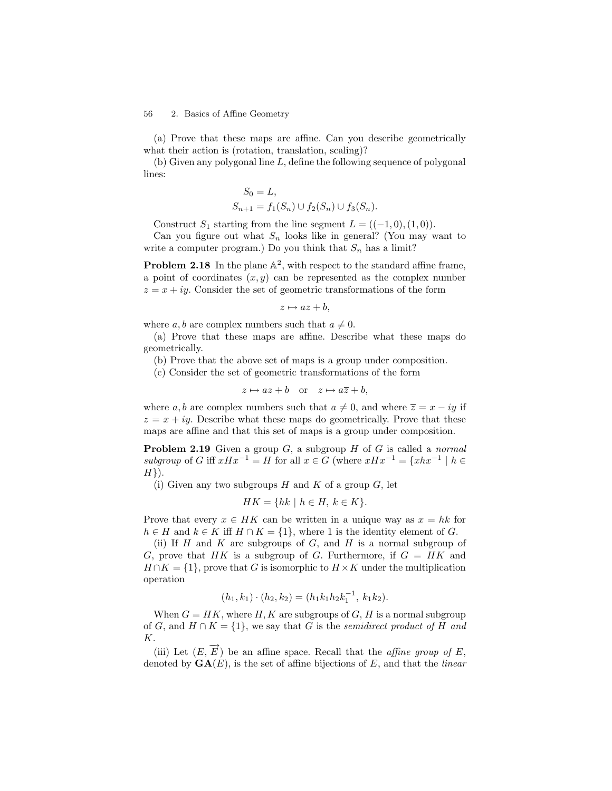(a) Prove that these maps are affine. Can you describe geometrically what their action is (rotation, translation, scaling)?

 $(b)$  Given any polygonal line L, define the following sequence of polygonal lines:

$$
S_0 = L,
$$
  
\n
$$
S_{n+1} = f_1(S_n) \cup f_2(S_n) \cup f_3(S_n).
$$

Construct  $S_1$  starting from the line segment  $L = ((-1, 0), (1, 0)).$ 

Can you figure out what  $S_n$  looks like in general? (You may want to write a computer program.) Do you think that  $S_n$  has a limit?

**Problem 2.18** In the plane  $\mathbb{A}^2$ , with respect to the standard affine frame, a point of coordinates  $(x, y)$  can be represented as the complex number  $z = x + iy$ . Consider the set of geometric transformations of the form

$$
z \mapsto az + b,
$$

where  $a, b$  are complex numbers such that  $a \neq 0$ .

(a) Prove that these maps are affine. Describe what these maps do geometrically.

(b) Prove that the above set of maps is a group under composition.

(c) Consider the set of geometric transformations of the form

$$
z \mapsto az + b
$$
 or  $z \mapsto a\overline{z} + b$ ,

where a, b are complex numbers such that  $a \neq 0$ , and where  $\overline{z} = x - iy$  if  $z = x + iy$ . Describe what these maps do geometrically. Prove that these maps are affine and that this set of maps is a group under composition.

**Problem 2.19** Given a group  $G$ , a subgroup  $H$  of  $G$  is called a normal subgroup of G iff  $xHx^{-1} = H$  for all  $x \in G$  (where  $xHx^{-1} = \{xhx^{-1} \mid h \in$  $H$ }).

(i) Given any two subgroups H and K of a group G, let

$$
HK = \{ hk \mid h \in H, \ k \in K \}.
$$

Prove that every  $x \in HK$  can be written in a unique way as  $x = hk$  for  $h \in H$  and  $k \in K$  iff  $H \cap K = \{1\}$ , where 1 is the identity element of G.

(ii) If  $H$  and  $K$  are subgroups of  $G$ , and  $H$  is a normal subgroup of G, prove that HK is a subgroup of G. Furthermore, if  $G = HK$  and  $H \cap K = \{1\}$ , prove that G is isomorphic to  $H \times K$  under the multiplication operation

$$
(h_1,k_1)\cdot (h_2,k_2)=(h_1k_1h_2k_1^{-1}, k_1k_2).
$$

When  $G = HK$ , where H, K are subgroups of G, H is a normal subgroup of G, and  $H \cap K = \{1\}$ , we say that G is the *semidirect product of* H and K.

(iii) Let  $(E, \overrightarrow{E})$  be an affine space. Recall that the *affine group of E*, denoted by  $GA(E)$ , is the set of affine bijections of E, and that the *linear*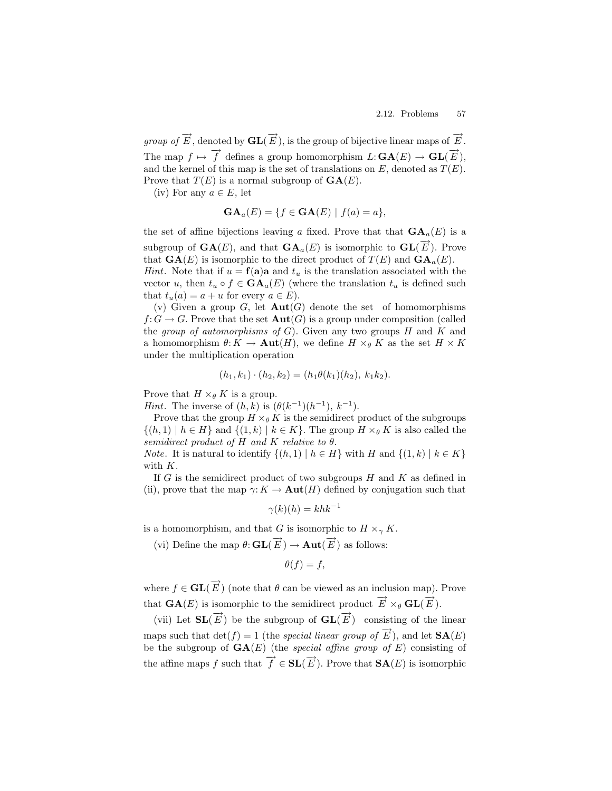group of  $\overrightarrow{E}$ , denoted by  $\mathbf{GL}(\overrightarrow{E})$ , is the group of bijective linear maps of  $\overrightarrow{E}$ . The map  $f \mapsto \overrightarrow{f}$  defines a group homomorphism  $L: \mathbf{GA}(E) \to \mathbf{GL}(\overrightarrow{E}),$ and the kernel of this map is the set of translations on E, denoted as  $T(E)$ . Prove that  $T(E)$  is a normal subgroup of  $GA(E)$ .

(iv) For any  $a \in E$ , let

$$
\mathbf{GA}_a(E) = \{ f \in \mathbf{GA}(E) \mid f(a) = a \},
$$

the set of affine bijections leaving a fixed. Prove that that  $\mathbf{GA}_{a}(E)$  is a subgroup of  $\mathbf{GA}(E)$ , and that  $\mathbf{GA}_a(E)$  is isomorphic to  $\mathbf{GL}(\overrightarrow{E})$ . Prove that  $GA(E)$  is isomorphic to the direct product of  $T(E)$  and  $GA_a(E)$ .

*Hint*. Note that if  $u = f(a)a$  and  $t_u$  is the translation associated with the vector u, then  $t_u \circ f \in \mathbf{GA}_a(E)$  (where the translation  $t_u$  is defined such that  $t_u(a) = a + u$  for every  $a \in E$ ).

(v) Given a group G, let  $\text{Aut}(G)$  denote the set of homomorphisms  $f: G \to G$ . Prove that the set  $\text{Aut}(G)$  is a group under composition (called the group of automorphisms of  $G$ ). Given any two groups  $H$  and  $K$  and a homomorphism  $\theta: K \to \text{Aut}(H)$ , we define  $H \times_{\theta} K$  as the set  $H \times K$ under the multiplication operation

$$
(h_1,k_1)\cdot (h_2,k_2)=(h_1\theta(k_1)(h_2), k_1k_2).
$$

Prove that  $H \times_{\theta} K$  is a group.

*Hint*. The inverse of  $(h, k)$  is  $(\theta(k^{-1})(h^{-1}), k^{-1})$ .

Prove that the group  $H \times_{\theta} K$  is the semidirect product of the subgroups  $\{(h, 1) \mid h \in H\}$  and  $\{(1, k) \mid k \in K\}$ . The group  $H \times_{\theta} K$  is also called the semidirect product of H and K relative to  $\theta$ .

*Note.* It is natural to identify  $\{(h, 1) | h \in H\}$  with H and  $\{(1, k) | k \in K\}$ with K.

If  $G$  is the semidirect product of two subgroups  $H$  and  $K$  as defined in (ii), prove that the map  $\gamma: K \to \text{Aut}(H)$  defined by conjugation such that

$$
\gamma(k)(h) = khk^{-1}
$$

is a homomorphism, and that G is isomorphic to  $H \times_{\gamma} K$ .

(vi) Define the map  $\theta: GL(\overrightarrow{E}) \to Aut(\overrightarrow{E})$  as follows:

$$
\theta(f) = f,
$$

where  $f \in \mathbf{GL}(\overrightarrow{E})$  (note that  $\theta$  can be viewed as an inclusion map). Prove that  $\mathbf{GA}(E)$  is isomorphic to the semidirect product  $\overrightarrow{E} \times_{\theta} \mathbf{GL}(\overrightarrow{E})$ .

(vii) Let  $SL(\vec{E})$  be the subgroup of  $GL(\vec{E})$  consisting of the linear maps such that  $\det(f) = 1$  (the special linear group of  $\overrightarrow{E}$ ), and let  $\mathbf{SA}(E)$ be the subgroup of  $GA(E)$  (the special affine group of E) consisting of the affine maps f such that  $\overrightarrow{f} \in SL(\overrightarrow{E})$ . Prove that  $SA(E)$  is isomorphic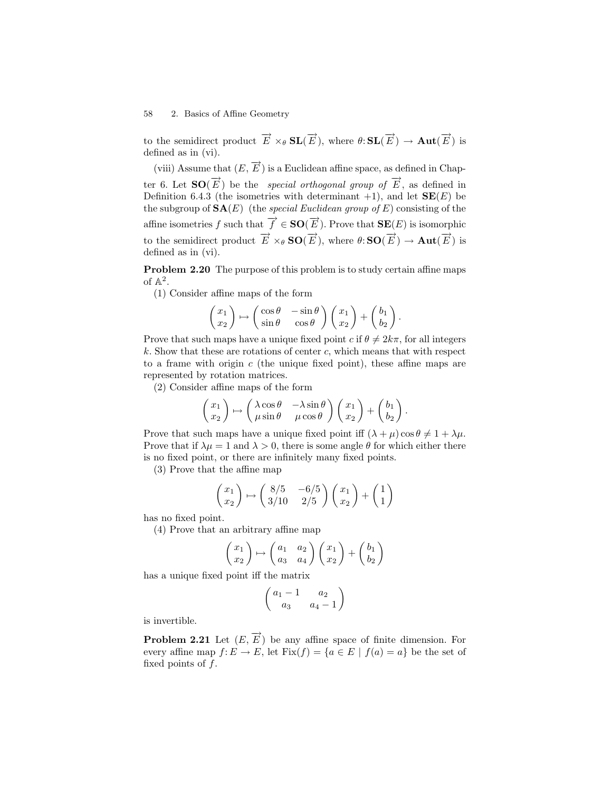to the semidirect product  $\overrightarrow{E} \times_{\theta} \mathbf{SL}(\overrightarrow{E})$ , where  $\theta: \mathbf{SL}(\overrightarrow{E}) \to \mathbf{Aut}(\overrightarrow{E})$  is defined as in (vi).

(viii) Assume that  $(E, \overrightarrow{E})$  is a Euclidean affine space, as defined in Chapter 6. Let  $SO(\overrightarrow{E})$  be the *special orthogonal group of*  $\overrightarrow{E}$ , as defined in Definition 6.4.3 (the isometries with determinant  $+1$ ), and let  $SE(E)$  be the subgroup of  $\mathbf{SA}(E)$  (the special Euclidean group of E) consisting of the affine isometries f such that  $\overrightarrow{f} \in SO(\overrightarrow{E})$ . Prove that  $\textbf{SE}(E)$  is isomorphic to the semidirect product  $\overrightarrow{E} \times_{\theta} SO(\overrightarrow{E})$ , where  $\theta:SO(\overrightarrow{E}) \to \text{Aut}(\overrightarrow{E})$  is defined as in (vi).

Problem 2.20 The purpose of this problem is to study certain affine maps of  $\mathbb{A}^2$ .

(1) Consider affine maps of the form

$$
\begin{pmatrix} x_1 \\ x_2 \end{pmatrix} \mapsto \begin{pmatrix} \cos \theta & -\sin \theta \\ \sin \theta & \cos \theta \end{pmatrix} \begin{pmatrix} x_1 \\ x_2 \end{pmatrix} + \begin{pmatrix} b_1 \\ b_2 \end{pmatrix}.
$$

Prove that such maps have a unique fixed point c if  $\theta \neq 2k\pi$ , for all integers  $k$ . Show that these are rotations of center c, which means that with respect to a frame with origin  $c$  (the unique fixed point), these affine maps are represented by rotation matrices.

(2) Consider affine maps of the form

$$
\begin{pmatrix} x_1 \\ x_2 \end{pmatrix} \mapsto \begin{pmatrix} \lambda \cos \theta & -\lambda \sin \theta \\ \mu \sin \theta & \mu \cos \theta \end{pmatrix} \begin{pmatrix} x_1 \\ x_2 \end{pmatrix} + \begin{pmatrix} b_1 \\ b_2 \end{pmatrix}.
$$

Prove that such maps have a unique fixed point iff  $(\lambda + \mu) \cos \theta \neq 1 + \lambda \mu$ . Prove that if  $\lambda \mu = 1$  and  $\lambda > 0$ , there is some angle  $\theta$  for which either there is no fixed point, or there are infinitely many fixed points.

(3) Prove that the affine map

$$
\begin{pmatrix} x_1 \\ x_2 \end{pmatrix} \mapsto \begin{pmatrix} 8/5 & -6/5 \\ 3/10 & 2/5 \end{pmatrix} \begin{pmatrix} x_1 \\ x_2 \end{pmatrix} + \begin{pmatrix} 1 \\ 1 \end{pmatrix}
$$

has no fixed point.

(4) Prove that an arbitrary affine map

$$
\begin{pmatrix} x_1 \\ x_2 \end{pmatrix} \mapsto \begin{pmatrix} a_1 & a_2 \\ a_3 & a_4 \end{pmatrix} \begin{pmatrix} x_1 \\ x_2 \end{pmatrix} + \begin{pmatrix} b_1 \\ b_2 \end{pmatrix}
$$

has a unique fixed point iff the matrix

$$
\begin{pmatrix} a_1 - 1 & a_2 \\ a_3 & a_4 - 1 \end{pmatrix}
$$

is invertible.

**Problem 2.21** Let  $(E, \overrightarrow{E})$  be any affine space of finite dimension. For every affine map  $f: E \to E$ , let  $Fix(f) = \{a \in E \mid f(a) = a\}$  be the set of fixed points of  $f$ .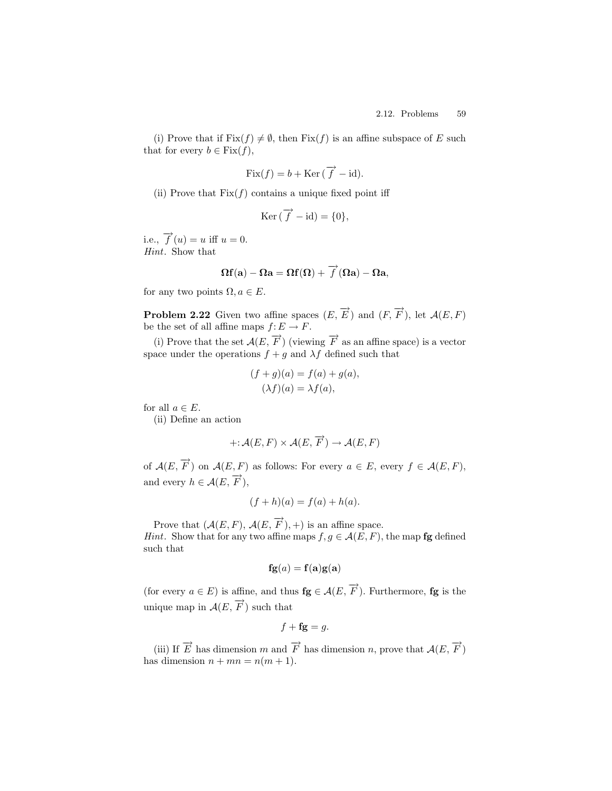(i) Prove that if  $Fix(f) \neq \emptyset$ , then  $Fix(f)$  is an affine subspace of E such that for every  $b \in Fix(f)$ ,

$$
Fix(f) = b + \text{Ker}(\overrightarrow{f} - \text{id}).
$$

(ii) Prove that  $Fix(f)$  contains a unique fixed point iff

$$
\operatorname{Ker} \left( \overrightarrow{f} - id \right) = \{ 0 \},
$$

i.e.,  $\overrightarrow{f}(u) = u$  iff  $u = 0$ . Hint. Show that

$$
\Omega \mathbf{f}(\mathbf{a}) - \Omega \mathbf{a} = \Omega \mathbf{f}(\Omega) + \overrightarrow{f}(\Omega \mathbf{a}) - \Omega \mathbf{a},
$$

for any two points  $\Omega, a \in E$ .

**Problem 2.22** Given two affine spaces  $(E, \overrightarrow{E})$  and  $(F, \overrightarrow{F})$ , let  $\mathcal{A}(E, F)$ be the set of all affine maps  $f: E \to F$ .

(i) Prove that the set  $\mathcal{A}(E, \overrightarrow{F})$  (viewing  $\overrightarrow{F}$  as an affine space) is a vector space under the operations  $f + g$  and  $\lambda f$  defined such that

$$
(f+g)(a) = f(a) + g(a),
$$
  

$$
(\lambda f)(a) = \lambda f(a),
$$

for all  $a \in E$ .

(ii) Define an action

$$
+:\mathcal{A}(E,F)\times\mathcal{A}(E,\overrightarrow{F})\to\mathcal{A}(E,F)
$$

of  $\mathcal{A}(E, \overrightarrow{F})$  on  $\mathcal{A}(E, F)$  as follows: For every  $a \in E$ , every  $f \in \mathcal{A}(E, F)$ , and every  $h \in \mathcal{A}(E, \overrightarrow{F}),$ 

$$
(f+h)(a) = f(a) + h(a).
$$

Prove that  $(\mathcal{A}(E, F), \mathcal{A}(E, \overrightarrow{F}), +)$  is an affine space. *Hint.* Show that for any two affine maps  $f, g \in \mathcal{A}(E, F)$ , the map **fg** defined such that

$$
\mathbf{fg}(a) = \mathbf{f}(\mathbf{a})\mathbf{g}(\mathbf{a})
$$

(for every  $a \in E$ ) is affine, and thus  $\mathbf{fg} \in \mathcal{A}(E, \overrightarrow{F})$ . Furthermore,  $\mathbf{fg}$  is the unique map in  $\mathcal{A}(E, \overrightarrow{F})$  such that

$$
f + \mathbf{fg} = g.
$$

(iii) If  $\overrightarrow{E}$  has dimension  $m$  and  $\overrightarrow{F}$  has dimension  $n$ , prove that  $\mathcal{A}(E, \overrightarrow{F})$ has dimension  $n + mn = n(m + 1)$ .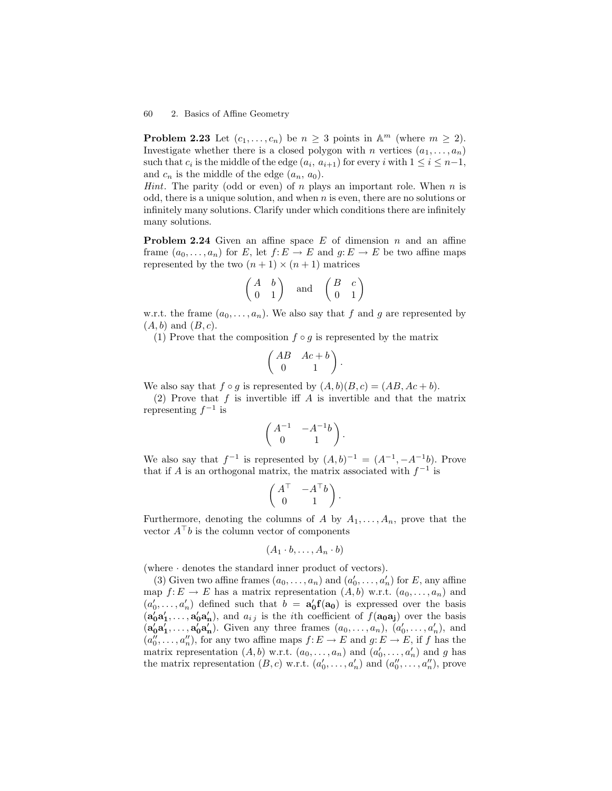**Problem 2.23** Let  $(c_1, \ldots, c_n)$  be  $n \geq 3$  points in  $\mathbb{A}^m$  (where  $m \geq 2$ ). Investigate whether there is a closed polygon with n vertices  $(a_1, \ldots, a_n)$ such that  $c_i$  is the middle of the edge  $(a_i, a_{i+1})$  for every i with  $1 \leq i \leq n-1$ , and  $c_n$  is the middle of the edge  $(a_n, a_0)$ .

*Hint*. The parity (odd or even) of n plays an important role. When  $n$  is odd, there is a unique solution, and when  $n$  is even, there are no solutions or infinitely many solutions. Clarify under which conditions there are infinitely many solutions.

**Problem 2.24** Given an affine space  $E$  of dimension  $n$  and an affine frame  $(a_0, \ldots, a_n)$  for E, let  $f: E \to E$  and  $g: E \to E$  be two affine maps represented by the two  $(n + 1) \times (n + 1)$  matrices

$$
\begin{pmatrix} A & b \\ 0 & 1 \end{pmatrix} \quad \text{and} \quad \begin{pmatrix} B & c \\ 0 & 1 \end{pmatrix}
$$

w.r.t. the frame  $(a_0, \ldots, a_n)$ . We also say that f and g are represented by  $(A, b)$  and  $(B, c)$ .

(1) Prove that the composition  $f \circ g$  is represented by the matrix

$$
\begin{pmatrix} AB & Ac + b \ 0 & 1 \end{pmatrix}.
$$

We also say that  $f \circ g$  is represented by  $(A, b)(B, c) = (AB, Ac + b)$ .

(2) Prove that  $f$  is invertible iff  $A$  is invertible and that the matrix representing  $f^{-1}$  is

$$
\begin{pmatrix} A^{-1} & -A^{-1}b \\ 0 & 1 \end{pmatrix}.
$$

We also say that  $f^{-1}$  is represented by  $(A,b)^{-1} = (A^{-1}, -A^{-1}b)$ . Prove that if A is an orthogonal matrix, the matrix associated with  $f^{-1}$  is

$$
\begin{pmatrix} A^\top & -A^\top b \\ 0 & 1 \end{pmatrix}.
$$

Furthermore, denoting the columns of A by  $A_1, \ldots, A_n$ , prove that the vector  $A^{\top}b$  is the column vector of components

$$
(A_1 \cdot b, \ldots, A_n \cdot b)
$$

(where · denotes the standard inner product of vectors).

(3) Given two affine frames  $(a_0, \ldots, a_n)$  and  $(a'_0, \ldots, a'_n)$  for E, any affine map  $f: E \to E$  has a matrix representation  $(A, b)$  w.r.t.  $(a_0, \ldots, a_n)$  and  $(a'_0, \ldots, a'_n)$  defined such that  $b = a'_0 f(a_0)$  is expressed over the basis  $(a'_0a'_1,\ldots,a'_0a'_n)$ , and  $a_{ij}$  is the *i*th coefficient of  $f(a_0a_j)$  over the basis  $(a'_0a'_1,\ldots,a'_0a'_n)$ . Given any three frames  $(a_0,\ldots,a_n)$ ,  $(a'_0,\ldots,a'_n)$ , and  $(a_0'', \ldots, a_n'')$ , for any two affine maps  $f: E \to E$  and  $g: E \to E$ , if f has the matrix representation  $(A, b)$  w.r.t.  $(a_0, \ldots, a_n)$  and  $(a'_0, \ldots, a'_n)$  and g has the matrix representation  $(B, c)$  w.r.t.  $(a'_0, \ldots, a'_n)$  and  $(a''_0, \ldots, a''_n)$ , prove